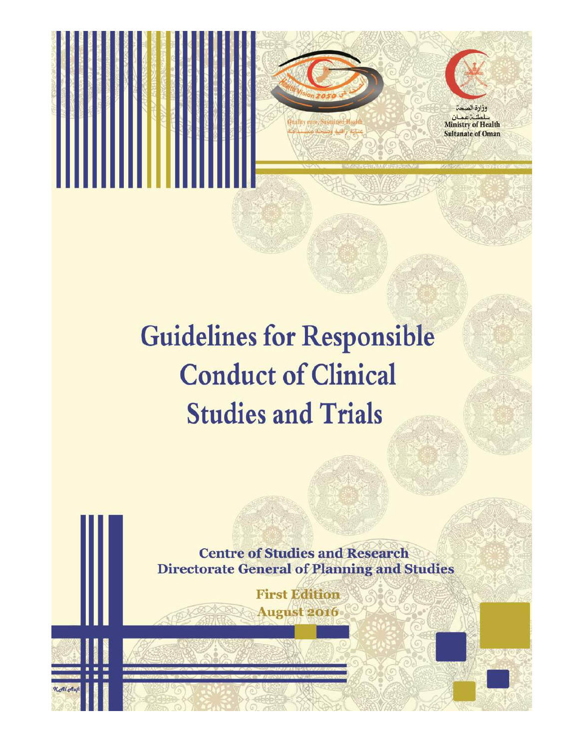



# **Guidelines for Responsible Conduct of Clinical Studies and Trials**

**Centre of Studies and Research Directorate General of Planning and Studies** 

> **First Edition August 2016**

Guidelines for Responsible Conduct of Clinical Studies and Trials Inc. The Conduct of Clinical Studies and Trials Inc. The Conduct of Clinical Studies and Trials Inc. The Conduct of Clinical Studies and Trials Inc. The Con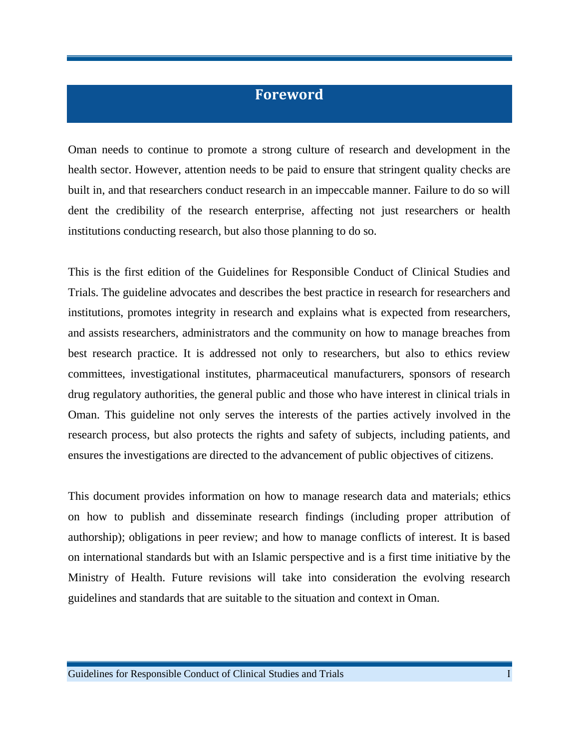# **Foreword**

<span id="page-1-0"></span>Oman needs to continue to promote a strong culture of research and development in the health sector. However, attention needs to be paid to ensure that stringent quality checks are built in, and that researchers conduct research in an impeccable manner. Failure to do so will dent the credibility of the research enterprise, affecting not just researchers or health institutions conducting research, but also those planning to do so.

This is the first edition of the Guidelines for Responsible Conduct of Clinical Studies and Trials. The guideline advocates and describes the best practice in research for researchers and institutions, promotes integrity in research and explains what is expected from researchers, and assists researchers, administrators and the community on how to manage breaches from best research practice. It is addressed not only to researchers, but also to ethics review committees, investigational institutes, pharmaceutical manufacturers, sponsors of research drug regulatory authorities, the general public and those who have interest in clinical trials in Oman. This guideline not only serves the interests of the parties actively involved in the research process, but also protects the rights and safety of subjects, including patients, and ensures the investigations are directed to the advancement of public objectives of citizens.

This document provides information on how to manage research data and materials; ethics on how to publish and disseminate research findings (including proper attribution of authorship); obligations in peer review; and how to manage conflicts of interest. It is based on international standards but with an Islamic perspective and is a first time initiative by the Ministry of Health. Future revisions will take into consideration the evolving research guidelines and standards that are suitable to the situation and context in Oman.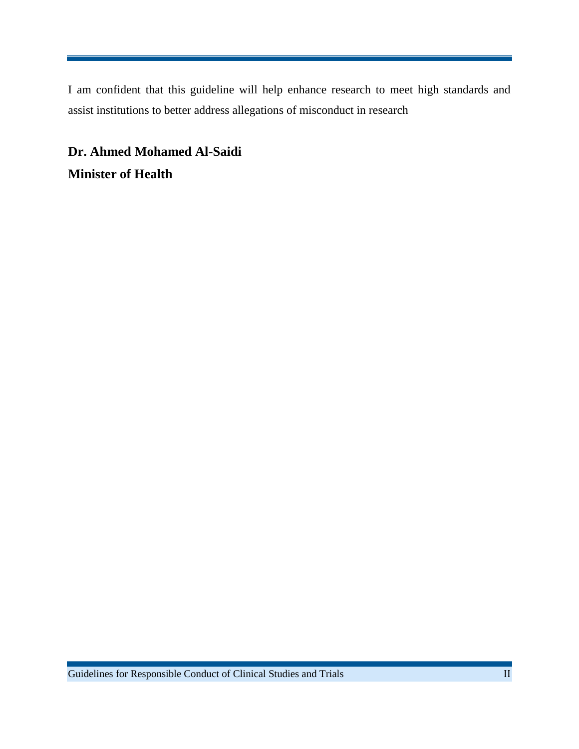I am confident that this guideline will help enhance research to meet high standards and assist institutions to better address allegations of misconduct in research

**Dr. Ahmed Mohamed Al-Saidi Minister of Health**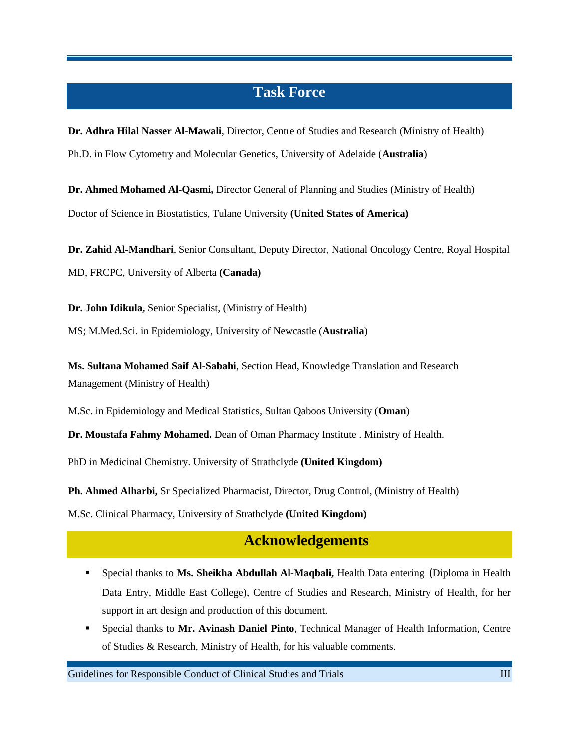# **Task Force**

**Dr. Adhra Hilal Nasser Al-Mawali**, Director, Centre of Studies and Research (Ministry of Health) Ph.D. in Flow Cytometry and Molecular Genetics, University of Adelaide (**Australia**)

**Dr. Ahmed Mohamed Al-Qasmi,** Director General of Planning and Studies (Ministry of Health)

Doctor of Science in Biostatistics, Tulane University **(United States of America)**

**Dr. Zahid Al-Mandhari**, Senior Consultant, Deputy Director, National Oncology Centre, Royal Hospital

MD, FRCPC, University of Alberta **(Canada)**

**Dr. John Idikula,** Senior Specialist, (Ministry of Health)

MS; M.Med.Sci. in Epidemiology, University of Newcastle (**Australia**)

**Ms. Sultana Mohamed Saif Al-Sabahi**, Section Head, Knowledge Translation and Research Management (Ministry of Health)

M.Sc. in Epidemiology and Medical Statistics, Sultan Qaboos University (**Oman**)

**Dr. Moustafa Fahmy Mohamed.** Dean of Oman Pharmacy Institute . Ministry of Health.

PhD in Medicinal Chemistry. University of Strathclyde **(United Kingdom)**

**Ph. Ahmed Alharbi,** Sr Specialized Pharmacist, Director, Drug Control, (Ministry of Health)

M.Sc. Clinical Pharmacy, University of Strathclyde **(United Kingdom)**

# **Acknowledgements**

- Special thanks to **Ms. Sheikha Abdullah Al-Maqbali,** Health Data entering (Diploma in Health Data Entry, Middle East College), Centre of Studies and Research, Ministry of Health, for her support in art design and production of this document.
- Special thanks to **Mr. Avinash Daniel Pinto**, Technical Manager of Health Information, Centre of Studies & Research, Ministry of Health, for his valuable comments.

Guidelines for Responsible Conduct of Clinical Studies and Trials III and Trials III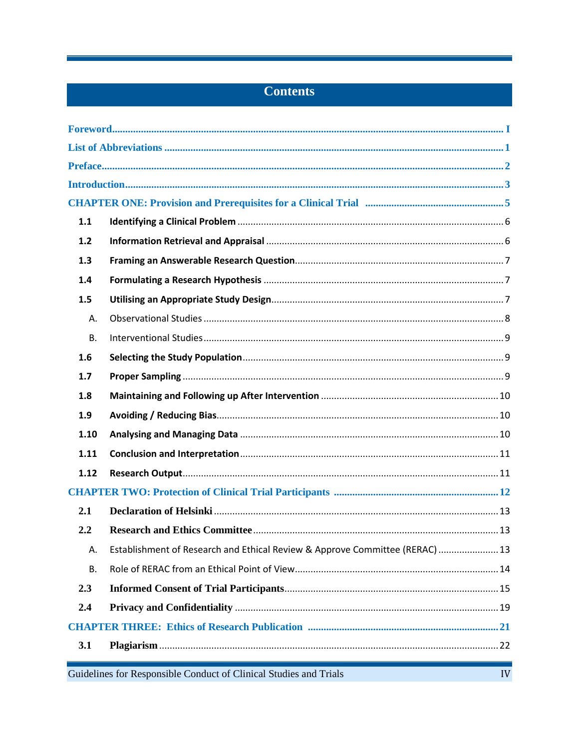# **Contents**

| 1.1                                                                     |                                                                              |  |  |
|-------------------------------------------------------------------------|------------------------------------------------------------------------------|--|--|
| 1.2                                                                     |                                                                              |  |  |
| 1.3                                                                     |                                                                              |  |  |
| 1.4                                                                     |                                                                              |  |  |
| 1.5                                                                     |                                                                              |  |  |
| Α.                                                                      |                                                                              |  |  |
| В.                                                                      |                                                                              |  |  |
| 1.6                                                                     |                                                                              |  |  |
| 1.7                                                                     |                                                                              |  |  |
| 1.8                                                                     |                                                                              |  |  |
| 1.9                                                                     |                                                                              |  |  |
| 1.10                                                                    |                                                                              |  |  |
| 1.11                                                                    |                                                                              |  |  |
| 1.12                                                                    |                                                                              |  |  |
|                                                                         |                                                                              |  |  |
| 2.1                                                                     |                                                                              |  |  |
| 2.2                                                                     |                                                                              |  |  |
| А.                                                                      | Establishment of Research and Ethical Review & Approve Committee (RERAC)  13 |  |  |
| <b>B.</b>                                                               |                                                                              |  |  |
| 2.3                                                                     |                                                                              |  |  |
| 2.4                                                                     |                                                                              |  |  |
|                                                                         |                                                                              |  |  |
| 3.1                                                                     |                                                                              |  |  |
| Guidelines for Responsible Conduct of Clinical Studies and Trials<br>IV |                                                                              |  |  |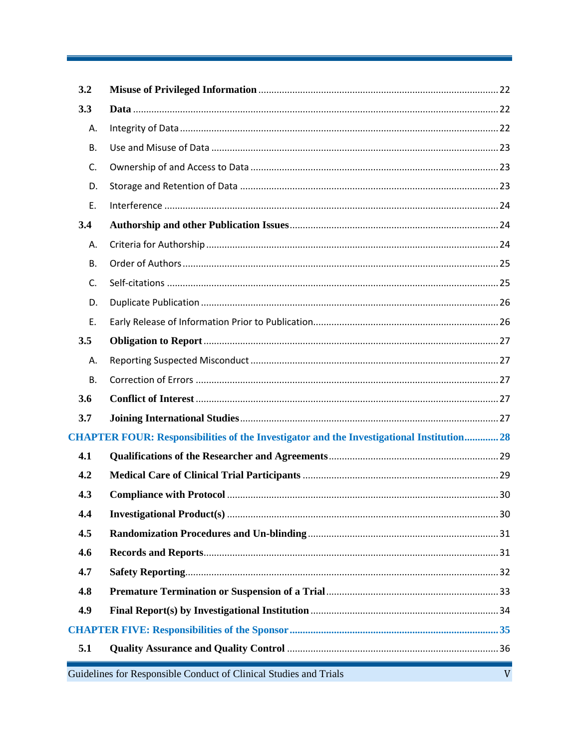| 3.2                                                                                              |                                                                        |  |  |
|--------------------------------------------------------------------------------------------------|------------------------------------------------------------------------|--|--|
| 3.3                                                                                              |                                                                        |  |  |
| А.                                                                                               |                                                                        |  |  |
| <b>B.</b>                                                                                        |                                                                        |  |  |
| C.                                                                                               |                                                                        |  |  |
| D.                                                                                               |                                                                        |  |  |
| Ε.                                                                                               |                                                                        |  |  |
| 3.4                                                                                              |                                                                        |  |  |
| А.                                                                                               |                                                                        |  |  |
| <b>B.</b>                                                                                        |                                                                        |  |  |
| C.                                                                                               |                                                                        |  |  |
| D.                                                                                               |                                                                        |  |  |
| Ε.                                                                                               |                                                                        |  |  |
| 3.5                                                                                              |                                                                        |  |  |
| А.                                                                                               |                                                                        |  |  |
| <b>B.</b>                                                                                        |                                                                        |  |  |
| 3.6                                                                                              |                                                                        |  |  |
| 3.7                                                                                              |                                                                        |  |  |
| <b>CHAPTER FOUR: Responsibilities of the Investigator and the Investigational Institution 28</b> |                                                                        |  |  |
| 4.1                                                                                              |                                                                        |  |  |
| 4.2                                                                                              |                                                                        |  |  |
| 4.3                                                                                              |                                                                        |  |  |
| 4.4                                                                                              |                                                                        |  |  |
| 4.5                                                                                              |                                                                        |  |  |
| 4.6                                                                                              |                                                                        |  |  |
| 4.7                                                                                              |                                                                        |  |  |
| 4.8                                                                                              |                                                                        |  |  |
| 4.9                                                                                              |                                                                        |  |  |
|                                                                                                  |                                                                        |  |  |
| 5.1                                                                                              |                                                                        |  |  |
|                                                                                                  | Guidelines for Responsible Conduct of Clinical Studies and Trials<br>V |  |  |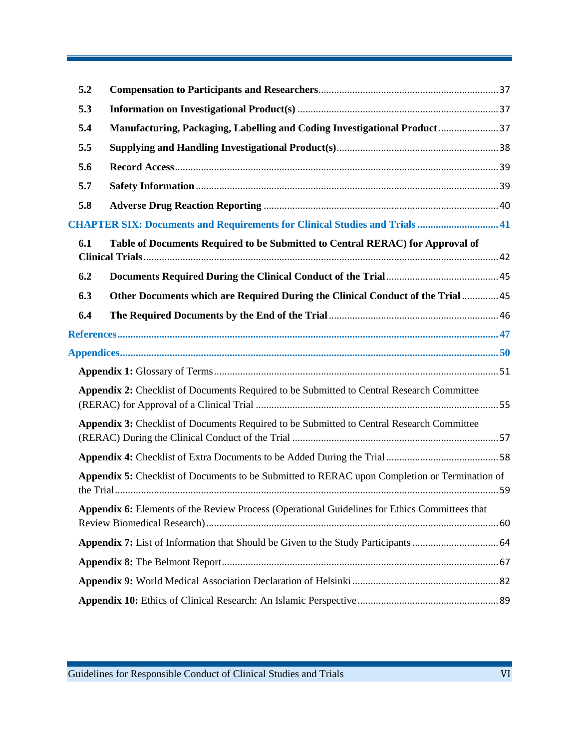| 5.2 |                                                                                                  |  |  |
|-----|--------------------------------------------------------------------------------------------------|--|--|
| 5.3 |                                                                                                  |  |  |
| 5.4 | Manufacturing, Packaging, Labelling and Coding Investigational Product 37                        |  |  |
| 5.5 |                                                                                                  |  |  |
| 5.6 |                                                                                                  |  |  |
| 5.7 |                                                                                                  |  |  |
| 5.8 |                                                                                                  |  |  |
|     | <b>CHAPTER SIX: Documents and Requirements for Clinical Studies and Trials  41</b>               |  |  |
| 6.1 | Table of Documents Required to be Submitted to Central RERAC) for Approval of                    |  |  |
|     |                                                                                                  |  |  |
| 6.2 |                                                                                                  |  |  |
| 6.3 | Other Documents which are Required During the Clinical Conduct of the Trial 45                   |  |  |
| 6.4 |                                                                                                  |  |  |
|     |                                                                                                  |  |  |
|     |                                                                                                  |  |  |
|     |                                                                                                  |  |  |
|     | Appendix 2: Checklist of Documents Required to be Submitted to Central Research Committee        |  |  |
|     | <b>Appendix 3:</b> Checklist of Documents Required to be Submitted to Central Research Committee |  |  |
|     |                                                                                                  |  |  |
|     | Appendix 5: Checklist of Documents to be Submitted to RERAC upon Completion or Termination of    |  |  |
|     | Appendix 6: Elements of the Review Process (Operational Guidelines for Ethics Committees that    |  |  |
|     |                                                                                                  |  |  |
|     |                                                                                                  |  |  |
|     |                                                                                                  |  |  |
|     |                                                                                                  |  |  |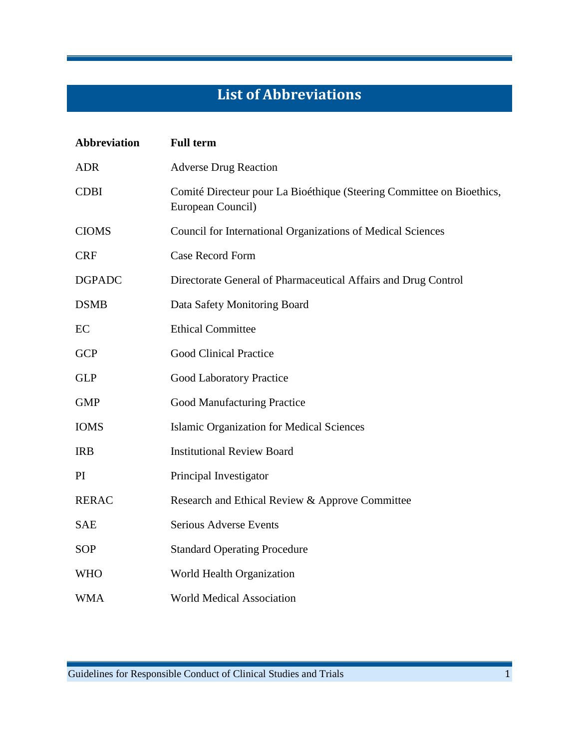# **List of Abbreviations**

<span id="page-7-0"></span>

| <b>Abbreviation</b> | <b>Full term</b>                                                                           |
|---------------------|--------------------------------------------------------------------------------------------|
| <b>ADR</b>          | <b>Adverse Drug Reaction</b>                                                               |
| <b>CDBI</b>         | Comité Directeur pour La Bioéthique (Steering Committee on Bioethics,<br>European Council) |
| <b>CIOMS</b>        | Council for International Organizations of Medical Sciences                                |
| <b>CRF</b>          | Case Record Form                                                                           |
| <b>DGPADC</b>       | Directorate General of Pharmaceutical Affairs and Drug Control                             |
| <b>DSMB</b>         | Data Safety Monitoring Board                                                               |
| EC                  | <b>Ethical Committee</b>                                                                   |
| <b>GCP</b>          | <b>Good Clinical Practice</b>                                                              |
| <b>GLP</b>          | <b>Good Laboratory Practice</b>                                                            |
| <b>GMP</b>          | <b>Good Manufacturing Practice</b>                                                         |
| <b>IOMS</b>         | <b>Islamic Organization for Medical Sciences</b>                                           |
| <b>IRB</b>          | <b>Institutional Review Board</b>                                                          |
| PI                  | Principal Investigator                                                                     |
| <b>RERAC</b>        | Research and Ethical Review & Approve Committee                                            |
| <b>SAE</b>          | <b>Serious Adverse Events</b>                                                              |
| <b>SOP</b>          | <b>Standard Operating Procedure</b>                                                        |
| <b>WHO</b>          | World Health Organization                                                                  |
| <b>WMA</b>          | <b>World Medical Association</b>                                                           |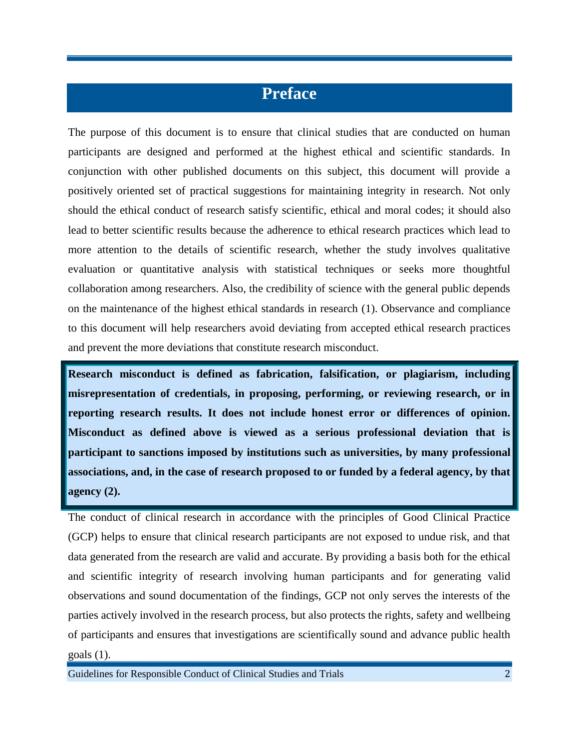# **Preface**

<span id="page-8-0"></span>The purpose of this document is to ensure that clinical studies that are conducted on human participants are designed and performed at the highest ethical and scientific standards. In conjunction with other published documents on this subject, this document will provide a positively oriented set of practical suggestions for maintaining integrity in research. Not only should the ethical conduct of research satisfy scientific, ethical and moral codes; it should also lead to better scientific results because the adherence to ethical research practices which lead to more attention to the details of scientific research, whether the study involves qualitative evaluation or quantitative analysis with statistical techniques or seeks more thoughtful collaboration among researchers. Also, the credibility of science with the general public depends on the maintenance of the highest ethical standards in research (1). Observance and compliance to this document will help researchers avoid deviating from accepted ethical research practices and prevent the more deviations that constitute research misconduct.

**Research misconduct is defined as fabrication, falsification, or plagiarism, including misrepresentation of credentials, in proposing, performing, or reviewing research, or in reporting research results. It does not include honest error or differences of opinion. Misconduct as defined above is viewed as a serious professional deviation that is participant to sanctions imposed by institutions such as universities, by many professional associations, and, in the case of research proposed to or funded by a federal agency, by that agency (2).** 

The conduct of clinical research in accordance with the principles of Good Clinical Practice (GCP) helps to ensure that clinical research participants are not exposed to undue risk, and that data generated from the research are valid and accurate. By providing a basis both for the ethical and scientific integrity of research involving human participants and for generating valid observations and sound documentation of the findings, GCP not only serves the interests of the parties actively involved in the research process, but also protects the rights, safety and wellbeing of participants and ensures that investigations are scientifically sound and advance public health goals  $(1)$ .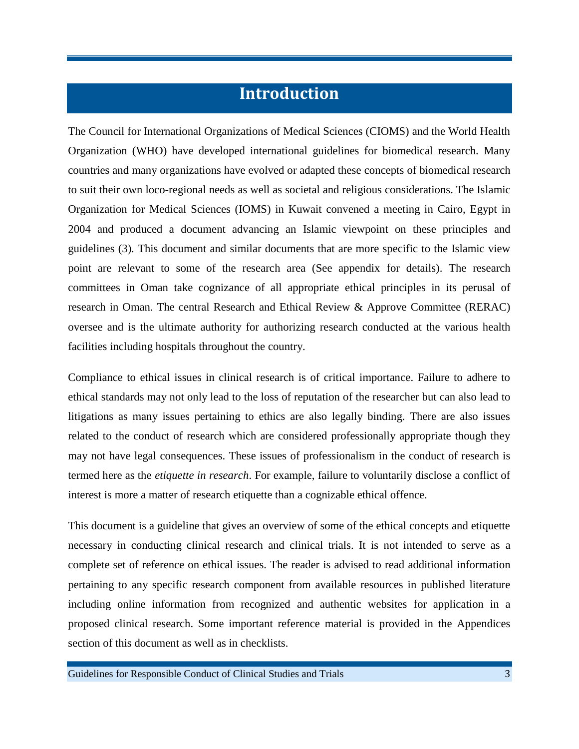# **Introduction**

<span id="page-9-0"></span>The Council for International Organizations of Medical Sciences (CIOMS) and the World Health Organization (WHO) have developed international guidelines for biomedical research. Many countries and many organizations have evolved or adapted these concepts of biomedical research to suit their own loco-regional needs as well as societal and religious considerations. The Islamic Organization for Medical Sciences (IOMS) in Kuwait convened a meeting in Cairo, Egypt in 2004 and produced a document advancing an Islamic viewpoint on these principles and guidelines (3). This document and similar documents that are more specific to the Islamic view point are relevant to some of the research area (See appendix for details). The research committees in Oman take cognizance of all appropriate ethical principles in its perusal of research in Oman. The central Research and Ethical Review & Approve Committee (RERAC) oversee and is the ultimate authority for authorizing research conducted at the various health facilities including hospitals throughout the country.

Compliance to ethical issues in clinical research is of critical importance. Failure to adhere to ethical standards may not only lead to the loss of reputation of the researcher but can also lead to litigations as many issues pertaining to ethics are also legally binding. There are also issues related to the conduct of research which are considered professionally appropriate though they may not have legal consequences. These issues of professionalism in the conduct of research is termed here as the *etiquette in research*. For example, failure to voluntarily disclose a conflict of interest is more a matter of research etiquette than a cognizable ethical offence.

This document is a guideline that gives an overview of some of the ethical concepts and etiquette necessary in conducting clinical research and clinical trials. It is not intended to serve as a complete set of reference on ethical issues. The reader is advised to read additional information pertaining to any specific research component from available resources in published literature including online information from recognized and authentic websites for application in a proposed clinical research. Some important reference material is provided in the Appendices section of this document as well as in checklists.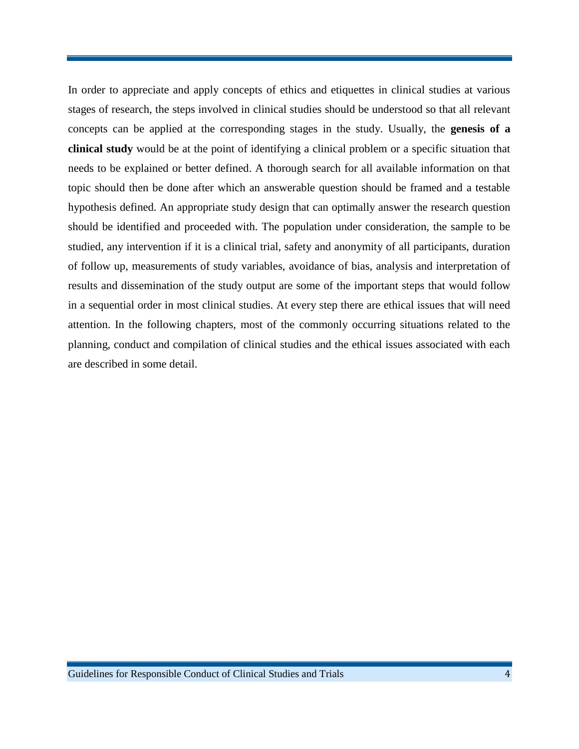In order to appreciate and apply concepts of ethics and etiquettes in clinical studies at various stages of research, the steps involved in clinical studies should be understood so that all relevant concepts can be applied at the corresponding stages in the study. Usually, the **genesis of a clinical study** would be at the point of identifying a clinical problem or a specific situation that needs to be explained or better defined. A thorough search for all available information on that topic should then be done after which an answerable question should be framed and a testable hypothesis defined. An appropriate study design that can optimally answer the research question should be identified and proceeded with. The population under consideration, the sample to be studied, any intervention if it is a clinical trial, safety and anonymity of all participants, duration of follow up, measurements of study variables, avoidance of bias, analysis and interpretation of results and dissemination of the study output are some of the important steps that would follow in a sequential order in most clinical studies. At every step there are ethical issues that will need attention. In the following chapters, most of the commonly occurring situations related to the planning, conduct and compilation of clinical studies and the ethical issues associated with each are described in some detail.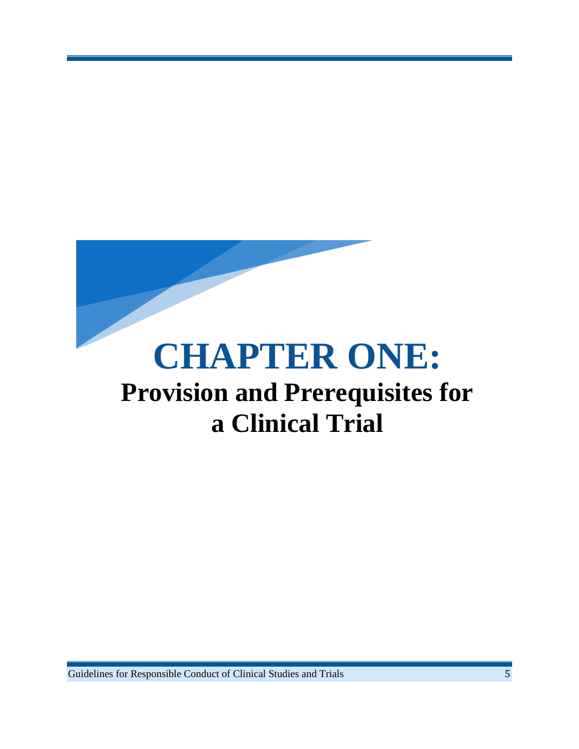# **CHAPTER ONE: Provision and Prerequisites for a Clinical Trial**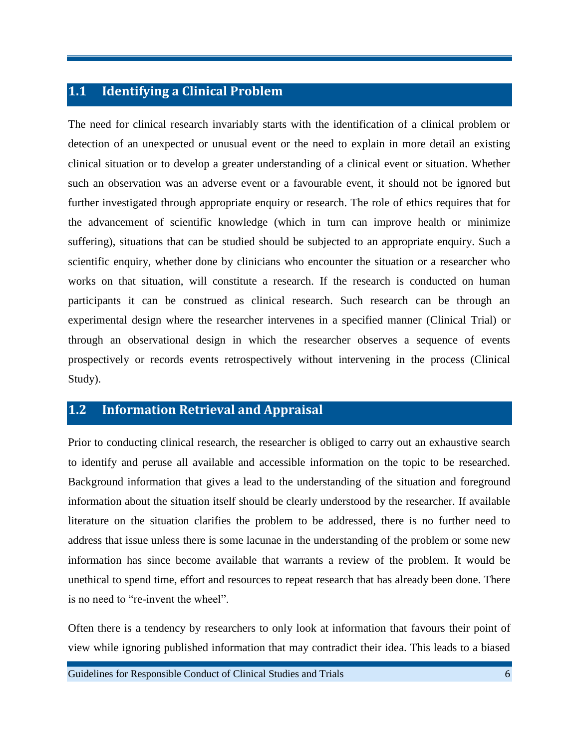# <span id="page-12-0"></span>**1.1 Identifying a Clinical Problem**

The need for clinical research invariably starts with the identification of a clinical problem or detection of an unexpected or unusual event or the need to explain in more detail an existing clinical situation or to develop a greater understanding of a clinical event or situation. Whether such an observation was an adverse event or a favourable event, it should not be ignored but further investigated through appropriate enquiry or research. The role of ethics requires that for the advancement of scientific knowledge (which in turn can improve health or minimize suffering), situations that can be studied should be subjected to an appropriate enquiry. Such a scientific enquiry, whether done by clinicians who encounter the situation or a researcher who works on that situation, will constitute a research. If the research is conducted on human participants it can be construed as clinical research. Such research can be through an experimental design where the researcher intervenes in a specified manner (Clinical Trial) or through an observational design in which the researcher observes a sequence of events prospectively or records events retrospectively without intervening in the process (Clinical Study).

## <span id="page-12-1"></span>**1.2 Information Retrieval and Appraisal**

Prior to conducting clinical research, the researcher is obliged to carry out an exhaustive search to identify and peruse all available and accessible information on the topic to be researched. Background information that gives a lead to the understanding of the situation and foreground information about the situation itself should be clearly understood by the researcher. If available literature on the situation clarifies the problem to be addressed, there is no further need to address that issue unless there is some lacunae in the understanding of the problem or some new information has since become available that warrants a review of the problem. It would be unethical to spend time, effort and resources to repeat research that has already been done. There is no need to "re-invent the wheel".

Often there is a tendency by researchers to only look at information that favours their point of view while ignoring published information that may contradict their idea. This leads to a biased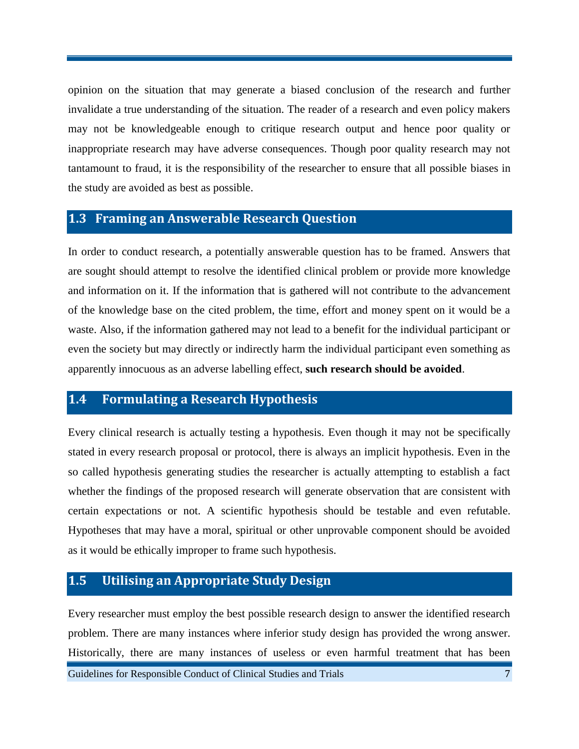opinion on the situation that may generate a biased conclusion of the research and further invalidate a true understanding of the situation. The reader of a research and even policy makers may not be knowledgeable enough to critique research output and hence poor quality or inappropriate research may have adverse consequences. Though poor quality research may not tantamount to fraud, it is the responsibility of the researcher to ensure that all possible biases in the study are avoided as best as possible.

## <span id="page-13-0"></span>**1.3 Framing an Answerable Research Question**

In order to conduct research, a potentially answerable question has to be framed. Answers that are sought should attempt to resolve the identified clinical problem or provide more knowledge and information on it. If the information that is gathered will not contribute to the advancement of the knowledge base on the cited problem, the time, effort and money spent on it would be a waste. Also, if the information gathered may not lead to a benefit for the individual participant or even the society but may directly or indirectly harm the individual participant even something as apparently innocuous as an adverse labelling effect, **such research should be avoided**.

## <span id="page-13-1"></span>**1.4 Formulating a Research Hypothesis**

Every clinical research is actually testing a hypothesis. Even though it may not be specifically stated in every research proposal or protocol, there is always an implicit hypothesis. Even in the so called hypothesis generating studies the researcher is actually attempting to establish a fact whether the findings of the proposed research will generate observation that are consistent with certain expectations or not. A scientific hypothesis should be testable and even refutable. Hypotheses that may have a moral, spiritual or other unprovable component should be avoided as it would be ethically improper to frame such hypothesis.

## <span id="page-13-2"></span>**1.5 Utilising an Appropriate Study Design**

Guidelines for Responsible Conduct of Clinical Studies and Trials 7 Every researcher must employ the best possible research design to answer the identified research problem. There are many instances where inferior study design has provided the wrong answer. Historically, there are many instances of useless or even harmful treatment that has been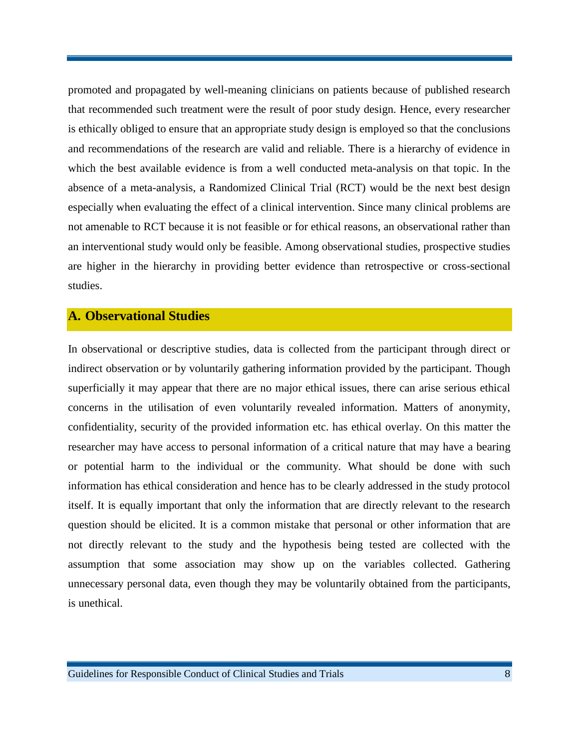promoted and propagated by well-meaning clinicians on patients because of published research that recommended such treatment were the result of poor study design. Hence, every researcher is ethically obliged to ensure that an appropriate study design is employed so that the conclusions and recommendations of the research are valid and reliable. There is a hierarchy of evidence in which the best available evidence is from a well conducted meta-analysis on that topic. In the absence of a meta-analysis, a Randomized Clinical Trial (RCT) would be the next best design especially when evaluating the effect of a clinical intervention. Since many clinical problems are not amenable to RCT because it is not feasible or for ethical reasons, an observational rather than an interventional study would only be feasible. Among observational studies, prospective studies are higher in the hierarchy in providing better evidence than retrospective or cross-sectional studies.

#### <span id="page-14-0"></span>**A. Observational Studies**

In observational or descriptive studies, data is collected from the participant through direct or indirect observation or by voluntarily gathering information provided by the participant. Though superficially it may appear that there are no major ethical issues, there can arise serious ethical concerns in the utilisation of even voluntarily revealed information. Matters of anonymity, confidentiality, security of the provided information etc. has ethical overlay. On this matter the researcher may have access to personal information of a critical nature that may have a bearing or potential harm to the individual or the community. What should be done with such information has ethical consideration and hence has to be clearly addressed in the study protocol itself. It is equally important that only the information that are directly relevant to the research question should be elicited. It is a common mistake that personal or other information that are not directly relevant to the study and the hypothesis being tested are collected with the assumption that some association may show up on the variables collected. Gathering unnecessary personal data, even though they may be voluntarily obtained from the participants, is unethical.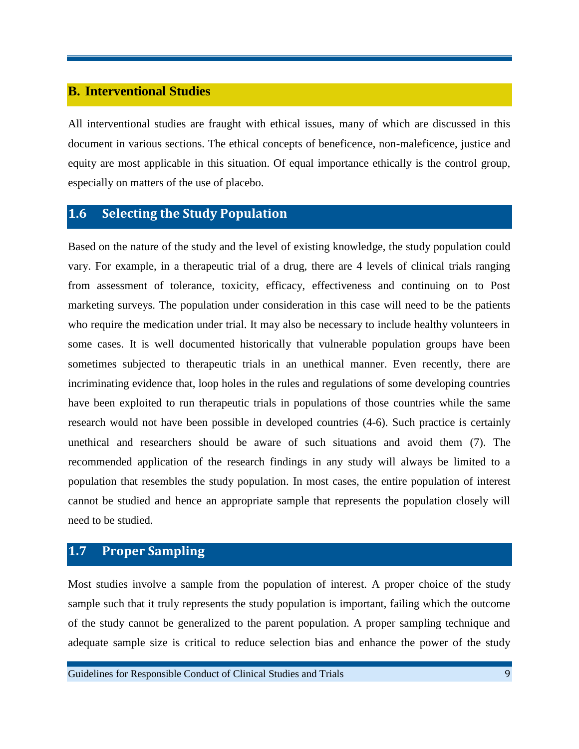## <span id="page-15-0"></span>**B. Interventional Studies**

All interventional studies are fraught with ethical issues, many of which are discussed in this document in various sections. The ethical concepts of beneficence, non-maleficence, justice and equity are most applicable in this situation. Of equal importance ethically is the control group, especially on matters of the use of placebo.

#### <span id="page-15-1"></span>**1.6 Selecting the Study Population**

Based on the nature of the study and the level of existing knowledge, the study population could vary. For example, in a therapeutic trial of a drug, there are 4 levels of clinical trials ranging from assessment of tolerance, toxicity, efficacy, effectiveness and continuing on to Post marketing surveys. The population under consideration in this case will need to be the patients who require the medication under trial. It may also be necessary to include healthy volunteers in some cases. It is well documented historically that vulnerable population groups have been sometimes subjected to therapeutic trials in an unethical manner. Even recently, there are incriminating evidence that, loop holes in the rules and regulations of some developing countries have been exploited to run therapeutic trials in populations of those countries while the same research would not have been possible in developed countries (4-6). Such practice is certainly unethical and researchers should be aware of such situations and avoid them (7). The recommended application of the research findings in any study will always be limited to a population that resembles the study population. In most cases, the entire population of interest cannot be studied and hence an appropriate sample that represents the population closely will need to be studied.

#### <span id="page-15-2"></span>**1.7 Proper Sampling**

Most studies involve a sample from the population of interest. A proper choice of the study sample such that it truly represents the study population is important, failing which the outcome of the study cannot be generalized to the parent population. A proper sampling technique and adequate sample size is critical to reduce selection bias and enhance the power of the study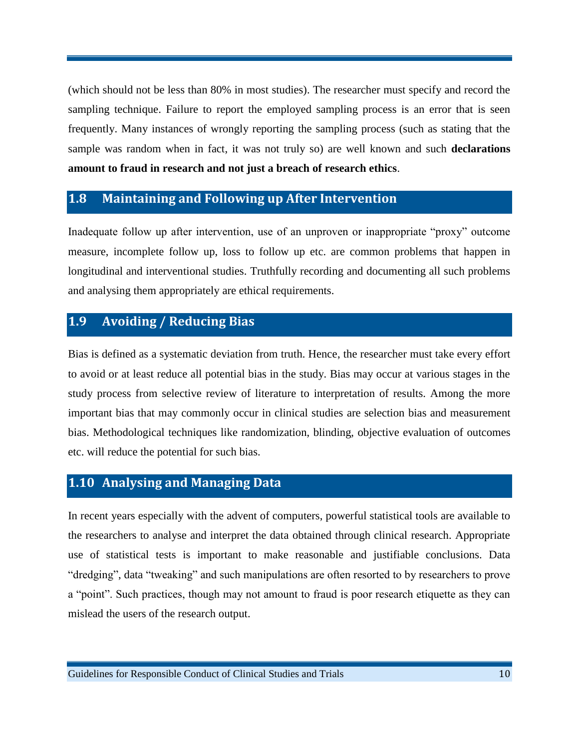(which should not be less than 80% in most studies). The researcher must specify and record the sampling technique. Failure to report the employed sampling process is an error that is seen frequently. Many instances of wrongly reporting the sampling process (such as stating that the sample was random when in fact, it was not truly so) are well known and such **declarations amount to fraud in research and not just a breach of research ethics**.

#### <span id="page-16-0"></span>**1.8 Maintaining and Following up After Intervention**

Inadequate follow up after intervention, use of an unproven or inappropriate "proxy" outcome measure, incomplete follow up, loss to follow up etc. are common problems that happen in longitudinal and interventional studies. Truthfully recording and documenting all such problems and analysing them appropriately are ethical requirements.

## <span id="page-16-1"></span>**1.9 Avoiding / Reducing Bias**

Bias is defined as a systematic deviation from truth. Hence, the researcher must take every effort to avoid or at least reduce all potential bias in the study. Bias may occur at various stages in the study process from selective review of literature to interpretation of results. Among the more important bias that may commonly occur in clinical studies are selection bias and measurement bias. Methodological techniques like randomization, blinding, objective evaluation of outcomes etc. will reduce the potential for such bias.

## <span id="page-16-2"></span>**1.10 Analysing and Managing Data**

In recent years especially with the advent of computers, powerful statistical tools are available to the researchers to analyse and interpret the data obtained through clinical research. Appropriate use of statistical tests is important to make reasonable and justifiable conclusions. Data "dredging", data "tweaking" and such manipulations are often resorted to by researchers to prove a "point". Such practices, though may not amount to fraud is poor research etiquette as they can mislead the users of the research output.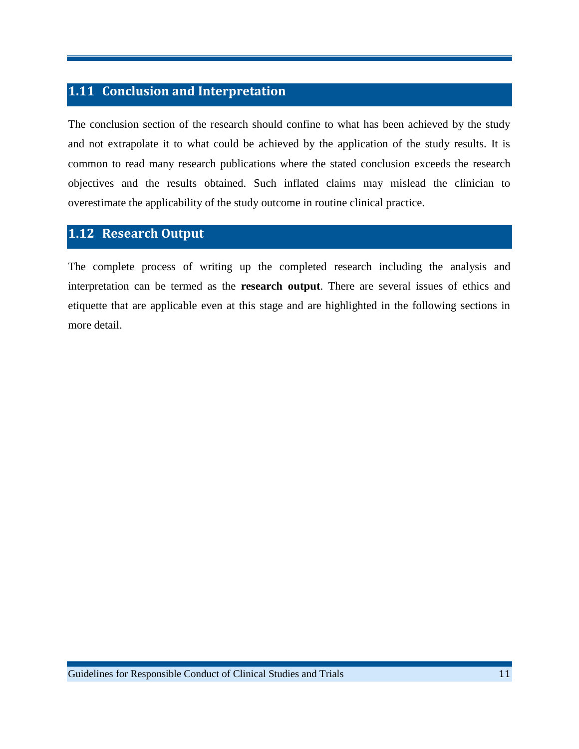# <span id="page-17-0"></span>**1.11 Conclusion and Interpretation**

The conclusion section of the research should confine to what has been achieved by the study and not extrapolate it to what could be achieved by the application of the study results. It is common to read many research publications where the stated conclusion exceeds the research objectives and the results obtained. Such inflated claims may mislead the clinician to overestimate the applicability of the study outcome in routine clinical practice.

### <span id="page-17-1"></span>**1.12 Research Output**

The complete process of writing up the completed research including the analysis and interpretation can be termed as the **research output**. There are several issues of ethics and etiquette that are applicable even at this stage and are highlighted in the following sections in more detail.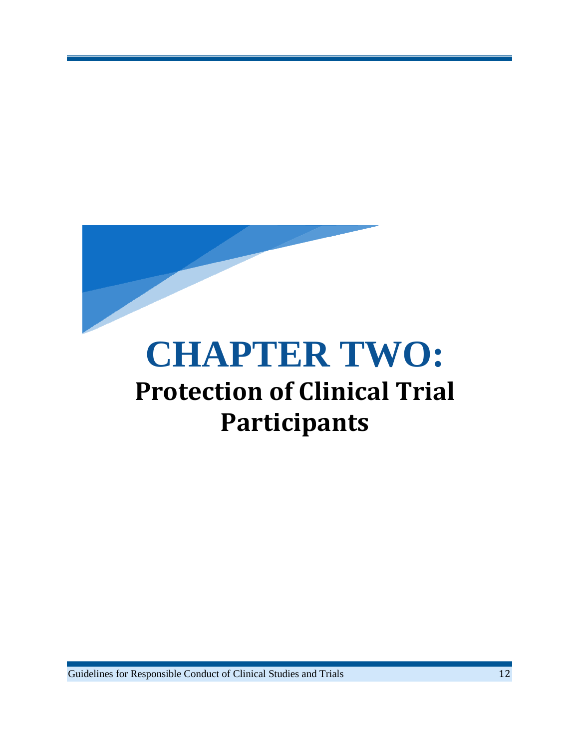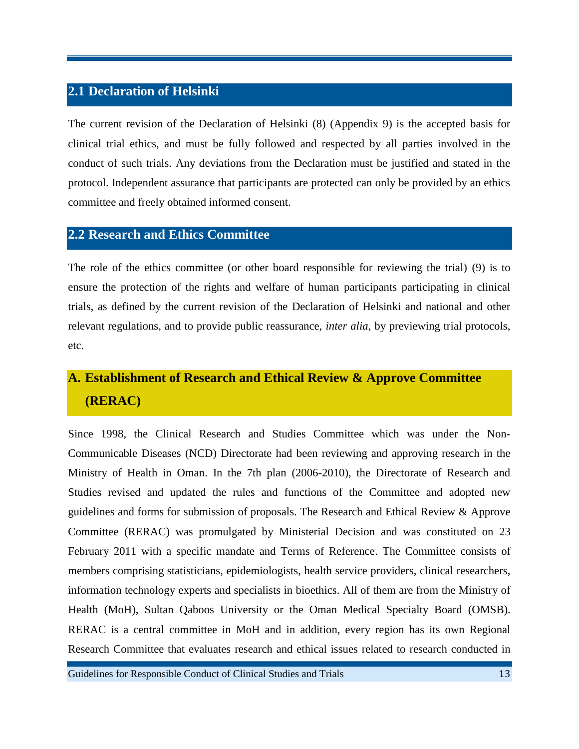# <span id="page-19-0"></span>**2.1 Declaration of Helsinki**

The current revision of the Declaration of Helsinki (8) (Appendix 9) is the accepted basis for clinical trial ethics, and must be fully followed and respected by all parties involved in the conduct of such trials. Any deviations from the Declaration must be justified and stated in the protocol. Independent assurance that participants are protected can only be provided by an ethics committee and freely obtained informed consent.

#### <span id="page-19-1"></span>**2.2 Research and Ethics Committee**

The role of the ethics committee (or other board responsible for reviewing the trial) (9) is to ensure the protection of the rights and welfare of human participants participating in clinical trials, as defined by the current revision of the Declaration of Helsinki and national and other relevant regulations, and to provide public reassurance, *inter alia*, by previewing trial protocols, etc.

# <span id="page-19-2"></span>**A. Establishment of Research and Ethical Review & Approve Committee (RERAC)**

Since 1998, the Clinical Research and Studies Committee which was under the Non-Communicable Diseases (NCD) Directorate had been reviewing and approving research in the Ministry of Health in Oman. In the 7th plan (2006-2010), the Directorate of Research and Studies revised and updated the rules and functions of the Committee and adopted new guidelines and forms for submission of proposals. The Research and Ethical Review & Approve Committee (RERAC) was promulgated by Ministerial Decision and was constituted on 23 February 2011 with a specific mandate and Terms of Reference. The Committee consists of members comprising statisticians, epidemiologists, health service providers, clinical researchers, information technology experts and specialists in bioethics. All of them are from the Ministry of Health (MoH), Sultan Qaboos University or the Oman Medical Specialty Board (OMSB). RERAC is a central committee in MoH and in addition, every region has its own Regional Research Committee that evaluates research and ethical issues related to research conducted in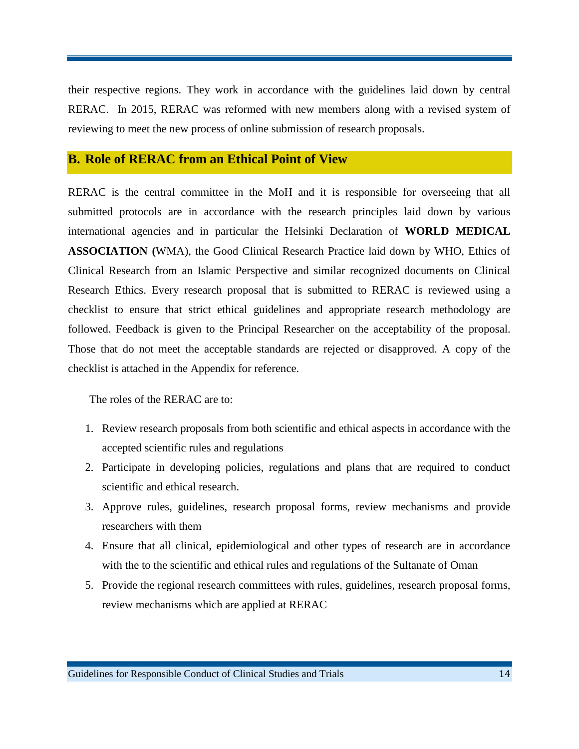their respective regions. They work in accordance with the guidelines laid down by central RERAC. In 2015, RERAC was reformed with new members along with a revised system of reviewing to meet the new process of online submission of research proposals.

#### <span id="page-20-0"></span>**B. Role of RERAC from an Ethical Point of View**

RERAC is the central committee in the MoH and it is responsible for overseeing that all submitted protocols are in accordance with the research principles laid down by various international agencies and in particular the Helsinki Declaration of **WORLD MEDICAL ASSOCIATION (**WMA), the Good Clinical Research Practice laid down by WHO, Ethics of Clinical Research from an Islamic Perspective and similar recognized documents on Clinical Research Ethics. Every research proposal that is submitted to RERAC is reviewed using a checklist to ensure that strict ethical guidelines and appropriate research methodology are followed. Feedback is given to the Principal Researcher on the acceptability of the proposal. Those that do not meet the acceptable standards are rejected or disapproved. A copy of the checklist is attached in the Appendix for reference.

The roles of the RERAC are to:

- 1. Review research proposals from both scientific and ethical aspects in accordance with the accepted scientific rules and regulations
- 2. Participate in developing policies, regulations and plans that are required to conduct scientific and ethical research.
- 3. Approve rules, guidelines, research proposal forms, review mechanisms and provide researchers with them
- 4. Ensure that all clinical, epidemiological and other types of research are in accordance with the to the scientific and ethical rules and regulations of the Sultanate of Oman
- 5. Provide the regional research committees with rules, guidelines, research proposal forms, review mechanisms which are applied at RERAC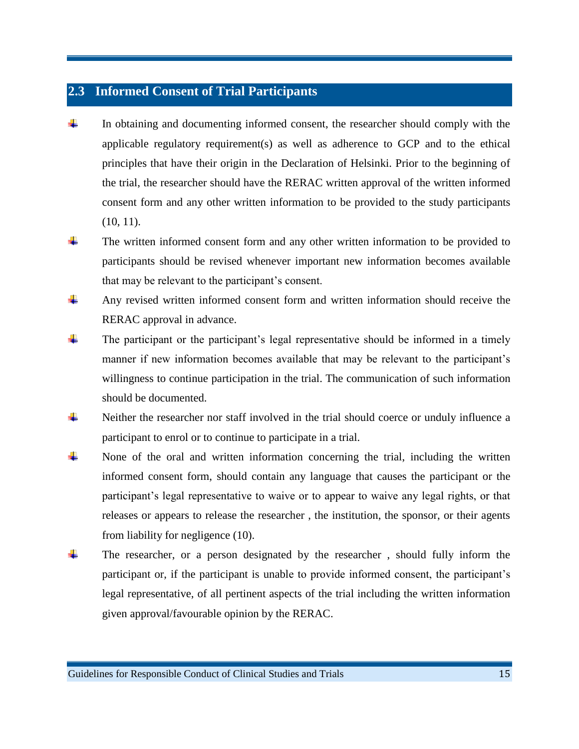# <span id="page-21-0"></span>**2.3 Informed Consent of Trial Participants**

- In obtaining and documenting informed consent, the researcher should comply with the applicable regulatory requirement(s) as well as adherence to  $GCP$  and to the ethical principles that have their origin in the Declaration of Helsinki. Prior to the beginning of the trial, the researcher should have the RERAC written approval of the written informed consent form and any other written information to be provided to the study participants (10, 11).
- ÷ The written informed consent form and any other written information to be provided to participants should be revised whenever important new information becomes available that may be relevant to the participant's consent.
- ÷ Any revised written informed consent form and written information should receive the RERAC approval in advance.
- ÷ The participant or the participant's legal representative should be informed in a timely manner if new information becomes available that may be relevant to the participant's willingness to continue participation in the trial. The communication of such information should be documented.
- 4. Neither the researcher nor staff involved in the trial should coerce or unduly influence a participant to enrol or to continue to participate in a trial.
- ۰. None of the oral and written information concerning the trial, including the written informed consent form, should contain any language that causes the participant or the participant's legal representative to waive or to appear to waive any legal rights, or that releases or appears to release the researcher , the institution, the sponsor, or their agents from liability for negligence (10).
- ÷ The researcher, or a person designated by the researcher , should fully inform the participant or, if the participant is unable to provide informed consent, the participant's legal representative, of all pertinent aspects of the trial including the written information given approval/favourable opinion by the RERAC.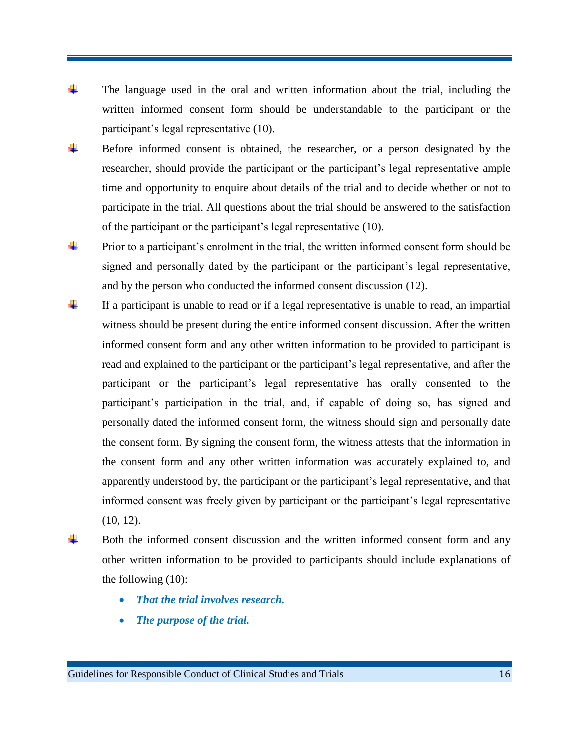- 4. The language used in the oral and written information about the trial, including the written informed consent form should be understandable to the participant or the participant's legal representative (10).
- ÷ Before informed consent is obtained, the researcher, or a person designated by the researcher, should provide the participant or the participant's legal representative ample time and opportunity to enquire about details of the trial and to decide whether or not to participate in the trial. All questions about the trial should be answered to the satisfaction of the participant or the participant's legal representative (10).
- ÷ Prior to a participant's enrolment in the trial, the written informed consent form should be signed and personally dated by the participant or the participant's legal representative, and by the person who conducted the informed consent discussion (12).
- ш. If a participant is unable to read or if a legal representative is unable to read, an impartial witness should be present during the entire informed consent discussion. After the written informed consent form and any other written information to be provided to participant is read and explained to the participant or the participant's legal representative, and after the participant or the participant's legal representative has orally consented to the participant's participation in the trial, and, if capable of doing so, has signed and personally dated the informed consent form, the witness should sign and personally date the consent form. By signing the consent form, the witness attests that the information in the consent form and any other written information was accurately explained to, and apparently understood by, the participant or the participant's legal representative, and that informed consent was freely given by participant or the participant's legal representative (10, 12).
- ÷ Both the informed consent discussion and the written informed consent form and any other written information to be provided to participants should include explanations of the following (10):
	- *That the trial involves research.*
	- *The purpose of the trial.*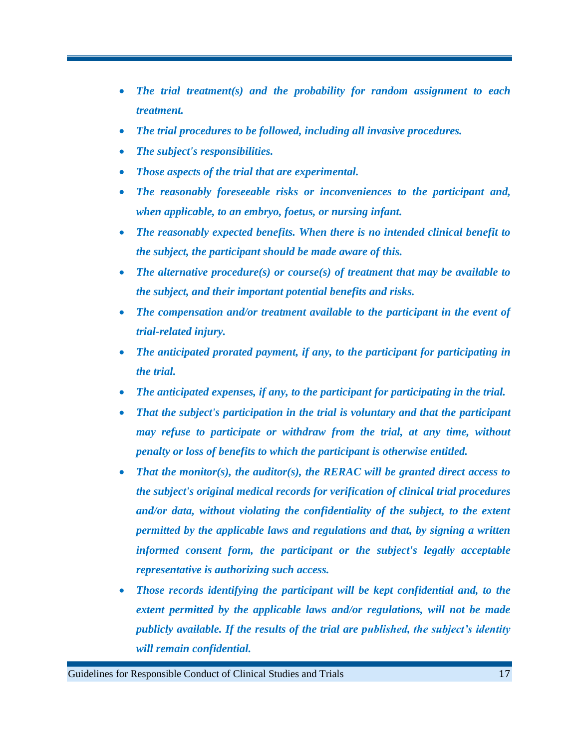- *The trial treatment(s) and the probability for random assignment to each treatment.*
- *The trial procedures to be followed, including all invasive procedures.*
- *The subject's responsibilities.*
- *Those aspects of the trial that are experimental.*
- *The reasonably foreseeable risks or inconveniences to the participant and, when applicable, to an embryo, foetus, or nursing infant.*
- *The reasonably expected benefits. When there is no intended clinical benefit to the subject, the participant should be made aware of this.*
- *The alternative procedure(s) or course(s) of treatment that may be available to the subject, and their important potential benefits and risks.*
- *The compensation and/or treatment available to the participant in the event of trial-related injury.*
- *The anticipated prorated payment, if any, to the participant for participating in the trial.*
- *The anticipated expenses, if any, to the participant for participating in the trial.*
- *That the subject's participation in the trial is voluntary and that the participant may refuse to participate or withdraw from the trial, at any time, without penalty or loss of benefits to which the participant is otherwise entitled.*
- *That the monitor(s), the auditor(s), the RERAC will be granted direct access to the subject's original medical records for verification of clinical trial procedures and/or data, without violating the confidentiality of the subject, to the extent permitted by the applicable laws and regulations and that, by signing a written informed consent form, the participant or the subject's legally acceptable representative is authorizing such access.*
- *Those records identifying the participant will be kept confidential and, to the extent permitted by the applicable laws and/or regulations, will not be made publicly available. If the results of the trial are published, the subject's identity will remain confidential.*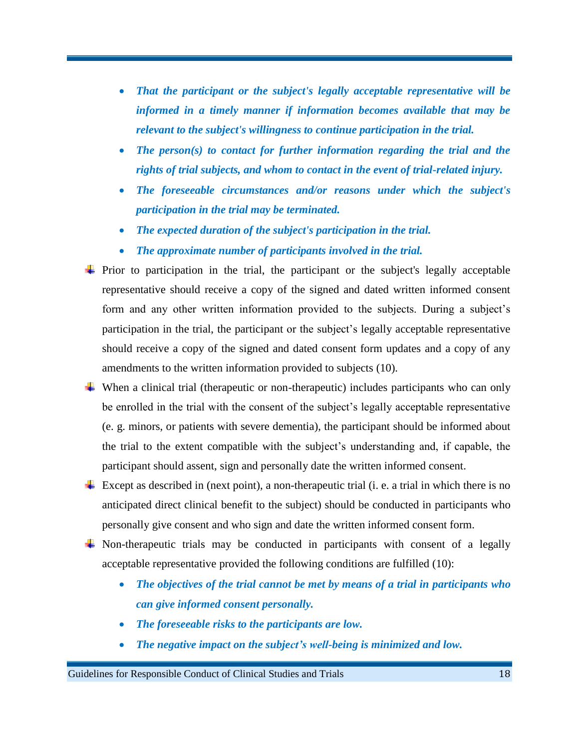- *That the participant or the subject's legally acceptable representative will be informed in a timely manner if information becomes available that may be relevant to the subject's willingness to continue participation in the trial.*
- *The person(s) to contact for further information regarding the trial and the rights of trial subjects, and whom to contact in the event of trial-related injury.*
- *The foreseeable circumstances and/or reasons under which the subject's participation in the trial may be terminated.*
- *The expected duration of the subject's participation in the trial.*
- *The approximate number of participants involved in the trial.*
- $\ddot{\phantom{1}}$  Prior to participation in the trial, the participant or the subject's legally acceptable representative should receive a copy of the signed and dated written informed consent form and any other written information provided to the subjects. During a subject's participation in the trial, the participant or the subject's legally acceptable representative should receive a copy of the signed and dated consent form updates and a copy of any amendments to the written information provided to subjects (10).
- When a clinical trial (therapeutic or non-therapeutic) includes participants who can only be enrolled in the trial with the consent of the subject's legally acceptable representative (e. g. minors, or patients with severe dementia), the participant should be informed about the trial to the extent compatible with the subject's understanding and, if capable, the participant should assent, sign and personally date the written informed consent.
- Except as described in (next point), a non-therapeutic trial (i. e. a trial in which there is no anticipated direct clinical benefit to the subject) should be conducted in participants who personally give consent and who sign and date the written informed consent form.
- $\overline{\phantom{a}}$  Non-therapeutic trials may be conducted in participants with consent of a legally acceptable representative provided the following conditions are fulfilled (10):
	- *The objectives of the trial cannot be met by means of a trial in participants who can give informed consent personally.*
	- *The foreseeable risks to the participants are low.*
	- *The negative impact on the subject's well-being is minimized and low.*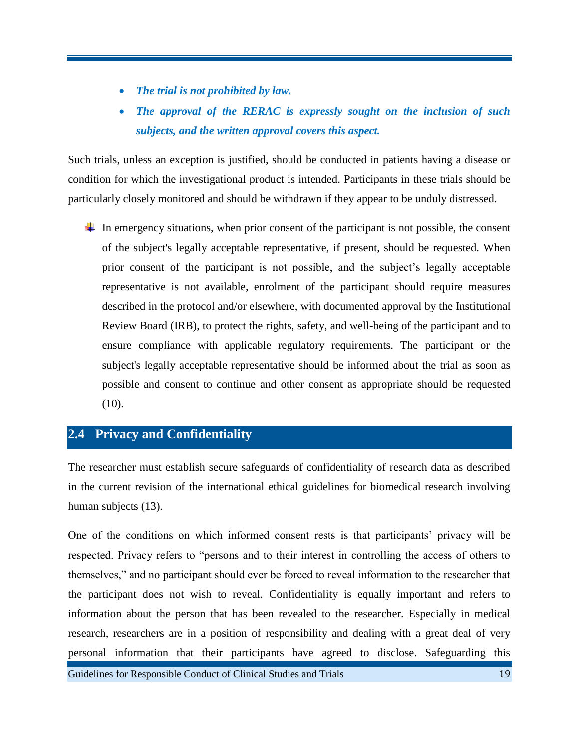- *The trial is not prohibited by law.*
- *The approval of the RERAC is expressly sought on the inclusion of such subjects, and the written approval covers this aspect.*

Such trials, unless an exception is justified, should be conducted in patients having a disease or condition for which the investigational product is intended. Participants in these trials should be particularly closely monitored and should be withdrawn if they appear to be unduly distressed.

In emergency situations, when prior consent of the participant is not possible, the consent of the subject's legally acceptable representative, if present, should be requested. When prior consent of the participant is not possible, and the subject's legally acceptable representative is not available, enrolment of the participant should require measures described in the protocol and/or elsewhere, with documented approval by the Institutional Review Board (IRB), to protect the rights, safety, and well-being of the participant and to ensure compliance with applicable regulatory requirements. The participant or the subject's legally acceptable representative should be informed about the trial as soon as possible and consent to continue and other consent as appropriate should be requested  $(10).$ 

## <span id="page-25-0"></span>**2.4 Privacy and Confidentiality**

The researcher must establish secure safeguards of confidentiality of research data as described in the current revision of the international ethical guidelines for biomedical research involving human subjects (13).

One of the conditions on which informed consent rests is that participants' privacy will be respected. Privacy refers to "persons and to their interest in controlling the access of others to themselves," and no participant should ever be forced to reveal information to the researcher that the participant does not wish to reveal. Confidentiality is equally important and refers to information about the person that has been revealed to the researcher. Especially in medical research, researchers are in a position of responsibility and dealing with a great deal of very personal information that their participants have agreed to disclose. Safeguarding this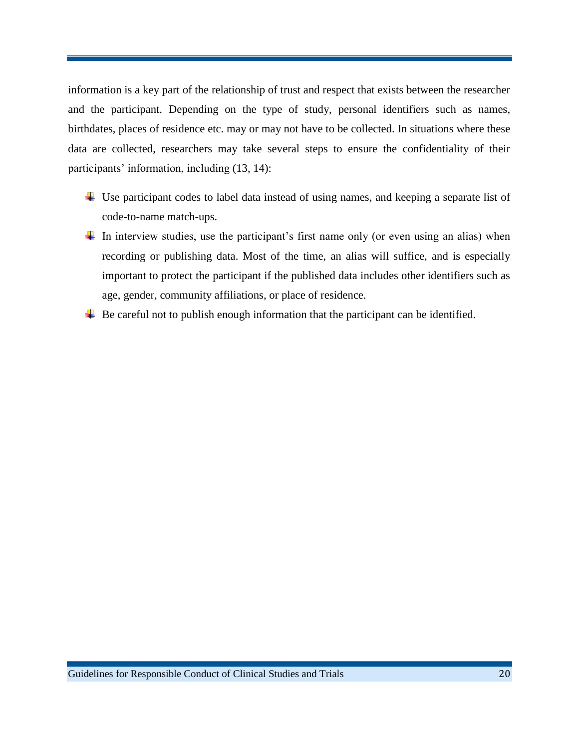information is a key part of the relationship of trust and respect that exists between the researcher and the participant. Depending on the type of study, personal identifiers such as names, birthdates, places of residence etc. may or may not have to be collected. In situations where these data are collected, researchers may take several steps to ensure the confidentiality of their participants' information, including (13, 14):

- Use participant codes to label data instead of using names, and keeping a separate list of code-to-name match-ups.
- In interview studies, use the participant's first name only (or even using an alias) when recording or publishing data. Most of the time, an alias will suffice, and is especially important to protect the participant if the published data includes other identifiers such as age, gender, community affiliations, or place of residence.
- $\overline{\phantom{a}}$  Be careful not to publish enough information that the participant can be identified.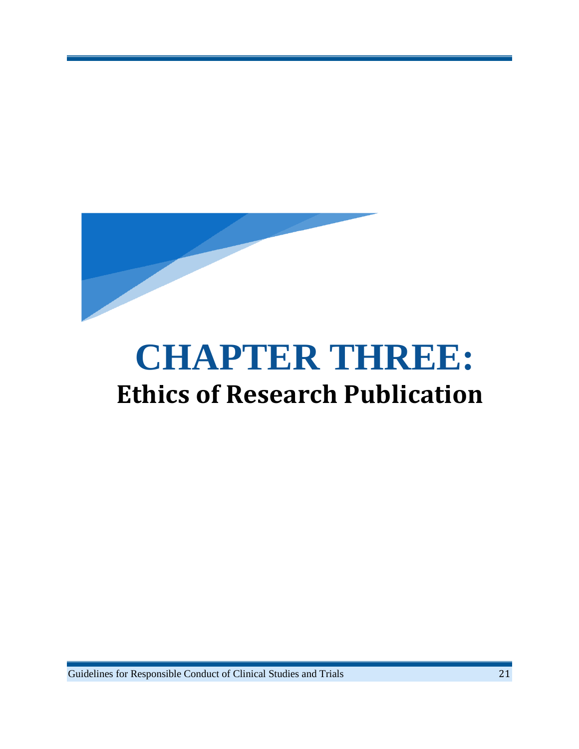

# **CHAPTER THREE: Ethics of Research Publication**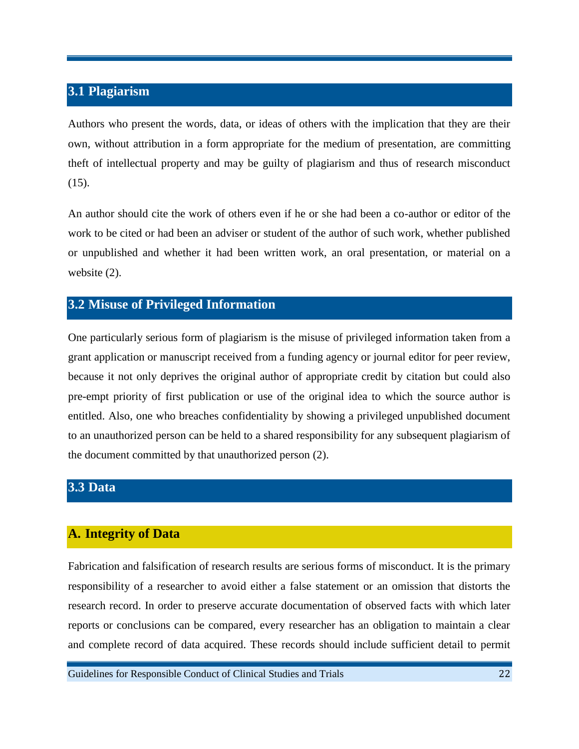## <span id="page-28-0"></span>**3.1 Plagiarism**

Authors who present the words, data, or ideas of others with the implication that they are their own, without attribution in a form appropriate for the medium of presentation, are committing theft of intellectual property and may be guilty of plagiarism and thus of research misconduct (15).

An author should cite the work of others even if he or she had been a co-author or editor of the work to be cited or had been an adviser or student of the author of such work, whether published or unpublished and whether it had been written work, an oral presentation, or material on a website (2).

#### <span id="page-28-1"></span>**3.2 Misuse of Privileged Information**

One particularly serious form of plagiarism is the misuse of privileged information taken from a grant application or manuscript received from a funding agency or journal editor for peer review, because it not only deprives the original author of appropriate credit by citation but could also pre-empt priority of first publication or use of the original idea to which the source author is entitled. Also, one who breaches confidentiality by showing a privileged unpublished document to an unauthorized person can be held to a shared responsibility for any subsequent plagiarism of the document committed by that unauthorized person (2).

#### <span id="page-28-2"></span>**3.3 Data**

#### <span id="page-28-3"></span>**A. Integrity of Data**

Fabrication and falsification of research results are serious forms of misconduct. It is the primary responsibility of a researcher to avoid either a false statement or an omission that distorts the research record. In order to preserve accurate documentation of observed facts with which later reports or conclusions can be compared, every researcher has an obligation to maintain a clear and complete record of data acquired. These records should include sufficient detail to permit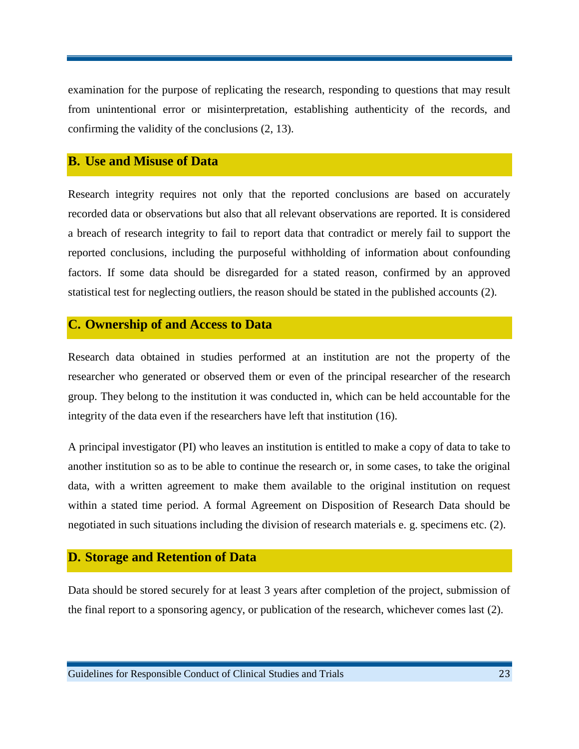examination for the purpose of replicating the research, responding to questions that may result from unintentional error or misinterpretation, establishing authenticity of the records, and confirming the validity of the conclusions (2, 13).

#### <span id="page-29-0"></span>**B. Use and Misuse of Data**

Research integrity requires not only that the reported conclusions are based on accurately recorded data or observations but also that all relevant observations are reported. It is considered a breach of research integrity to fail to report data that contradict or merely fail to support the reported conclusions, including the purposeful withholding of information about confounding factors. If some data should be disregarded for a stated reason, confirmed by an approved statistical test for neglecting outliers, the reason should be stated in the published accounts (2).

#### <span id="page-29-1"></span>**C. Ownership of and Access to Data**

Research data obtained in studies performed at an institution are not the property of the researcher who generated or observed them or even of the principal researcher of the research group. They belong to the institution it was conducted in, which can be held accountable for the integrity of the data even if the researchers have left that institution (16).

A principal investigator (PI) who leaves an institution is entitled to make a copy of data to take to another institution so as to be able to continue the research or, in some cases, to take the original data, with a written agreement to make them available to the original institution on request within a stated time period. A formal Agreement on Disposition of Research Data should be negotiated in such situations including the division of research materials e. g. specimens etc. (2).

#### <span id="page-29-2"></span>**D. Storage and Retention of Data**

Data should be stored securely for at least 3 years after completion of the project, submission of the final report to a sponsoring agency, or publication of the research, whichever comes last (2).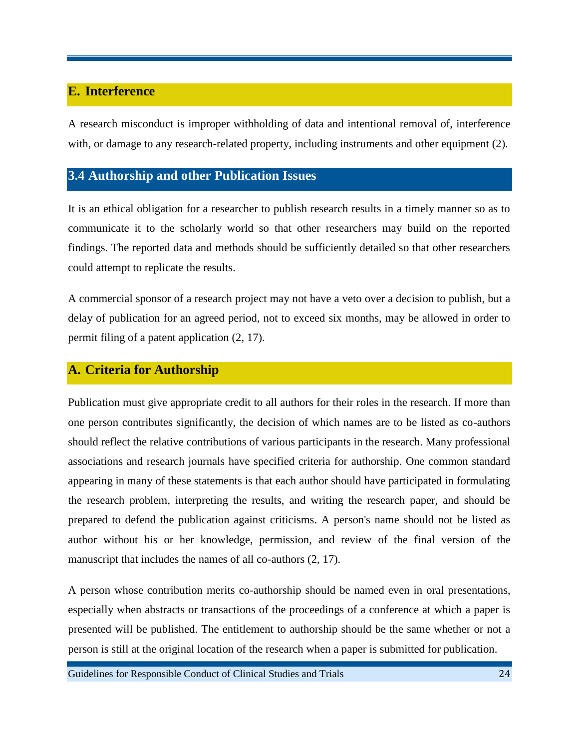#### <span id="page-30-0"></span>**E. Interference**

A research misconduct is improper withholding of data and intentional removal of, interference with, or damage to any research-related property, including instruments and other equipment (2).

#### <span id="page-30-1"></span>**3.4 Authorship and other Publication Issues**

It is an ethical obligation for a researcher to publish research results in a timely manner so as to communicate it to the scholarly world so that other researchers may build on the reported findings. The reported data and methods should be sufficiently detailed so that other researchers could attempt to replicate the results.

A commercial sponsor of a research project may not have a veto over a decision to publish, but a delay of publication for an agreed period, not to exceed six months, may be allowed in order to permit filing of a patent application (2, 17).

#### <span id="page-30-2"></span>**A. Criteria for Authorship**

Publication must give appropriate credit to all authors for their roles in the research. If more than one person contributes significantly, the decision of which names are to be listed as co-authors should reflect the relative contributions of various participants in the research. Many professional associations and research journals have specified criteria for authorship. One common standard appearing in many of these statements is that each author should have participated in formulating the research problem, interpreting the results, and writing the research paper, and should be prepared to defend the publication against criticisms. A person's name should not be listed as author without his or her knowledge, permission, and review of the final version of the manuscript that includes the names of all co-authors  $(2, 17)$ .

A person whose contribution merits co-authorship should be named even in oral presentations, especially when abstracts or transactions of the proceedings of a conference at which a paper is presented will be published. The entitlement to authorship should be the same whether or not a person is still at the original location of the research when a paper is submitted for publication.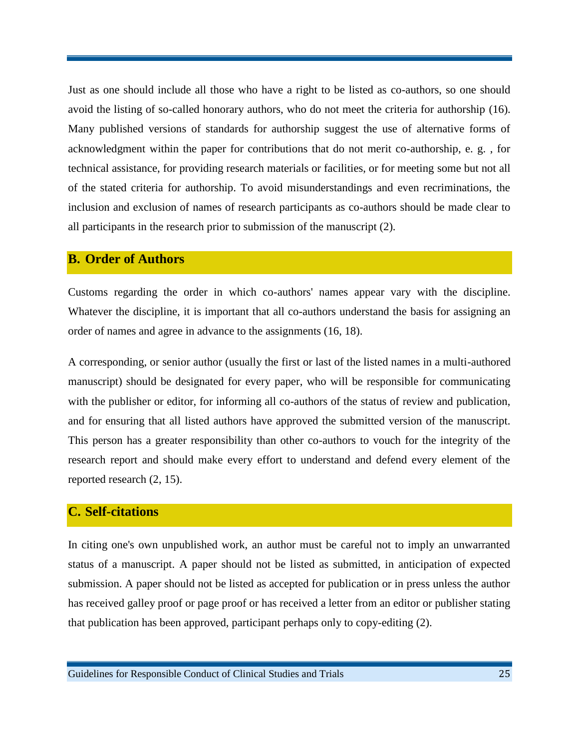Just as one should include all those who have a right to be listed as co-authors, so one should avoid the listing of so-called honorary authors, who do not meet the criteria for authorship (16). Many published versions of standards for authorship suggest the use of alternative forms of acknowledgment within the paper for contributions that do not merit co-authorship, e. g. , for technical assistance, for providing research materials or facilities, or for meeting some but not all of the stated criteria for authorship. To avoid misunderstandings and even recriminations, the inclusion and exclusion of names of research participants as co-authors should be made clear to all participants in the research prior to submission of the manuscript (2).

#### <span id="page-31-0"></span>**B. Order of Authors**

Customs regarding the order in which co-authors' names appear vary with the discipline. Whatever the discipline, it is important that all co-authors understand the basis for assigning an order of names and agree in advance to the assignments (16, 18).

A corresponding, or senior author (usually the first or last of the listed names in a multi-authored manuscript) should be designated for every paper, who will be responsible for communicating with the publisher or editor, for informing all co-authors of the status of review and publication, and for ensuring that all listed authors have approved the submitted version of the manuscript. This person has a greater responsibility than other co-authors to vouch for the integrity of the research report and should make every effort to understand and defend every element of the reported research (2, 15).

#### <span id="page-31-1"></span>**C. Self-citations**

In citing one's own unpublished work, an author must be careful not to imply an unwarranted status of a manuscript. A paper should not be listed as submitted, in anticipation of expected submission. A paper should not be listed as accepted for publication or in press unless the author has received galley proof or page proof or has received a letter from an editor or publisher stating that publication has been approved, participant perhaps only to copy-editing (2).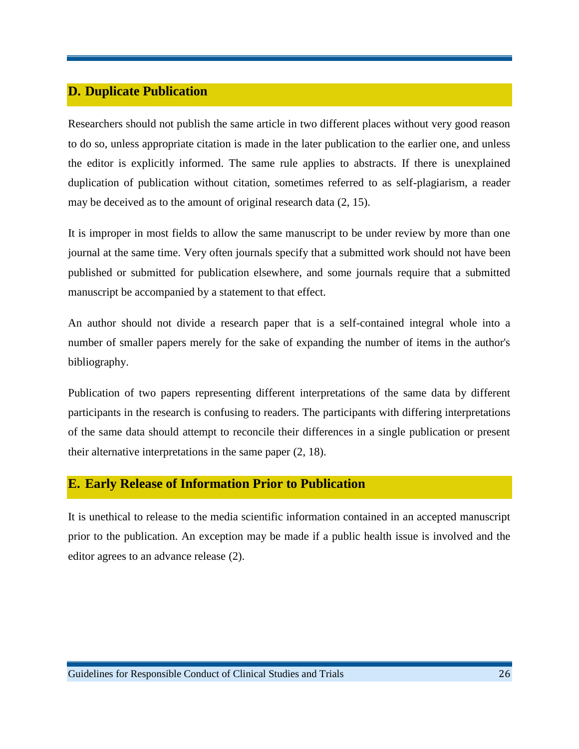# <span id="page-32-0"></span>**D. Duplicate Publication**

Researchers should not publish the same article in two different places without very good reason to do so, unless appropriate citation is made in the later publication to the earlier one, and unless the editor is explicitly informed. The same rule applies to abstracts. If there is unexplained duplication of publication without citation, sometimes referred to as self-plagiarism, a reader may be deceived as to the amount of original research data (2, 15).

It is improper in most fields to allow the same manuscript to be under review by more than one journal at the same time. Very often journals specify that a submitted work should not have been published or submitted for publication elsewhere, and some journals require that a submitted manuscript be accompanied by a statement to that effect.

An author should not divide a research paper that is a self-contained integral whole into a number of smaller papers merely for the sake of expanding the number of items in the author's bibliography.

Publication of two papers representing different interpretations of the same data by different participants in the research is confusing to readers. The participants with differing interpretations of the same data should attempt to reconcile their differences in a single publication or present their alternative interpretations in the same paper (2, 18).

#### <span id="page-32-1"></span>**E. Early Release of Information Prior to Publication**

It is unethical to release to the media scientific information contained in an accepted manuscript prior to the publication. An exception may be made if a public health issue is involved and the editor agrees to an advance release (2).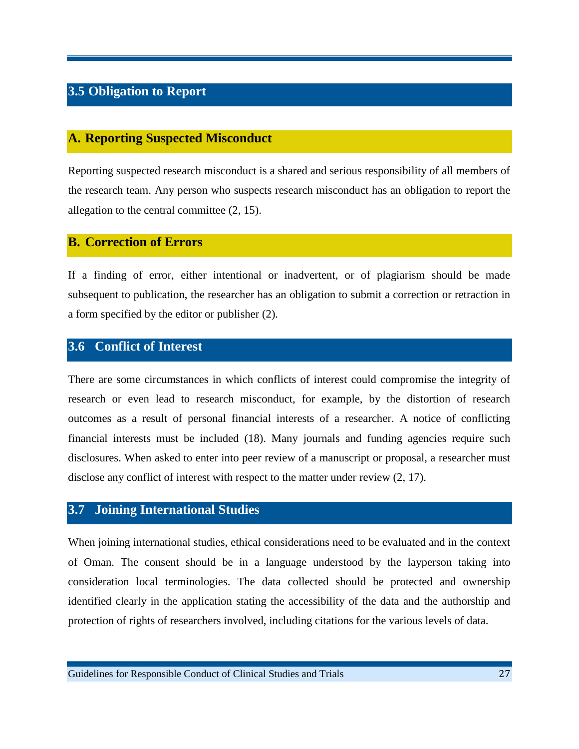# <span id="page-33-0"></span>**3.5 Obligation to Report**

#### <span id="page-33-1"></span>**A. Reporting Suspected Misconduct**

Reporting suspected research misconduct is a shared and serious responsibility of all members of the research team. Any person who suspects research misconduct has an obligation to report the allegation to the central committee (2, 15).

#### <span id="page-33-2"></span>**B. Correction of Errors**

If a finding of error, either intentional or inadvertent, or of plagiarism should be made subsequent to publication, the researcher has an obligation to submit a correction or retraction in a form specified by the editor or publisher (2).

#### <span id="page-33-3"></span>**3.6 Conflict of Interest**

There are some circumstances in which conflicts of interest could compromise the integrity of research or even lead to research misconduct, for example, by the distortion of research outcomes as a result of personal financial interests of a researcher. A notice of conflicting financial interests must be included (18). Many journals and funding agencies require such disclosures. When asked to enter into peer review of a manuscript or proposal, a researcher must disclose any conflict of interest with respect to the matter under review (2, 17).

#### <span id="page-33-4"></span>**3.7 Joining International Studies**

When joining international studies, ethical considerations need to be evaluated and in the context of Oman. The consent should be in a language understood by the layperson taking into consideration local terminologies. The data collected should be protected and ownership identified clearly in the application stating the accessibility of the data and the authorship and protection of rights of researchers involved, including citations for the various levels of data.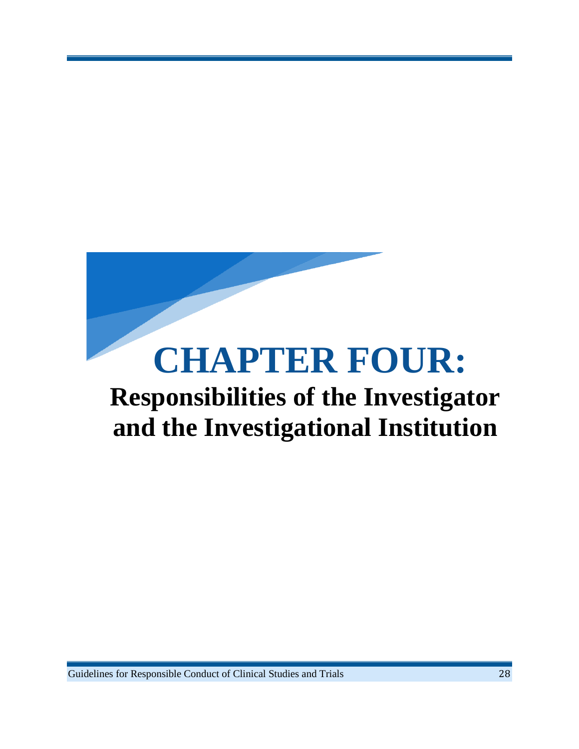# **CHAPTER FOUR: Responsibilities of the Investigator and the Investigational Institution**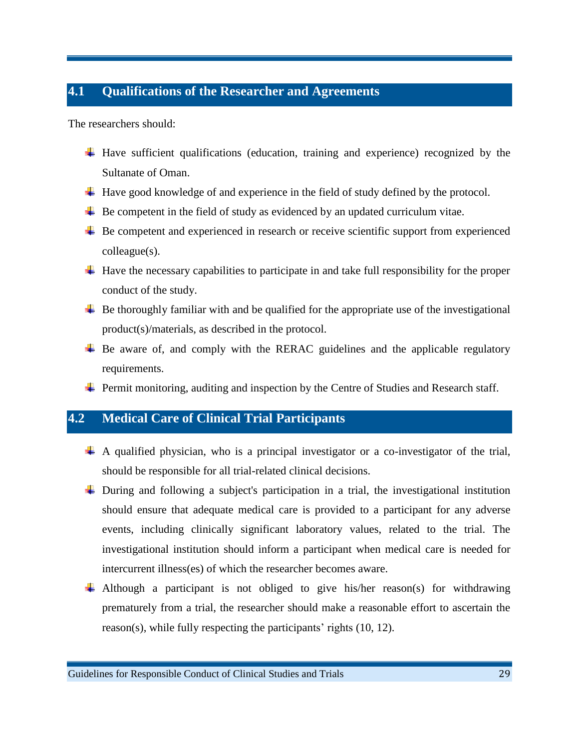# <span id="page-35-0"></span>**4.1 Qualifications of the Researcher and Agreements**

The researchers should:

- $\overline{\phantom{a}}$  Have sufficient qualifications (education, training and experience) recognized by the Sultanate of Oman.
- $\ddot{\phantom{1}}$  Have good knowledge of and experience in the field of study defined by the protocol.
- $\overline{\phantom{a}}$  Be competent in the field of study as evidenced by an updated curriculum vitae.
- $\overline{\phantom{a}}$  Be competent and experienced in research or receive scientific support from experienced colleague(s).
- $\ddot{\phantom{1}}$  Have the necessary capabilities to participate in and take full responsibility for the proper conduct of the study.
- $\overline{\phantom{a}}$  Be thoroughly familiar with and be qualified for the appropriate use of the investigational product(s)/materials, as described in the protocol.
- $\overline{\phantom{a}}$  Be aware of, and comply with the RERAC guidelines and the applicable regulatory requirements.
- $\ddot{\phantom{1}}$  Permit monitoring, auditing and inspection by the Centre of Studies and Research staff.

## <span id="page-35-1"></span>**4.2 Medical Care of Clinical Trial Participants**

- $\overline{+}$  A qualified physician, who is a principal investigator or a co-investigator of the trial, should be responsible for all trial-related clinical decisions.
- $\overline{\phantom{a}}$  During and following a subject's participation in a trial, the investigational institution should ensure that adequate medical care is provided to a participant for any adverse events, including clinically significant laboratory values, related to the trial. The investigational institution should inform a participant when medical care is needed for intercurrent illness(es) of which the researcher becomes aware.
- Although a participant is not obliged to give his/her reason(s) for withdrawing prematurely from a trial, the researcher should make a reasonable effort to ascertain the reason(s), while fully respecting the participants' rights (10, 12).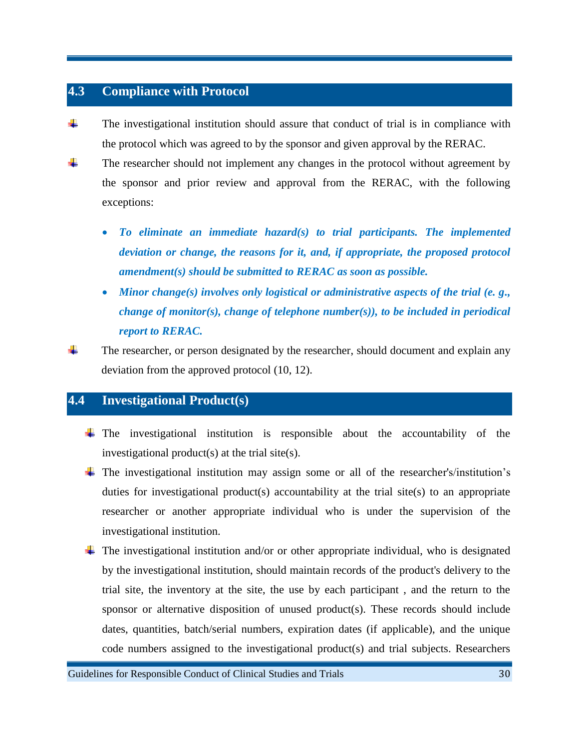#### **4.3 Compliance with Protocol**

- ÷ The investigational institution should assure that conduct of trial is in compliance with the protocol which was agreed to by the sponsor and given approval by the RERAC.
- ÷ The researcher should not implement any changes in the protocol without agreement by the sponsor and prior review and approval from the RERAC, with the following exceptions:
	- *To eliminate an immediate hazard(s) to trial participants. The implemented deviation or change, the reasons for it, and, if appropriate, the proposed protocol amendment(s) should be submitted to RERAC as soon as possible.*
	- *Minor change(s) involves only logistical or administrative aspects of the trial (e. g., change of monitor(s), change of telephone number(s)), to be included in periodical report to RERAC.*
- ÷ The researcher, or person designated by the researcher, should document and explain any deviation from the approved protocol (10, 12).

#### **4.4 Investigational Product(s)**

- $\pm$  The investigational institution is responsible about the accountability of the investigational product(s) at the trial site(s).
- $\ddot{\phantom{1}}$  The investigational institution may assign some or all of the researcher's/institution's duties for investigational product(s) accountability at the trial site(s) to an appropriate researcher or another appropriate individual who is under the supervision of the investigational institution.
- $\pm$  The investigational institution and/or or other appropriate individual, who is designated by the investigational institution, should maintain records of the product's delivery to the trial site, the inventory at the site, the use by each participant , and the return to the sponsor or alternative disposition of unused product(s). These records should include dates, quantities, batch/serial numbers, expiration dates (if applicable), and the unique code numbers assigned to the investigational product(s) and trial subjects. Researchers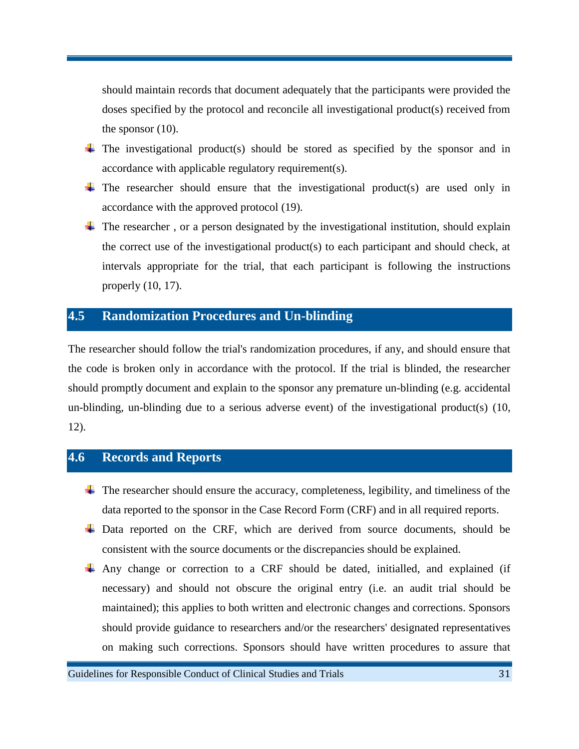should maintain records that document adequately that the participants were provided the doses specified by the protocol and reconcile all investigational product(s) received from the sponsor  $(10)$ .

- The investigational product(s) should be stored as specified by the sponsor and in accordance with applicable regulatory requirement(s).
- The researcher should ensure that the investigational product(s) are used only in accordance with the approved protocol (19).
- $\pm$  The researcher, or a person designated by the investigational institution, should explain the correct use of the investigational product(s) to each participant and should check, at intervals appropriate for the trial, that each participant is following the instructions properly (10, 17).

#### **4.5 Randomization Procedures and Un-blinding**

The researcher should follow the trial's randomization procedures, if any, and should ensure that the code is broken only in accordance with the protocol. If the trial is blinded, the researcher should promptly document and explain to the sponsor any premature un-blinding (e.g. accidental un-blinding, un-blinding due to a serious adverse event) of the investigational product(s) (10, 12).

#### **4.6 Records and Reports**

- The researcher should ensure the accuracy, completeness, legibility, and timeliness of the data reported to the sponsor in the Case Record Form (CRF) and in all required reports.
- Data reported on the CRF, which are derived from source documents, should be consistent with the source documents or the discrepancies should be explained.
- Any change or correction to a CRF should be dated, initialled, and explained (if necessary) and should not obscure the original entry (i.e. an audit trial should be maintained); this applies to both written and electronic changes and corrections. Sponsors should provide guidance to researchers and/or the researchers' designated representatives on making such corrections. Sponsors should have written procedures to assure that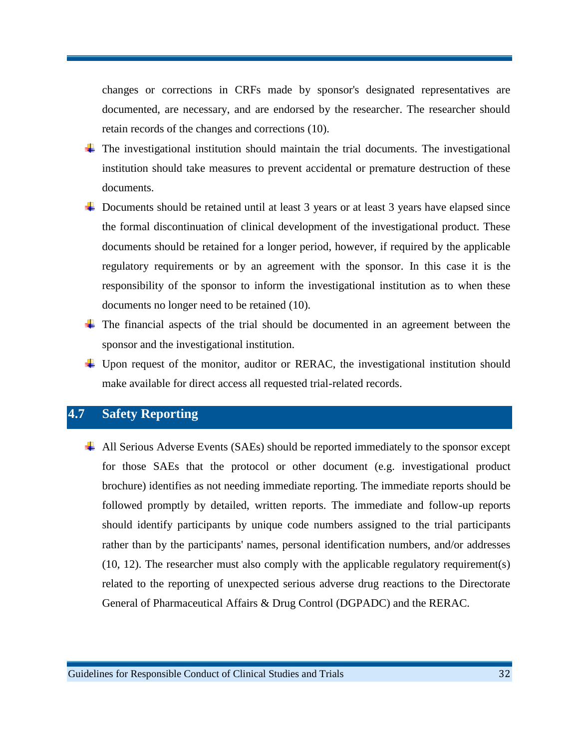changes or corrections in CRFs made by sponsor's designated representatives are documented, are necessary, and are endorsed by the researcher. The researcher should retain records of the changes and corrections (10).

- $\pm$  The investigational institution should maintain the trial documents. The investigational institution should take measures to prevent accidental or premature destruction of these documents.
- Documents should be retained until at least 3 years or at least 3 years have elapsed since the formal discontinuation of clinical development of the investigational product. These documents should be retained for a longer period, however, if required by the applicable regulatory requirements or by an agreement with the sponsor. In this case it is the responsibility of the sponsor to inform the investigational institution as to when these documents no longer need to be retained (10).
- The financial aspects of the trial should be documented in an agreement between the sponsor and the investigational institution.
- Upon request of the monitor, auditor or RERAC, the investigational institution should make available for direct access all requested trial-related records.

#### **4.7 Safety Reporting**

All Serious Adverse Events (SAEs) should be reported immediately to the sponsor except for those SAEs that the protocol or other document (e.g. investigational product brochure) identifies as not needing immediate reporting. The immediate reports should be followed promptly by detailed, written reports. The immediate and follow-up reports should identify participants by unique code numbers assigned to the trial participants rather than by the participants' names, personal identification numbers, and/or addresses (10, 12). The researcher must also comply with the applicable regulatory requirement(s) related to the reporting of unexpected serious adverse drug reactions to the Directorate General of Pharmaceutical Affairs & Drug Control (DGPADC) and the RERAC.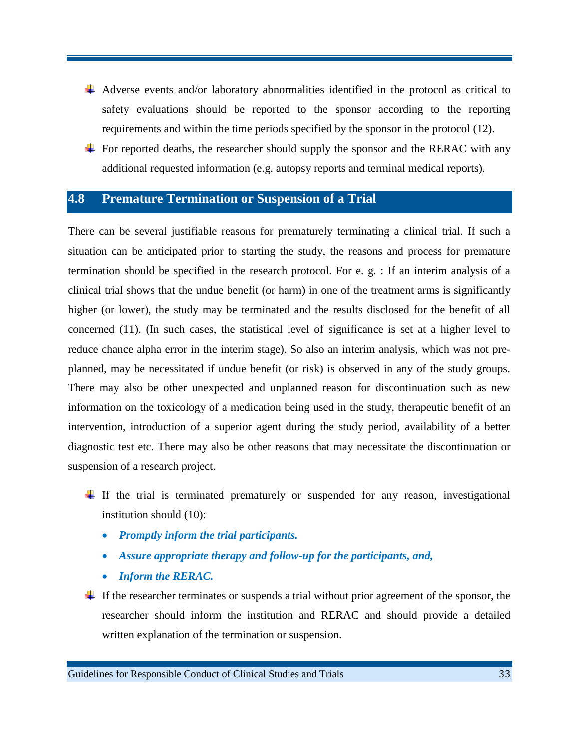- Adverse events and/or laboratory abnormalities identified in the protocol as critical to safety evaluations should be reported to the sponsor according to the reporting requirements and within the time periods specified by the sponsor in the protocol (12).
- For reported deaths, the researcher should supply the sponsor and the RERAC with any additional requested information (e.g. autopsy reports and terminal medical reports).

#### **4.8 Premature Termination or Suspension of a Trial**

There can be several justifiable reasons for prematurely terminating a clinical trial. If such a situation can be anticipated prior to starting the study, the reasons and process for premature termination should be specified in the research protocol. For e. g. : If an interim analysis of a clinical trial shows that the undue benefit (or harm) in one of the treatment arms is significantly higher (or lower), the study may be terminated and the results disclosed for the benefit of all concerned (11). (In such cases, the statistical level of significance is set at a higher level to reduce chance alpha error in the interim stage). So also an interim analysis, which was not preplanned, may be necessitated if undue benefit (or risk) is observed in any of the study groups. There may also be other unexpected and unplanned reason for discontinuation such as new information on the toxicology of a medication being used in the study, therapeutic benefit of an intervention, introduction of a superior agent during the study period, availability of a better diagnostic test etc. There may also be other reasons that may necessitate the discontinuation or suspension of a research project.

- $\perp$  If the trial is terminated prematurely or suspended for any reason, investigational institution should (10):
	- *Promptly inform the trial participants.*
	- *Assure appropriate therapy and follow-up for the participants, and,*
	- *Inform the RERAC.*
- $\pm$  If the researcher terminates or suspends a trial without prior agreement of the sponsor, the researcher should inform the institution and RERAC and should provide a detailed written explanation of the termination or suspension.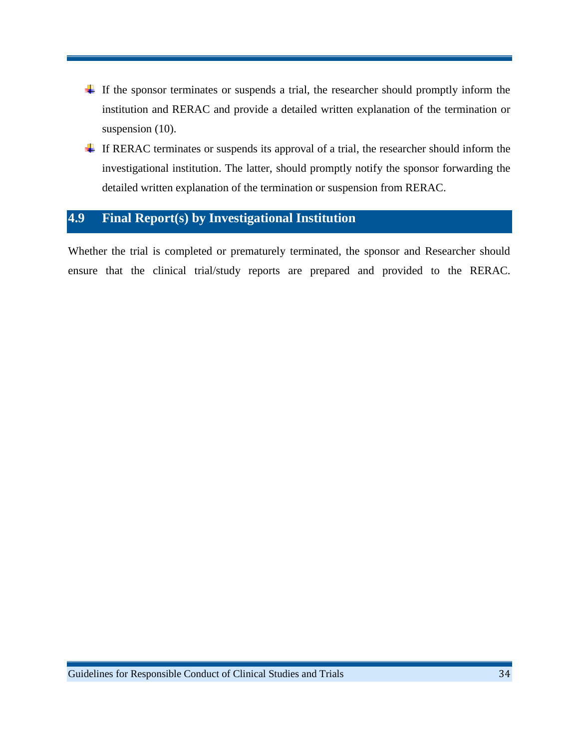- $\pm$  If the sponsor terminates or suspends a trial, the researcher should promptly inform the institution and RERAC and provide a detailed written explanation of the termination or suspension (10).
- $\pm$  If RERAC terminates or suspends its approval of a trial, the researcher should inform the investigational institution. The latter, should promptly notify the sponsor forwarding the detailed written explanation of the termination or suspension from RERAC.

#### **4.9 Final Report(s) by Investigational Institution**

Whether the trial is completed or prematurely terminated, the sponsor and Researcher should ensure that the clinical trial/study reports are prepared and provided to the RERAC.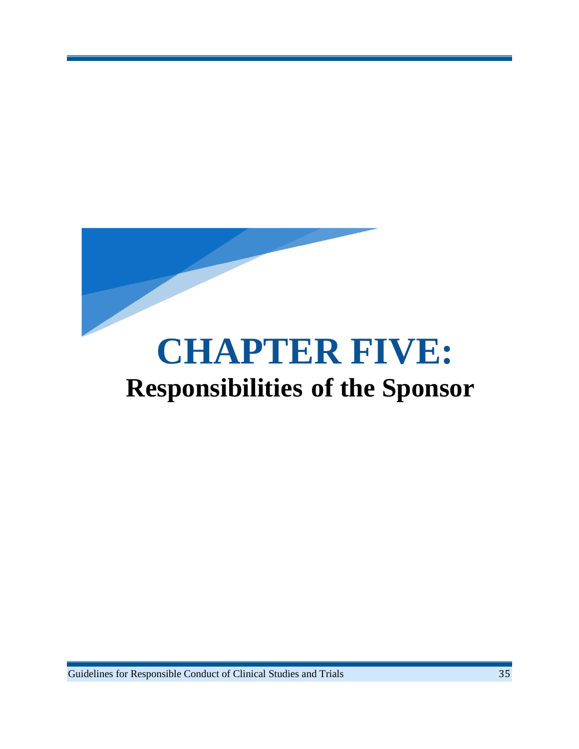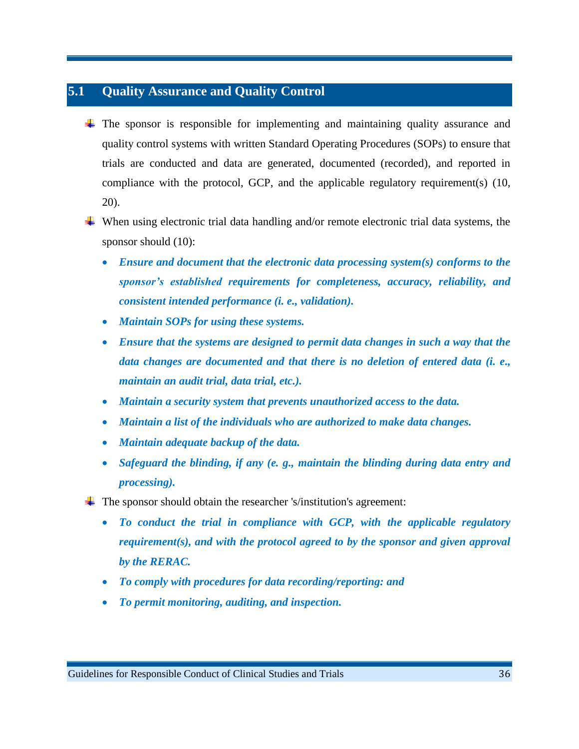#### **5.1 Quality Assurance and Quality Control**

- $\pm$  The sponsor is responsible for implementing and maintaining quality assurance and quality control systems with written Standard Operating Procedures (SOPs) to ensure that trials are conducted and data are generated, documented (recorded), and reported in compliance with the protocol, GCP, and the applicable regulatory requirement(s) (10, 20).
- When using electronic trial data handling and/or remote electronic trial data systems, the sponsor should (10):
	- *Ensure and document that the electronic data processing system(s) conforms to the sponsor's established requirements for completeness, accuracy, reliability, and consistent intended performance (i. e., validation).*
	- *Maintain SOPs for using these systems.*
	- *Ensure that the systems are designed to permit data changes in such a way that the data changes are documented and that there is no deletion of entered data (i. e., maintain an audit trial, data trial, etc.).*
	- *Maintain a security system that prevents unauthorized access to the data.*
	- *Maintain a list of the individuals who are authorized to make data changes.*
	- *Maintain adequate backup of the data.*
	- *Safeguard the blinding, if any (e. g., maintain the blinding during data entry and processing).*
- $\ddot{+}$  The sponsor should obtain the researcher 's/institution's agreement:
	- *To conduct the trial in compliance with GCP, with the applicable regulatory requirement(s), and with the protocol agreed to by the sponsor and given approval by the RERAC.*
	- *To comply with procedures for data recording/reporting: and*
	- *To permit monitoring, auditing, and inspection.*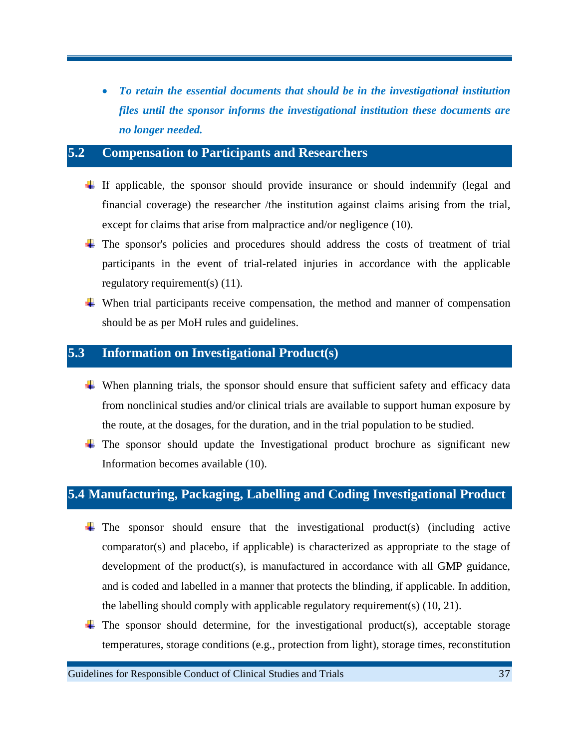*To retain the essential documents that should be in the investigational institution files until the sponsor informs the investigational institution these documents are no longer needed.* 

#### **5.2 Compensation to Participants and Researchers**

- $\pm$  If applicable, the sponsor should provide insurance or should indemnify (legal and financial coverage) the researcher /the institution against claims arising from the trial, except for claims that arise from malpractice and/or negligence (10).
- The sponsor's policies and procedures should address the costs of treatment of trial participants in the event of trial-related injuries in accordance with the applicable regulatory requirement(s) (11).
- $\ddot{\phantom{1}}$  When trial participants receive compensation, the method and manner of compensation should be as per MoH rules and guidelines.

#### **5.3 Information on Investigational Product(s)**

- When planning trials, the sponsor should ensure that sufficient safety and efficacy data from nonclinical studies and/or clinical trials are available to support human exposure by the route, at the dosages, for the duration, and in the trial population to be studied.
- $\pm$  The sponsor should update the Investigational product brochure as significant new Information becomes available (10).

#### **5.4 Manufacturing, Packaging, Labelling and Coding Investigational Product**

- $\pm$  The sponsor should ensure that the investigational product(s) (including active comparator(s) and placebo, if applicable) is characterized as appropriate to the stage of development of the product(s), is manufactured in accordance with all GMP guidance, and is coded and labelled in a manner that protects the blinding, if applicable. In addition, the labelling should comply with applicable regulatory requirement(s) (10, 21).
- $\ddot{\text{I}}$  The sponsor should determine, for the investigational product(s), acceptable storage temperatures, storage conditions (e.g., protection from light), storage times, reconstitution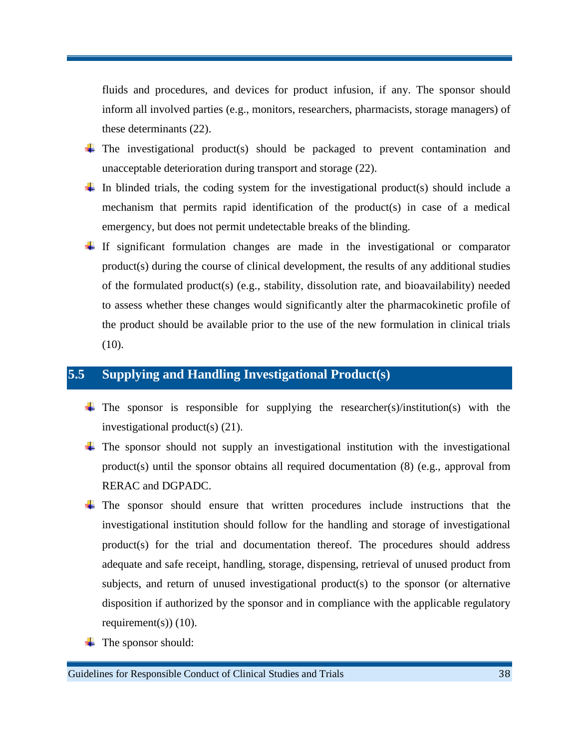fluids and procedures, and devices for product infusion, if any. The sponsor should inform all involved parties (e.g., monitors, researchers, pharmacists, storage managers) of these determinants (22).

- $\pm$  The investigational product(s) should be packaged to prevent contamination and unacceptable deterioration during transport and storage (22).
- In blinded trials, the coding system for the investigational product(s) should include a mechanism that permits rapid identification of the product(s) in case of a medical emergency, but does not permit undetectable breaks of the blinding.
- $\perp$  If significant formulation changes are made in the investigational or comparator product(s) during the course of clinical development, the results of any additional studies of the formulated product(s) (e.g., stability, dissolution rate, and bioavailability) needed to assess whether these changes would significantly alter the pharmacokinetic profile of the product should be available prior to the use of the new formulation in clinical trials  $(10).$

#### **5.5 Supplying and Handling Investigational Product(s)**

- $\pm$  The sponsor is responsible for supplying the researcher(s)/institution(s) with the investigational product(s) (21).
- $\pm$  The sponsor should not supply an investigational institution with the investigational product(s) until the sponsor obtains all required documentation (8) (e.g., approval from RERAC and DGPADC.
- The sponsor should ensure that written procedures include instructions that the investigational institution should follow for the handling and storage of investigational product(s) for the trial and documentation thereof. The procedures should address adequate and safe receipt, handling, storage, dispensing, retrieval of unused product from subjects, and return of unused investigational product(s) to the sponsor (or alternative disposition if authorized by the sponsor and in compliance with the applicable regulatory requirement(s))  $(10)$ .
- $\leftarrow$  The sponsor should: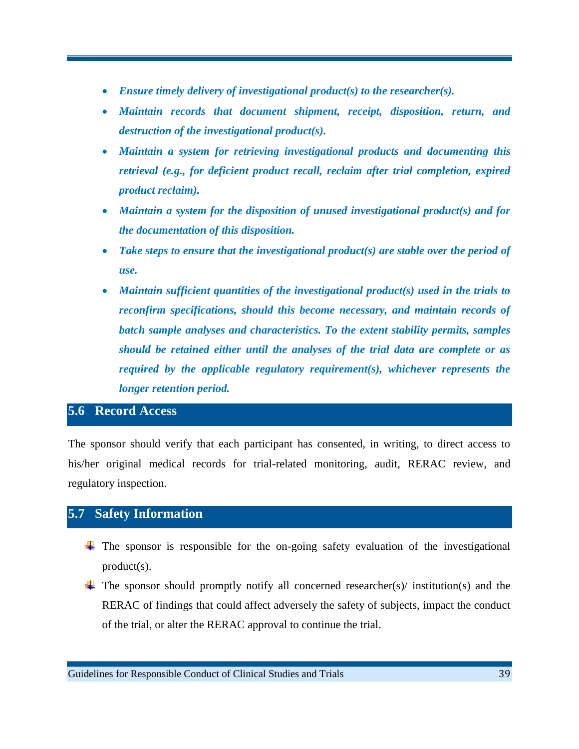- *Ensure timely delivery of investigational product(s) to the researcher(s).*
- *Maintain records that document shipment, receipt, disposition, return, and destruction of the investigational product(s).*
- *Maintain a system for retrieving investigational products and documenting this retrieval (e.g., for deficient product recall, reclaim after trial completion, expired product reclaim).*
- *Maintain a system for the disposition of unused investigational product(s) and for the documentation of this disposition.*
- *Take steps to ensure that the investigational product(s) are stable over the period of use.*
- *Maintain sufficient quantities of the investigational product(s) used in the trials to reconfirm specifications, should this become necessary, and maintain records of batch sample analyses and characteristics. To the extent stability permits, samples should be retained either until the analyses of the trial data are complete or as required by the applicable regulatory requirement(s), whichever represents the longer retention period.*

#### **5.6 Record Access**

The sponsor should verify that each participant has consented, in writing, to direct access to his/her original medical records for trial-related monitoring, audit, RERAC review, and regulatory inspection.

#### **5.7 Safety Information**

- $\ddot{\phantom{1}}$  The sponsor is responsible for the on-going safety evaluation of the investigational product(s).
- $\pm$  The sponsor should promptly notify all concerned researcher(s) institution(s) and the RERAC of findings that could affect adversely the safety of subjects, impact the conduct of the trial, or alter the RERAC approval to continue the trial.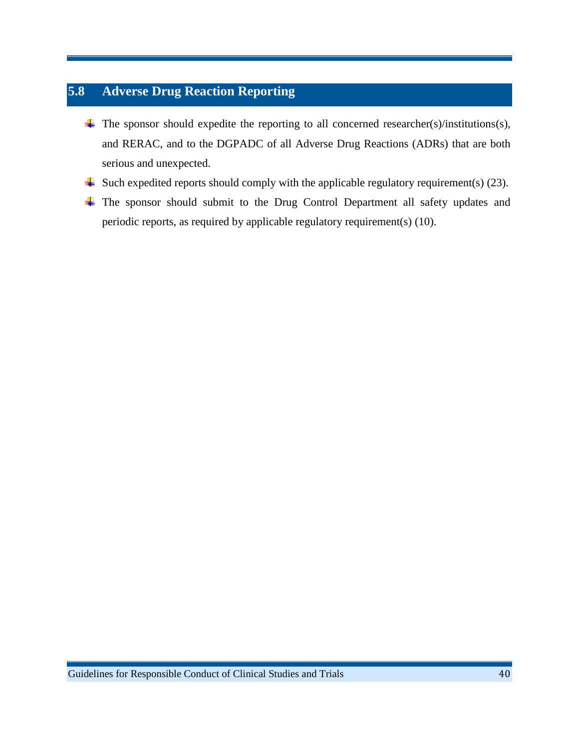### **5.8 Adverse Drug Reaction Reporting**

- $\ddot{\text{+}}$  The sponsor should expedite the reporting to all concerned researcher(s)/institutions(s), and RERAC, and to the DGPADC of all Adverse Drug Reactions (ADRs) that are both serious and unexpected.
- Such expedited reports should comply with the applicable regulatory requirement(s) (23).
- The sponsor should submit to the Drug Control Department all safety updates and periodic reports, as required by applicable regulatory requirement(s) (10).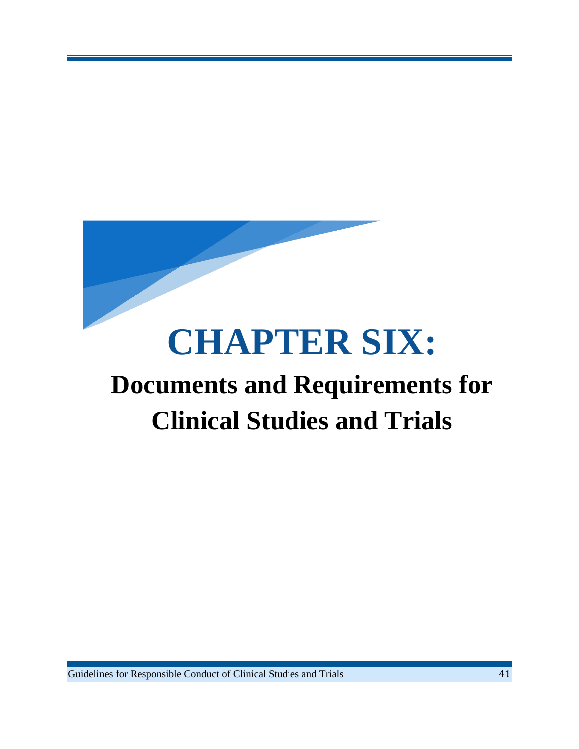## **CHAPTER SIX:**

## **Documents and Requirements for Clinical Studies and Trials**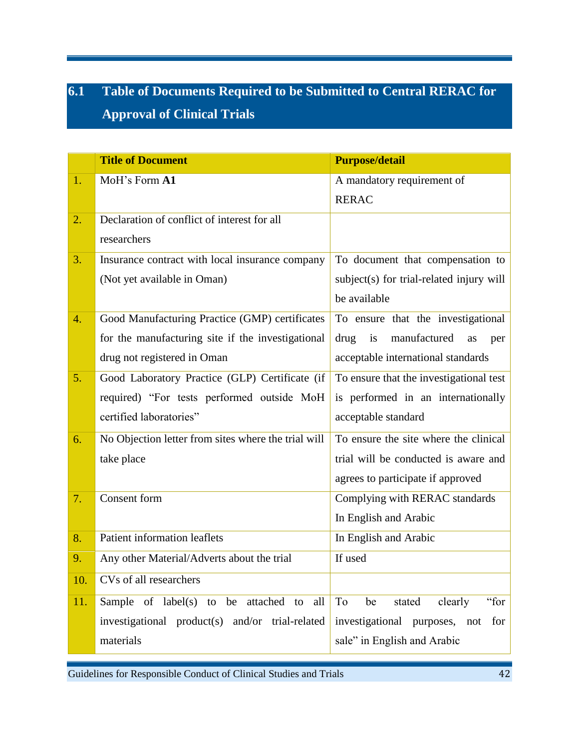## **6.1 Table of Documents Required to be Submitted to Central RERAC for Approval of Clinical Trials**

|     | <b>Title of Document</b>                            | <b>Purpose/detail</b>                    |  |  |
|-----|-----------------------------------------------------|------------------------------------------|--|--|
| 1.  | MoH's Form A1                                       | A mandatory requirement of               |  |  |
|     |                                                     | <b>RERAC</b>                             |  |  |
| 2.  | Declaration of conflict of interest for all         |                                          |  |  |
|     | researchers                                         |                                          |  |  |
| 3.  | Insurance contract with local insurance company     | To document that compensation to         |  |  |
|     | (Not yet available in Oman)                         | subject(s) for trial-related injury will |  |  |
|     |                                                     | be available                             |  |  |
| 4.  | Good Manufacturing Practice (GMP) certificates      | To ensure that the investigational       |  |  |
|     | for the manufacturing site if the investigational   | manufactured<br>drug<br>is<br>as<br>per  |  |  |
|     | drug not registered in Oman                         | acceptable international standards       |  |  |
| 5.  | Good Laboratory Practice (GLP) Certificate (if      | To ensure that the investigational test  |  |  |
|     | required) "For tests performed outside MoH          | is performed in an internationally       |  |  |
|     | certified laboratories"                             | acceptable standard                      |  |  |
| 6.  | No Objection letter from sites where the trial will | To ensure the site where the clinical    |  |  |
|     | take place                                          | trial will be conducted is aware and     |  |  |
|     |                                                     | agrees to participate if approved        |  |  |
| 7.  | Consent form                                        | Complying with RERAC standards           |  |  |
|     |                                                     | In English and Arabic                    |  |  |
| 8.  | <b>Patient information leaflets</b>                 | In English and Arabic                    |  |  |
| 9.  | Any other Material/Adverts about the trial          | If used                                  |  |  |
| 10. | CVs of all researchers                              |                                          |  |  |
| 11. | Sample of label(s) to be attached to<br>all         | "for<br>To<br>be<br>stated<br>clearly    |  |  |
|     | investigational product(s) and/or trial-related     | investigational purposes, not<br>for     |  |  |
|     | materials                                           | sale" in English and Arabic              |  |  |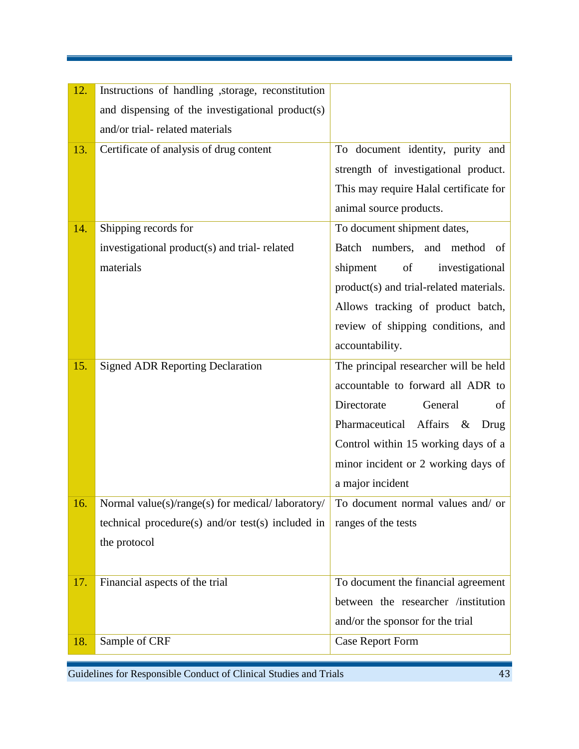| 12. | Instructions of handling , storage, reconstitution |                                         |
|-----|----------------------------------------------------|-----------------------------------------|
|     | and dispensing of the investigational product(s)   |                                         |
|     | and/or trial-related materials                     |                                         |
| 13. | Certificate of analysis of drug content            | To document identity, purity and        |
|     |                                                    | strength of investigational product.    |
|     |                                                    | This may require Halal certificate for  |
|     |                                                    | animal source products.                 |
| 14. | Shipping records for                               | To document shipment dates,             |
|     | investigational product(s) and trial-related       | Batch numbers, and method<br>of         |
|     | materials                                          | shipment<br>investigational<br>of       |
|     |                                                    | product(s) and trial-related materials. |
|     |                                                    | Allows tracking of product batch,       |
|     |                                                    | review of shipping conditions, and      |
|     |                                                    | accountability.                         |
| 15. | <b>Signed ADR Reporting Declaration</b>            | The principal researcher will be held   |
|     |                                                    | accountable to forward all ADR to       |
|     |                                                    | Directorate<br>General<br>οf            |
|     |                                                    | Pharmaceutical Affairs &<br>Drug        |
|     |                                                    | Control within 15 working days of a     |
|     |                                                    | minor incident or 2 working days of     |
|     |                                                    | a major incident                        |
| 16. | Normal value(s)/range(s) for medical/ laboratory/  | To document normal values and/ or       |
|     | technical procedure(s) and/or test(s) included in  | ranges of the tests                     |
|     | the protocol                                       |                                         |
|     |                                                    |                                         |
| 17. | Financial aspects of the trial                     | To document the financial agreement     |
|     |                                                    | between the researcher /institution     |
|     |                                                    | and/or the sponsor for the trial        |
| 18. | Sample of CRF                                      | <b>Case Report Form</b>                 |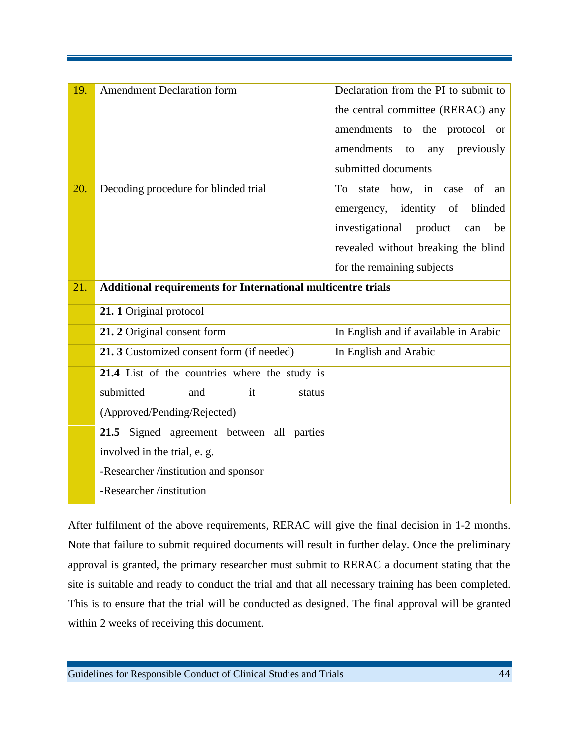|     | Declaration from the PI to submit to<br><b>Amendment Declaration form</b> |                                            |  |  |  |  |
|-----|---------------------------------------------------------------------------|--------------------------------------------|--|--|--|--|
| 19. |                                                                           |                                            |  |  |  |  |
|     |                                                                           | the central committee (RERAC) any          |  |  |  |  |
|     |                                                                           | amendments<br>to<br>the protocol or        |  |  |  |  |
|     |                                                                           | amendments<br>previously<br>any<br>to      |  |  |  |  |
|     |                                                                           | submitted documents                        |  |  |  |  |
| 20. | Decoding procedure for blinded trial                                      | how, in<br>of<br>To<br>state<br>case<br>an |  |  |  |  |
|     |                                                                           | emergency, identity of blinded             |  |  |  |  |
|     |                                                                           | investigational product<br>can<br>be       |  |  |  |  |
|     |                                                                           | revealed without breaking the blind        |  |  |  |  |
|     |                                                                           | for the remaining subjects                 |  |  |  |  |
| 21. | Additional requirements for International multicentre trials              |                                            |  |  |  |  |
|     | 21.1 Original protocol                                                    |                                            |  |  |  |  |
|     | 21. 2 Original consent form                                               | In English and if available in Arabic      |  |  |  |  |
|     | 21.3 Customized consent form (if needed)                                  | In English and Arabic                      |  |  |  |  |
|     | 21.4 List of the countries where the study is                             |                                            |  |  |  |  |
|     | submitted<br>and<br>it<br>status                                          |                                            |  |  |  |  |
|     | (Approved/Pending/Rejected)                                               |                                            |  |  |  |  |
|     | 21.5 Signed agreement between all parties                                 |                                            |  |  |  |  |
|     | involved in the trial, e. g.                                              |                                            |  |  |  |  |
|     | -Researcher/institution and sponsor                                       |                                            |  |  |  |  |
|     | -Researcher /institution                                                  |                                            |  |  |  |  |

After fulfilment of the above requirements, RERAC will give the final decision in 1-2 months. Note that failure to submit required documents will result in further delay. Once the preliminary approval is granted, the primary researcher must submit to RERAC a document stating that the site is suitable and ready to conduct the trial and that all necessary training has been completed. This is to ensure that the trial will be conducted as designed. The final approval will be granted within 2 weeks of receiving this document.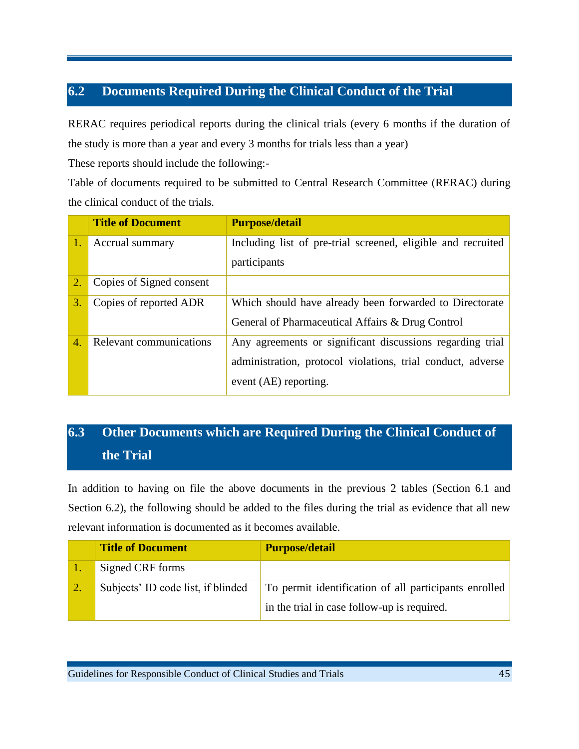#### **6.2 Documents Required During the Clinical Conduct of the Trial**

RERAC requires periodical reports during the clinical trials (every 6 months if the duration of the study is more than a year and every 3 months for trials less than a year)

These reports should include the following:-

Table of documents required to be submitted to Central Research Committee (RERAC) during the clinical conduct of the trials.

|    | <b>Title of Document</b> | <b>Purpose/detail</b>                                        |
|----|--------------------------|--------------------------------------------------------------|
| 1. | Accrual summary          | Including list of pre-trial screened, eligible and recruited |
|    |                          | participants                                                 |
| 2. | Copies of Signed consent |                                                              |
| 3. | Copies of reported ADR   | Which should have already been forwarded to Directorate      |
|    |                          | General of Pharmaceutical Affairs & Drug Control             |
| 4. | Relevant communications  | Any agreements or significant discussions regarding trial    |
|    |                          | administration, protocol violations, trial conduct, adverse  |
|    |                          | event (AE) reporting.                                        |

## **6.3 Other Documents which are Required During the Clinical Conduct of the Trial**

In addition to having on file the above documents in the previous 2 tables (Section 6.1 and Section 6.2), the following should be added to the files during the trial as evidence that all new relevant information is documented as it becomes available.

| <b>Title of Document</b>           | <b>Purpose/detail</b>                                 |
|------------------------------------|-------------------------------------------------------|
| Signed CRF forms                   |                                                       |
| Subjects' ID code list, if blinded | To permit identification of all participants enrolled |
|                                    | in the trial in case follow-up is required.           |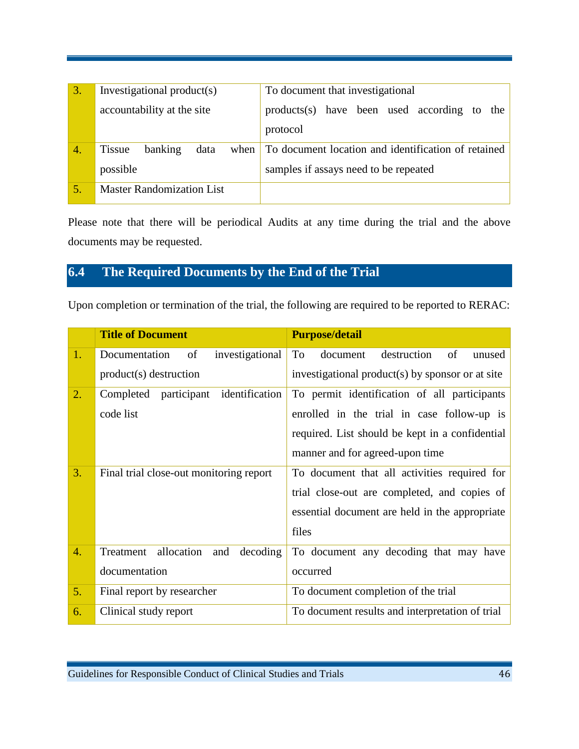| $\overline{3}$ . | Investigational $product(s)$      | To document that investigational                    |  |  |  |  |  |
|------------------|-----------------------------------|-----------------------------------------------------|--|--|--|--|--|
|                  | accountability at the site        | products(s) have been used according to<br>the 1    |  |  |  |  |  |
|                  |                                   | protocol                                            |  |  |  |  |  |
| $\mathcal{A}.$   | banking<br>data<br>when<br>Tissue | To document location and identification of retained |  |  |  |  |  |
|                  | possible                          | samples if assays need to be repeated               |  |  |  |  |  |
|                  | <b>Master Randomization List</b>  |                                                     |  |  |  |  |  |

Please note that there will be periodical Audits at any time during the trial and the above documents may be requested.

### **6.4 The Required Documents by the End of the Trial**

Upon completion or termination of the trial, the following are required to be reported to RERAC:

|    | <b>Title of Document</b>                | <b>Purpose/detail</b>                            |  |  |  |  |
|----|-----------------------------------------|--------------------------------------------------|--|--|--|--|
| 1. | of<br>investigational<br>Documentation  | of<br>To<br>destruction<br>document<br>unused    |  |  |  |  |
|    | product(s) destruction                  | investigational product(s) by sponsor or at site |  |  |  |  |
| 2. | identification<br>Completed participant | To permit identification of all participants     |  |  |  |  |
|    | code list                               | enrolled in the trial in case follow-up is       |  |  |  |  |
|    |                                         | required. List should be kept in a confidential  |  |  |  |  |
|    |                                         | manner and for agreed-upon time                  |  |  |  |  |
| 3. | Final trial close-out monitoring report | To document that all activities required for     |  |  |  |  |
|    |                                         | trial close-out are completed, and copies of     |  |  |  |  |
|    |                                         | essential document are held in the appropriate   |  |  |  |  |
|    |                                         | files                                            |  |  |  |  |
| 4. | Treatment allocation and decoding       | To document any decoding that may have           |  |  |  |  |
|    | documentation                           | occurred                                         |  |  |  |  |
| 5. | Final report by researcher              | To document completion of the trial              |  |  |  |  |
| 6. | Clinical study report                   | To document results and interpretation of trial  |  |  |  |  |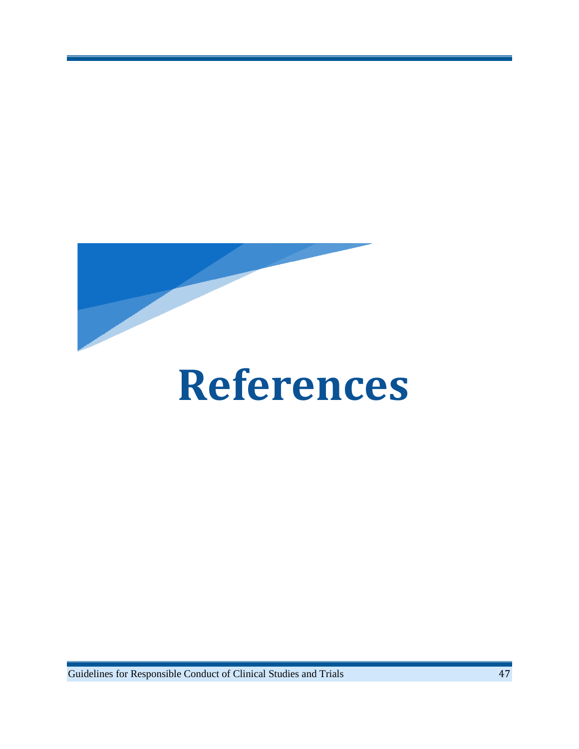

# **References**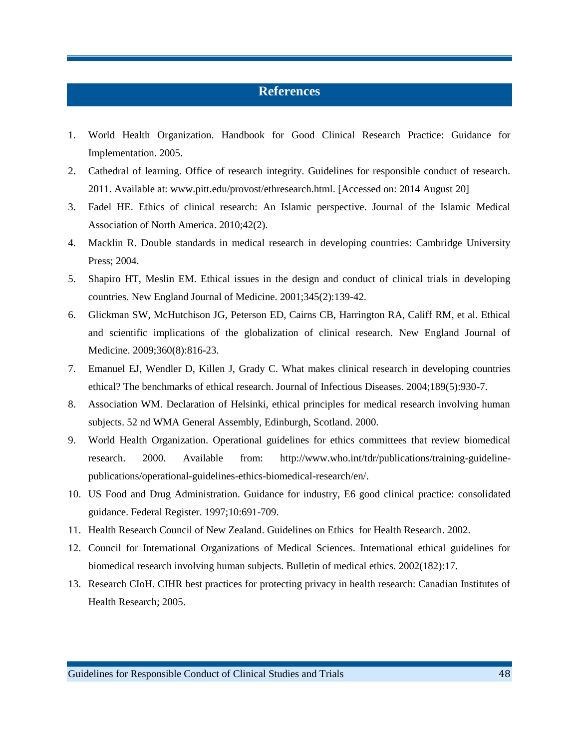#### **References**

- 1. World Health Organization. Handbook for Good Clinical Research Practice: Guidance for Implementation. 2005.
- 2. Cathedral of learning. Office of research integrity. Guidelines for responsible conduct of research. 2011. Available at: [www.pitt.edu/provost/ethresearch.html.](http://www.pitt.edu/provost/ethresearch.html) [Accessed on: 2014 August 20]
- 3. Fadel HE. Ethics of clinical research: An Islamic perspective. Journal of the Islamic Medical Association of North America. 2010;42(2).
- 4. Macklin R. Double standards in medical research in developing countries: Cambridge University Press; 2004.
- 5. Shapiro HT, Meslin EM. Ethical issues in the design and conduct of clinical trials in developing countries. New England Journal of Medicine. 2001;345(2):139-42.
- 6. Glickman SW, McHutchison JG, Peterson ED, Cairns CB, Harrington RA, Califf RM, et al. Ethical and scientific implications of the globalization of clinical research. New England Journal of Medicine. 2009;360(8):816-23.
- 7. Emanuel EJ, Wendler D, Killen J, Grady C. What makes clinical research in developing countries ethical? The benchmarks of ethical research. Journal of Infectious Diseases. 2004;189(5):930-7.
- 8. Association WM. Declaration of Helsinki, ethical principles for medical research involving human subjects. 52 nd WMA General Assembly, Edinburgh, Scotland. 2000.
- 9. World Health Organization. Operational guidelines for ethics committees that review biomedical research. 2000. Available from: [http://www.who.int/tdr/publications/training-guideline](http://www.who.int/tdr/publications/training-guideline-publications/operational-guidelines-ethics-biomedical-research/en/)[publications/operational-guidelines-ethics-biomedical-research/en/.](http://www.who.int/tdr/publications/training-guideline-publications/operational-guidelines-ethics-biomedical-research/en/)
- 10. US Food and Drug Administration. Guidance for industry, E6 good clinical practice: consolidated guidance. Federal Register. 1997;10:691-709.
- 11. Health Research Council of New Zealand. Guidelines on Ethics for Health Research. 2002.
- 12. Council for International Organizations of Medical Sciences. International ethical guidelines for biomedical research involving human subjects. Bulletin of medical ethics. 2002(182):17.
- 13. Research CIoH. CIHR best practices for protecting privacy in health research: Canadian Institutes of Health Research; 2005.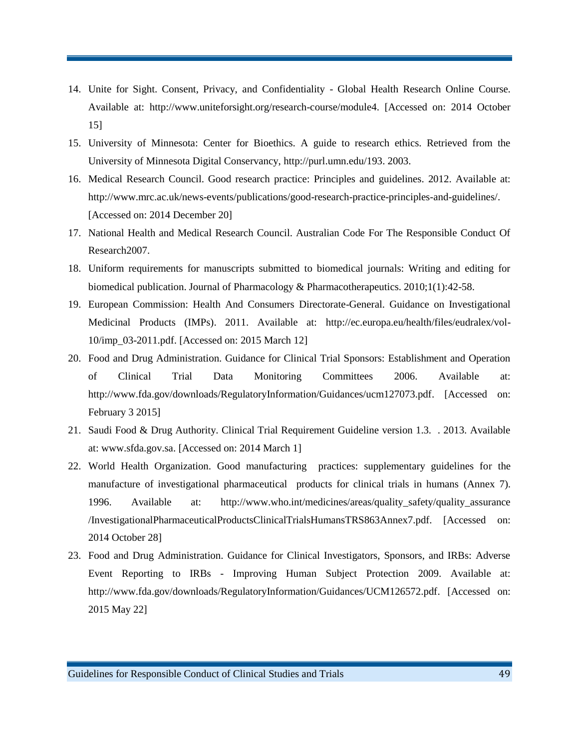- 14. Unite for Sight. Consent, Privacy, and Confidentiality Global Health Research Online Course. Available at: [http://www.uniteforsight.org/research-course/module4.](http://www.uniteforsight.org/research-course/module4) [Accessed on: 2014 October 15]
- 15. University of Minnesota: Center for Bioethics. A guide to research ethics. Retrieved from the University of Minnesota Digital Conservancy, [http://purl.umn.edu/193.](http://purl.umn.edu/193) 2003.
- 16. Medical Research Council. Good research practice: Principles and guidelines. 2012. Available at: [http://www.mrc.ac.uk/news-events/publications/good-research-practice-principles-and-guidelines/.](http://www.mrc.ac.uk/news-events/publications/good-research-practice-principles-and-guidelines/) [Accessed on: 2014 December 20]
- 17. National Health and Medical Research Council. Australian Code For The Responsible Conduct Of Research2007.
- 18. Uniform requirements for manuscripts submitted to biomedical journals: Writing and editing for biomedical publication. Journal of Pharmacology & Pharmacotherapeutics. 2010;1(1):42-58.
- 19. European Commission: Health And Consumers Directorate-General. Guidance on Investigational Medicinal Products (IMPs). 2011. Available at: [http://ec.europa.eu/health/files/eudralex/vol-](http://ec.europa.eu/health/files/eudralex/vol-10/imp_03-2011.pdf)[10/imp\\_03-2011.pdf.](http://ec.europa.eu/health/files/eudralex/vol-10/imp_03-2011.pdf) [Accessed on: 2015 March 12]
- 20. Food and Drug Administration. Guidance for Clinical Trial Sponsors: Establishment and Operation of Clinical Trial Data Monitoring Committees 2006. Available at: [http://www.fda.gov/downloads/RegulatoryInformation/Guidances/ucm127073.pdf.](http://www.fda.gov/downloads/RegulatoryInformation/Guidances/ucm127073.pdf) [Accessed on: February 3 2015]
- 21. Saudi Food & Drug Authority. Clinical Trial Requirement Guideline version 1.3. . 2013. Available at: [www.sfda.gov.sa.](http://www.sfda.gov.sa/) [Accessed on: 2014 March 1]
- 22. World Health Organization. Good manufacturing practices: supplementary guidelines for the manufacture of investigational pharmaceutical products for clinical trials in humans (Annex 7). 1996. Available at: http://www.who.int/medicines/areas/quality\_safety/quality\_assurance /InvestigationalPharmaceuticalProductsClinicalTrialsHumansTRS863Annex7.pdf. [Accessed on: 2014 October 28]
- 23. Food and Drug Administration. Guidance for Clinical Investigators, Sponsors, and IRBs: Adverse Event Reporting to IRBs - Improving Human Subject Protection 2009. Available at: [http://www.fda.gov/downloads/RegulatoryInformation/Guidances/UCM126572.pdf.](http://www.fda.gov/downloads/RegulatoryInformation/Guidances/UCM126572.pdf) [Accessed on: 2015 May 22]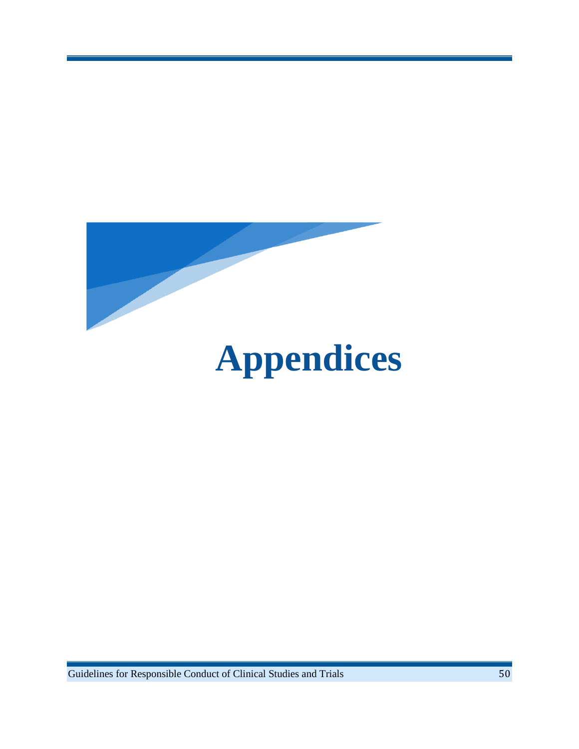

## **Appendices**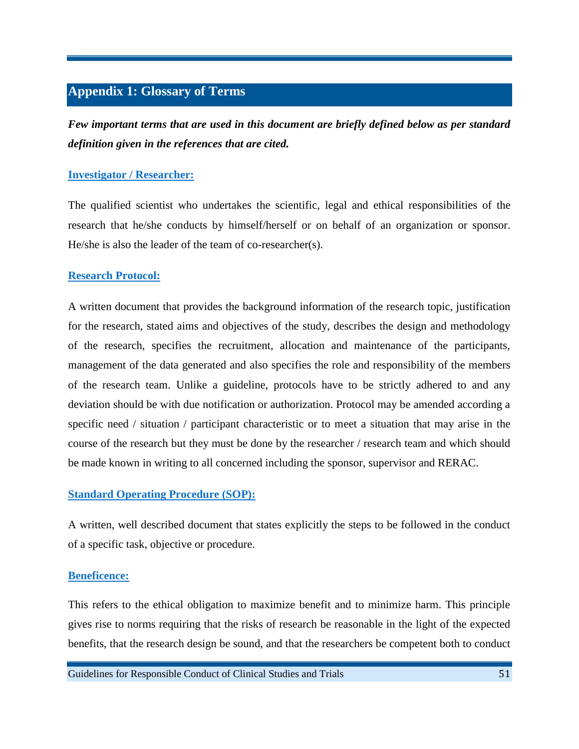#### **Appendix 1: Glossary of Terms**

*Few important terms that are used in this document are briefly defined below as per standard definition given in the references that are cited.*

#### **Investigator / Researcher:**

The qualified scientist who undertakes the scientific, legal and ethical responsibilities of the research that he/she conducts by himself/herself or on behalf of an organization or sponsor. He/she is also the leader of the team of co-researcher(s).

#### **Research Protocol:**

A written document that provides the background information of the research topic, justification for the research, stated aims and objectives of the study, describes the design and methodology of the research, specifies the recruitment, allocation and maintenance of the participants, management of the data generated and also specifies the role and responsibility of the members of the research team. Unlike a guideline, protocols have to be strictly adhered to and any deviation should be with due notification or authorization. Protocol may be amended according a specific need / situation / participant characteristic or to meet a situation that may arise in the course of the research but they must be done by the researcher / research team and which should be made known in writing to all concerned including the sponsor, supervisor and RERAC.

#### **Standard Operating Procedure (SOP):**

A written, well described document that states explicitly the steps to be followed in the conduct of a specific task, objective or procedure.

#### **Beneficence:**

This refers to the ethical obligation to maximize benefit and to minimize harm. This principle gives rise to norms requiring that the risks of research be reasonable in the light of the expected benefits, that the research design be sound, and that the researchers be competent both to conduct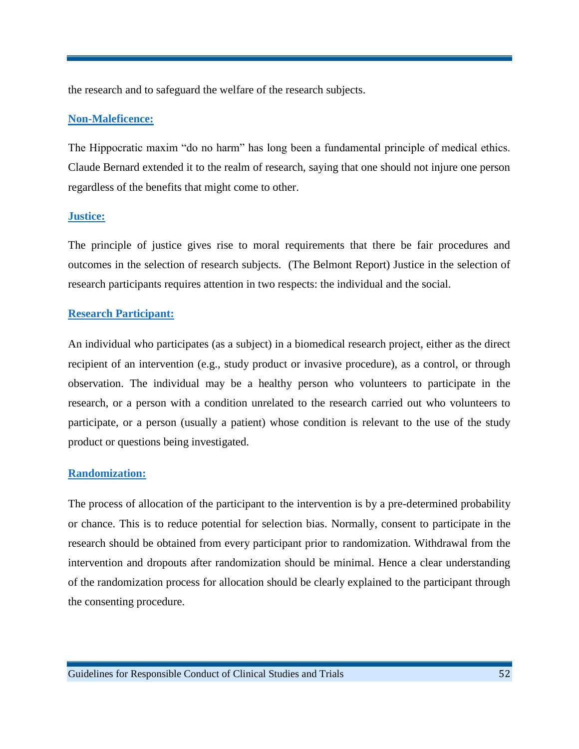the research and to safeguard the welfare of the research subjects.

#### **Non-Maleficence:**

The Hippocratic maxim "do no harm" has long been a fundamental principle of medical ethics. Claude Bernard extended it to the realm of research, saying that one should not injure one person regardless of the benefits that might come to other.

#### **Justice:**

The principle of justice gives rise to moral requirements that there be fair procedures and outcomes in the selection of research subjects. (The Belmont Report) Justice in the selection of research participants requires attention in two respects: the individual and the social.

#### **Research Participant:**

An individual who participates (as a subject) in a biomedical research project, either as the direct recipient of an intervention (e.g., study product or invasive procedure), as a control, or through observation. The individual may be a healthy person who volunteers to participate in the research, or a person with a condition unrelated to the research carried out who volunteers to participate, or a person (usually a patient) whose condition is relevant to the use of the study product or questions being investigated.

#### **Randomization:**

The process of allocation of the participant to the intervention is by a pre-determined probability or chance. This is to reduce potential for selection bias. Normally, consent to participate in the research should be obtained from every participant prior to randomization. Withdrawal from the intervention and dropouts after randomization should be minimal. Hence a clear understanding of the randomization process for allocation should be clearly explained to the participant through the consenting procedure.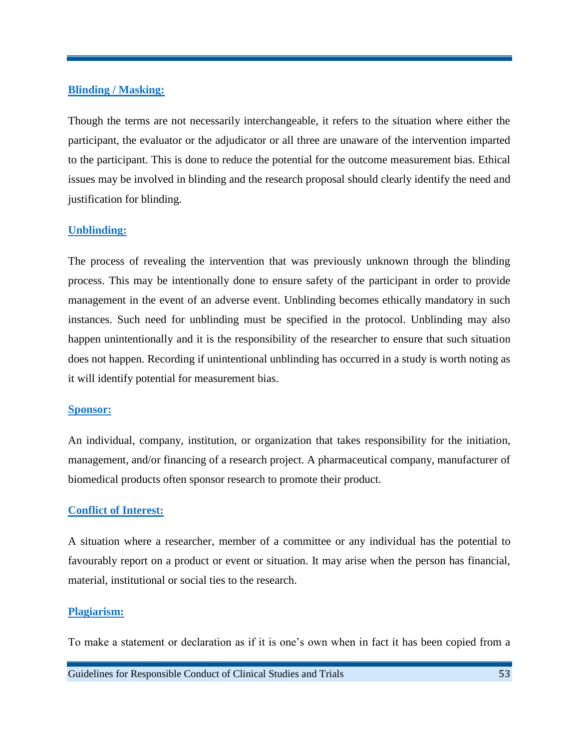#### **Blinding / Masking:**

Though the terms are not necessarily interchangeable, it refers to the situation where either the participant, the evaluator or the adjudicator or all three are unaware of the intervention imparted to the participant. This is done to reduce the potential for the outcome measurement bias. Ethical issues may be involved in blinding and the research proposal should clearly identify the need and justification for blinding.

#### **Unblinding:**

The process of revealing the intervention that was previously unknown through the blinding process. This may be intentionally done to ensure safety of the participant in order to provide management in the event of an adverse event. Unblinding becomes ethically mandatory in such instances. Such need for unblinding must be specified in the protocol. Unblinding may also happen unintentionally and it is the responsibility of the researcher to ensure that such situation does not happen. Recording if unintentional unblinding has occurred in a study is worth noting as it will identify potential for measurement bias.

#### **Sponsor:**

An individual, company, institution, or organization that takes responsibility for the initiation, management, and/or financing of a research project. A pharmaceutical company, manufacturer of biomedical products often sponsor research to promote their product.

#### **Conflict of Interest:**

A situation where a researcher, member of a committee or any individual has the potential to favourably report on a product or event or situation. It may arise when the person has financial, material, institutional or social ties to the research.

#### **Plagiarism:**

To make a statement or declaration as if it is one's own when in fact it has been copied from a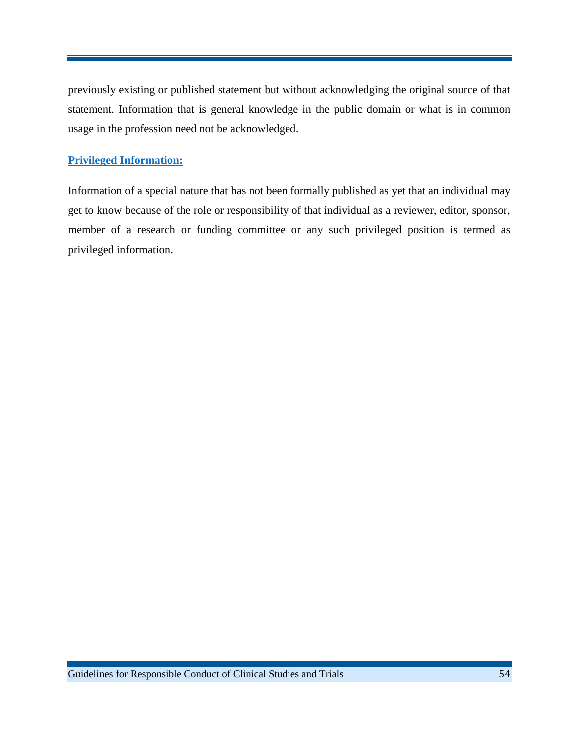previously existing or published statement but without acknowledging the original source of that statement. Information that is general knowledge in the public domain or what is in common usage in the profession need not be acknowledged.

#### **Privileged Information:**

Information of a special nature that has not been formally published as yet that an individual may get to know because of the role or responsibility of that individual as a reviewer, editor, sponsor, member of a research or funding committee or any such privileged position is termed as privileged information.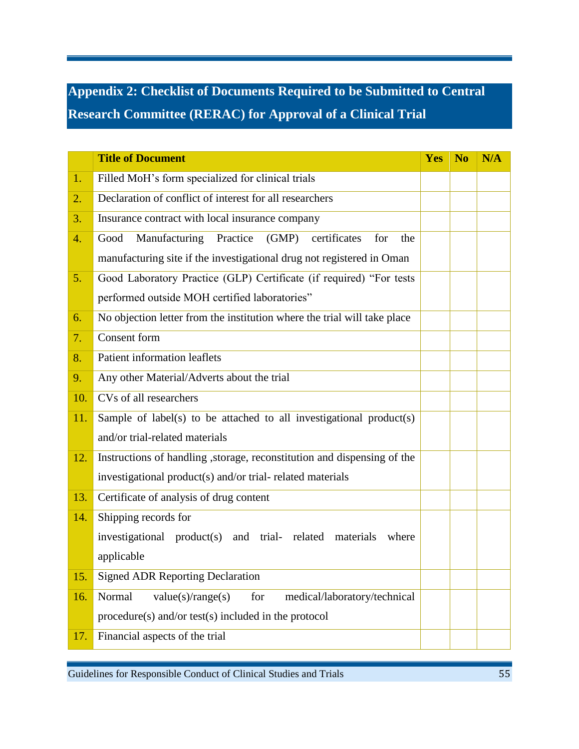## **Appendix 2: Checklist of Documents Required to be Submitted to Central Research Committee (RERAC) for Approval of a Clinical Trial**

|     | <b>Title of Document</b>                                                 | <b>Yes</b> | <b>No</b> | N/A |
|-----|--------------------------------------------------------------------------|------------|-----------|-----|
| 1.  | Filled MoH's form specialized for clinical trials                        |            |           |     |
| 2.  | Declaration of conflict of interest for all researchers                  |            |           |     |
| 3.  | Insurance contract with local insurance company                          |            |           |     |
| 4.  | Manufacturing Practice<br>Good<br>(GMP)<br>certificates<br>for<br>the    |            |           |     |
|     | manufacturing site if the investigational drug not registered in Oman    |            |           |     |
| 5.  | Good Laboratory Practice (GLP) Certificate (if required) "For tests      |            |           |     |
|     | performed outside MOH certified laboratories"                            |            |           |     |
| 6.  | No objection letter from the institution where the trial will take place |            |           |     |
| 7.  | Consent form                                                             |            |           |     |
| 8.  | <b>Patient information leaflets</b>                                      |            |           |     |
| 9.  | Any other Material/Adverts about the trial                               |            |           |     |
| 10. | CVs of all researchers                                                   |            |           |     |
| 11. | Sample of label(s) to be attached to all investigational product(s)      |            |           |     |
|     | and/or trial-related materials                                           |            |           |     |
| 12. | Instructions of handling , storage, reconstitution and dispensing of the |            |           |     |
|     | investigational product(s) and/or trial-related materials                |            |           |     |
| 13. | Certificate of analysis of drug content                                  |            |           |     |
| 14. | Shipping records for                                                     |            |           |     |
|     | investigational product(s) and trial- related materials<br>where         |            |           |     |
|     | applicable                                                               |            |           |     |
| 15. | <b>Signed ADR Reporting Declaration</b>                                  |            |           |     |
| 16. | Normal<br>value(s)/range(s)<br>for<br>medical/laboratory/technical       |            |           |     |
|     | $procedure(s)$ and/or test(s) included in the protocol                   |            |           |     |
| 17. | Financial aspects of the trial                                           |            |           |     |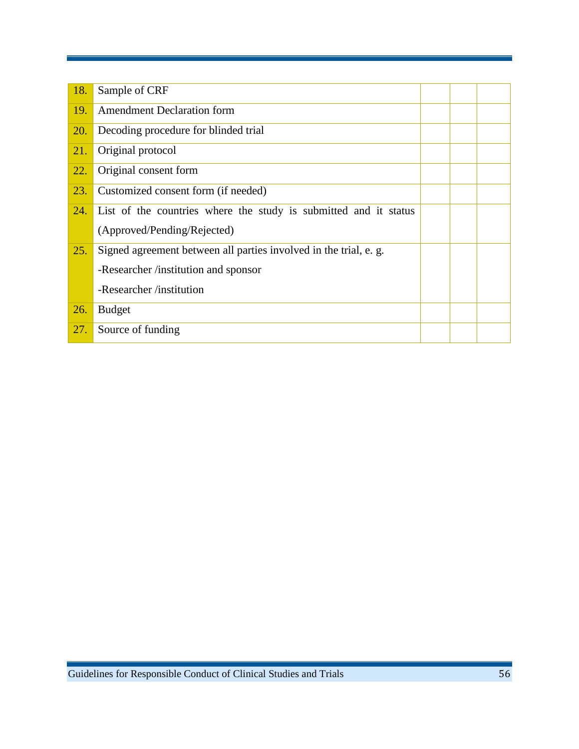| 18. | Sample of CRF                                                     |  |  |
|-----|-------------------------------------------------------------------|--|--|
| 19. | <b>Amendment Declaration form</b>                                 |  |  |
| 20. | Decoding procedure for blinded trial                              |  |  |
| 21. | Original protocol                                                 |  |  |
| 22. | Original consent form                                             |  |  |
| 23. | Customized consent form (if needed)                               |  |  |
| 24. | List of the countries where the study is submitted and it status  |  |  |
|     | (Approved/Pending/Rejected)                                       |  |  |
| 25. | Signed agreement between all parties involved in the trial, e. g. |  |  |
|     | -Researcher/institution and sponsor                               |  |  |
|     | -Researcher/institution                                           |  |  |
| 26. | <b>Budget</b>                                                     |  |  |
| 27. | Source of funding                                                 |  |  |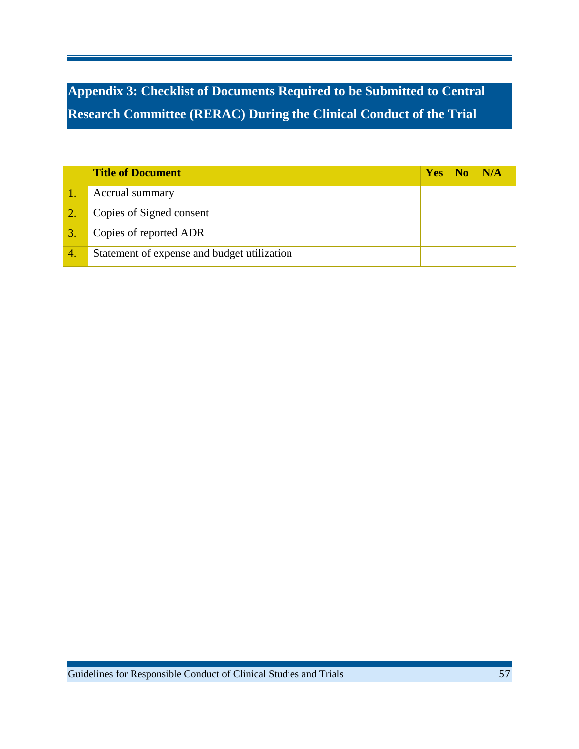## **Appendix 3: Checklist of Documents Required to be Submitted to Central Research Committee (RERAC) During the Clinical Conduct of the Trial**

|                  | <b>Title of Document</b>                    | <b>Yes</b> | $N_0$ $N/A$ |  |
|------------------|---------------------------------------------|------------|-------------|--|
|                  | Accrual summary                             |            |             |  |
|                  | Copies of Signed consent                    |            |             |  |
|                  | Copies of reported ADR                      |            |             |  |
| $\overline{4}$ . | Statement of expense and budget utilization |            |             |  |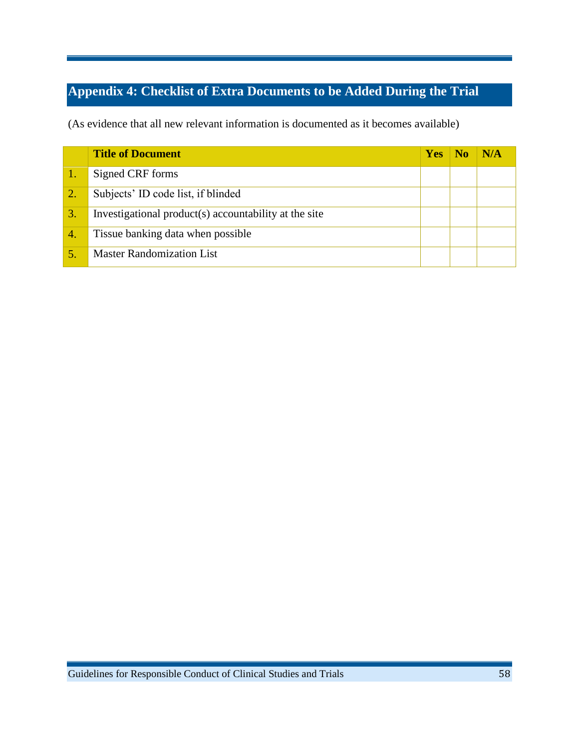### **Appendix 4: Checklist of Extra Documents to be Added During the Trial**

(As evidence that all new relevant information is documented as it becomes available)

|                | <b>Title of Document</b>                              | <b>Yes</b> | No. | N/A |
|----------------|-------------------------------------------------------|------------|-----|-----|
|                | Signed CRF forms                                      |            |     |     |
| 2.             | Subjects' ID code list, if blinded                    |            |     |     |
| 3.             | Investigational product(s) accountability at the site |            |     |     |
| $\overline{4}$ | Tissue banking data when possible                     |            |     |     |
|                | <b>Master Randomization List</b>                      |            |     |     |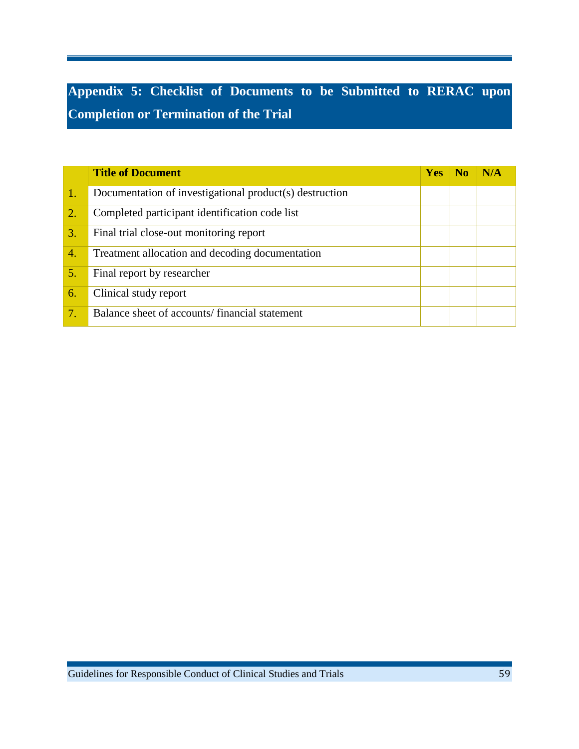## **Appendix 5: Checklist of Documents to be Submitted to RERAC upon Completion or Termination of the Trial**

|                  | <b>Title of Document</b>                                | <b>Yes</b> | N <sub>0</sub> | N/A |
|------------------|---------------------------------------------------------|------------|----------------|-----|
| 1.               | Documentation of investigational product(s) destruction |            |                |     |
| 2.               | Completed participant identification code list          |            |                |     |
| 3.               | Final trial close-out monitoring report                 |            |                |     |
| $\overline{4}$ . | Treatment allocation and decoding documentation         |            |                |     |
| 5.               | Final report by researcher                              |            |                |     |
| 6.               | Clinical study report                                   |            |                |     |
| 7.               | Balance sheet of accounts/financial statement           |            |                |     |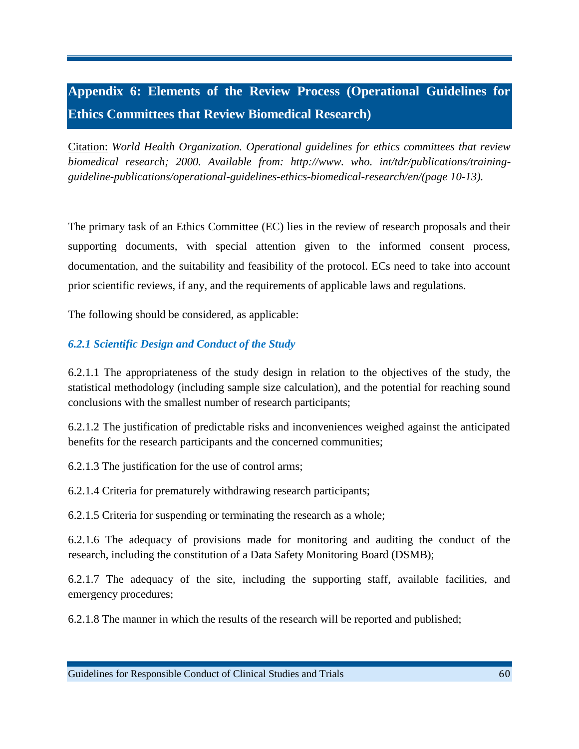## **Appendix 6: Elements of the Review Process (Operational Guidelines for Ethics Committees that Review Biomedical Research)**

Citation: *World Health Organization. Operational guidelines for ethics committees that review biomedical research; 2000. Available from: http://www. who. int/tdr/publications/trainingguideline-publications/operational-guidelines-ethics-biomedical-research/en/(page 10-13).* 

The primary task of an Ethics Committee (EC) lies in the review of research proposals and their supporting documents, with special attention given to the informed consent process, documentation, and the suitability and feasibility of the protocol. ECs need to take into account prior scientific reviews, if any, and the requirements of applicable laws and regulations.

The following should be considered, as applicable:

#### *6.2.1 Scientific Design and Conduct of the Study*

6.2.1.1 The appropriateness of the study design in relation to the objectives of the study, the statistical methodology (including sample size calculation), and the potential for reaching sound conclusions with the smallest number of research participants;

6.2.1.2 The justification of predictable risks and inconveniences weighed against the anticipated benefits for the research participants and the concerned communities;

6.2.1.3 The justification for the use of control arms;

6.2.1.4 Criteria for prematurely withdrawing research participants;

6.2.1.5 Criteria for suspending or terminating the research as a whole;

6.2.1.6 The adequacy of provisions made for monitoring and auditing the conduct of the research, including the constitution of a Data Safety Monitoring Board (DSMB);

6.2.1.7 The adequacy of the site, including the supporting staff, available facilities, and emergency procedures;

6.2.1.8 The manner in which the results of the research will be reported and published;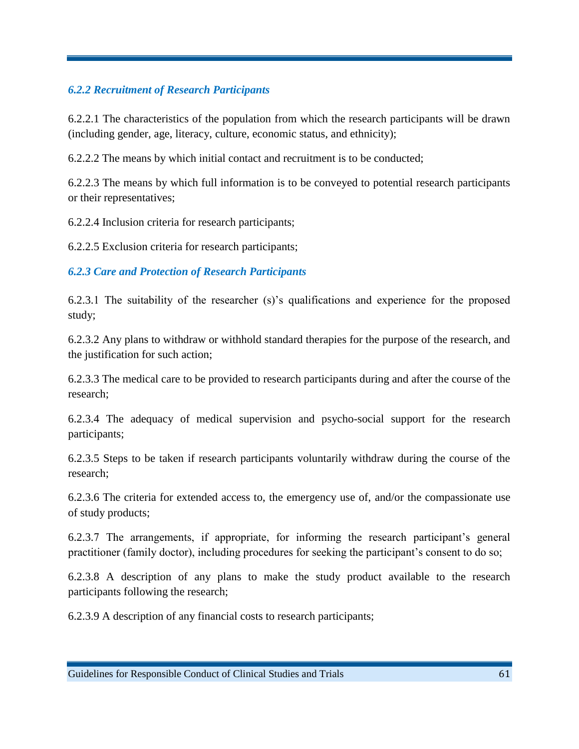#### *6.2.2 Recruitment of Research Participants*

6.2.2.1 The characteristics of the population from which the research participants will be drawn (including gender, age, literacy, culture, economic status, and ethnicity);

6.2.2.2 The means by which initial contact and recruitment is to be conducted;

6.2.2.3 The means by which full information is to be conveyed to potential research participants or their representatives;

6.2.2.4 Inclusion criteria for research participants;

6.2.2.5 Exclusion criteria for research participants;

*6.2.3 Care and Protection of Research Participants*

6.2.3.1 The suitability of the researcher (s)'s qualifications and experience for the proposed study;

6.2.3.2 Any plans to withdraw or withhold standard therapies for the purpose of the research, and the justification for such action;

6.2.3.3 The medical care to be provided to research participants during and after the course of the research;

6.2.3.4 The adequacy of medical supervision and psycho-social support for the research participants;

6.2.3.5 Steps to be taken if research participants voluntarily withdraw during the course of the research;

6.2.3.6 The criteria for extended access to, the emergency use of, and/or the compassionate use of study products;

6.2.3.7 The arrangements, if appropriate, for informing the research participant's general practitioner (family doctor), including procedures for seeking the participant's consent to do so;

6.2.3.8 A description of any plans to make the study product available to the research participants following the research;

6.2.3.9 A description of any financial costs to research participants;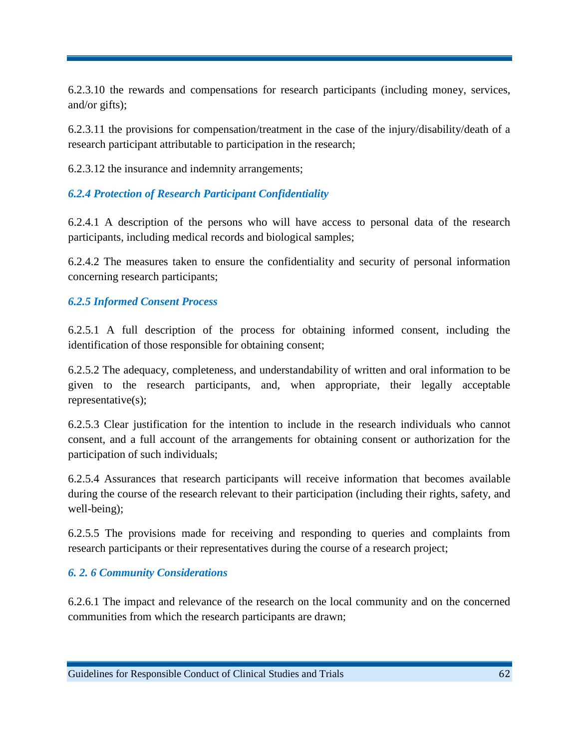6.2.3.10 the rewards and compensations for research participants (including money, services, and/or gifts);

6.2.3.11 the provisions for compensation/treatment in the case of the injury/disability/death of a research participant attributable to participation in the research;

6.2.3.12 the insurance and indemnity arrangements;

#### *6.2.4 Protection of Research Participant Confidentiality*

6.2.4.1 A description of the persons who will have access to personal data of the research participants, including medical records and biological samples;

6.2.4.2 The measures taken to ensure the confidentiality and security of personal information concerning research participants;

#### *6.2.5 Informed Consent Process*

6.2.5.1 A full description of the process for obtaining informed consent, including the identification of those responsible for obtaining consent;

6.2.5.2 The adequacy, completeness, and understandability of written and oral information to be given to the research participants, and, when appropriate, their legally acceptable representative(s);

6.2.5.3 Clear justification for the intention to include in the research individuals who cannot consent, and a full account of the arrangements for obtaining consent or authorization for the participation of such individuals;

6.2.5.4 Assurances that research participants will receive information that becomes available during the course of the research relevant to their participation (including their rights, safety, and well-being);

6.2.5.5 The provisions made for receiving and responding to queries and complaints from research participants or their representatives during the course of a research project;

#### *6. 2. 6 Community Considerations*

6.2.6.1 The impact and relevance of the research on the local community and on the concerned communities from which the research participants are drawn;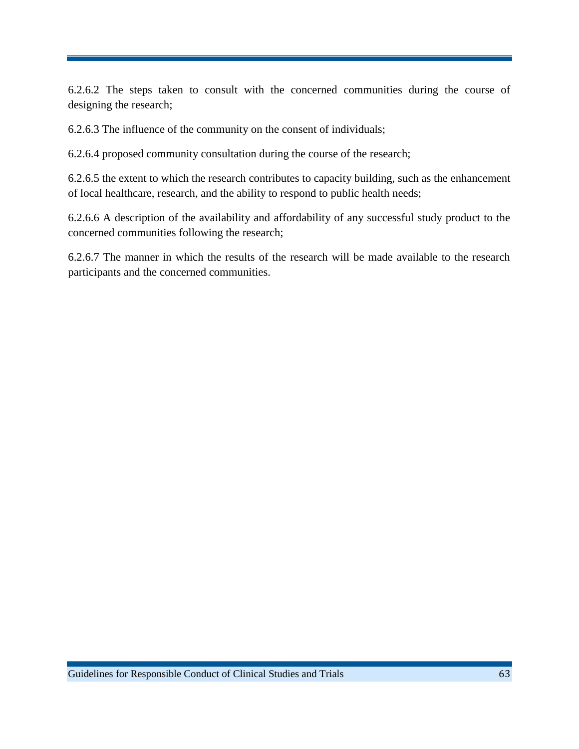6.2.6.2 The steps taken to consult with the concerned communities during the course of designing the research;

6.2.6.3 The influence of the community on the consent of individuals;

6.2.6.4 proposed community consultation during the course of the research;

6.2.6.5 the extent to which the research contributes to capacity building, such as the enhancement of local healthcare, research, and the ability to respond to public health needs;

6.2.6.6 A description of the availability and affordability of any successful study product to the concerned communities following the research;

6.2.6.7 The manner in which the results of the research will be made available to the research participants and the concerned communities.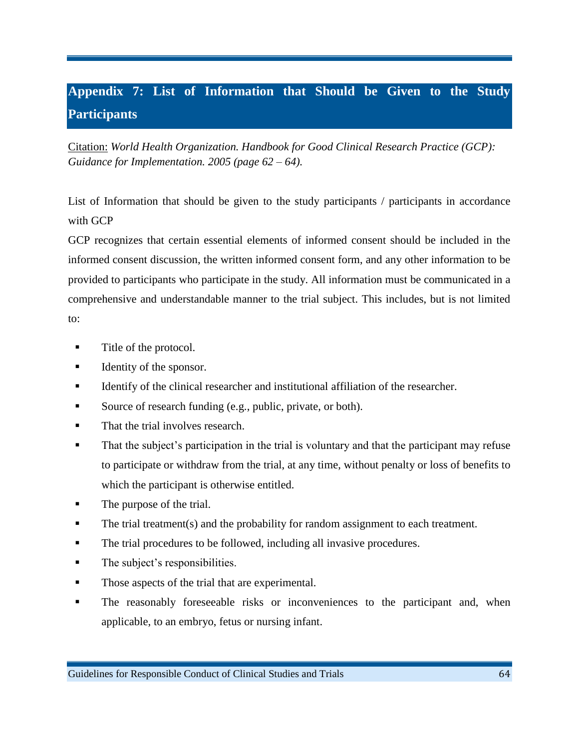## **Appendix 7: List of Information that Should be Given to the Study Participants**

Citation: *World Health Organization. Handbook for Good Clinical Research Practice (GCP): Guidance for Implementation. 2005 (page 62 – 64).* 

List of Information that should be given to the study participants / participants in accordance with GCP

GCP recognizes that certain essential elements of informed consent should be included in the informed consent discussion, the written informed consent form, and any other information to be provided to participants who participate in the study. All information must be communicated in a comprehensive and understandable manner to the trial subject. This includes, but is not limited to:

- Title of the protocol.
- Identity of the sponsor.
- Identify of the clinical researcher and institutional affiliation of the researcher.
- Source of research funding (e.g., public, private, or both).
- That the trial involves research.
- That the subject's participation in the trial is voluntary and that the participant may refuse to participate or withdraw from the trial, at any time, without penalty or loss of benefits to which the participant is otherwise entitled.
- The purpose of the trial.
- The trial treatment(s) and the probability for random assignment to each treatment.
- The trial procedures to be followed, including all invasive procedures.
- The subject's responsibilities.
- Those aspects of the trial that are experimental.
- The reasonably foreseeable risks or inconveniences to the participant and, when applicable, to an embryo, fetus or nursing infant.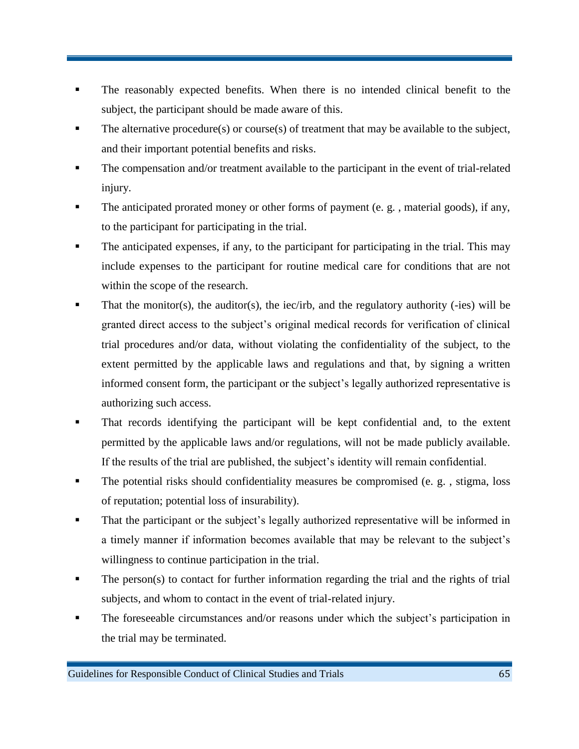- The reasonably expected benefits. When there is no intended clinical benefit to the subject, the participant should be made aware of this.
- The alternative procedure(s) or course(s) of treatment that may be available to the subject, and their important potential benefits and risks.
- The compensation and/or treatment available to the participant in the event of trial-related injury.
- The anticipated prorated money or other forms of payment (e. g. , material goods), if any, to the participant for participating in the trial.
- The anticipated expenses, if any, to the participant for participating in the trial. This may include expenses to the participant for routine medical care for conditions that are not within the scope of the research.
- That the monitor(s), the auditor(s), the iec/irb, and the regulatory authority ( $-i$ es) will be granted direct access to the subject's original medical records for verification of clinical trial procedures and/or data, without violating the confidentiality of the subject, to the extent permitted by the applicable laws and regulations and that, by signing a written informed consent form, the participant or the subject's legally authorized representative is authorizing such access.
- That records identifying the participant will be kept confidential and, to the extent permitted by the applicable laws and/or regulations, will not be made publicly available. If the results of the trial are published, the subject's identity will remain confidential.
- The potential risks should confidentiality measures be compromised (e. g. , stigma, loss of reputation; potential loss of insurability).
- That the participant or the subject's legally authorized representative will be informed in a timely manner if information becomes available that may be relevant to the subject's willingness to continue participation in the trial.
- The person(s) to contact for further information regarding the trial and the rights of trial subjects, and whom to contact in the event of trial-related injury.
- The foreseeable circumstances and/or reasons under which the subject's participation in the trial may be terminated.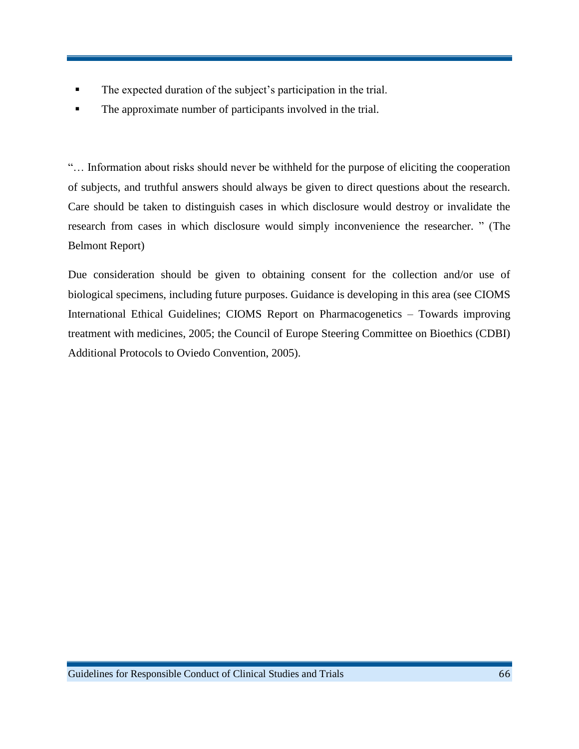- The expected duration of the subject's participation in the trial.
- The approximate number of participants involved in the trial.

"… Information about risks should never be withheld for the purpose of eliciting the cooperation of subjects, and truthful answers should always be given to direct questions about the research. Care should be taken to distinguish cases in which disclosure would destroy or invalidate the research from cases in which disclosure would simply inconvenience the researcher. " (The Belmont Report)

Due consideration should be given to obtaining consent for the collection and/or use of biological specimens, including future purposes. Guidance is developing in this area (see CIOMS International Ethical Guidelines; CIOMS Report on Pharmacogenetics – Towards improving treatment with medicines, 2005; the Council of Europe Steering Committee on Bioethics (CDBI) Additional Protocols to Oviedo Convention, 2005).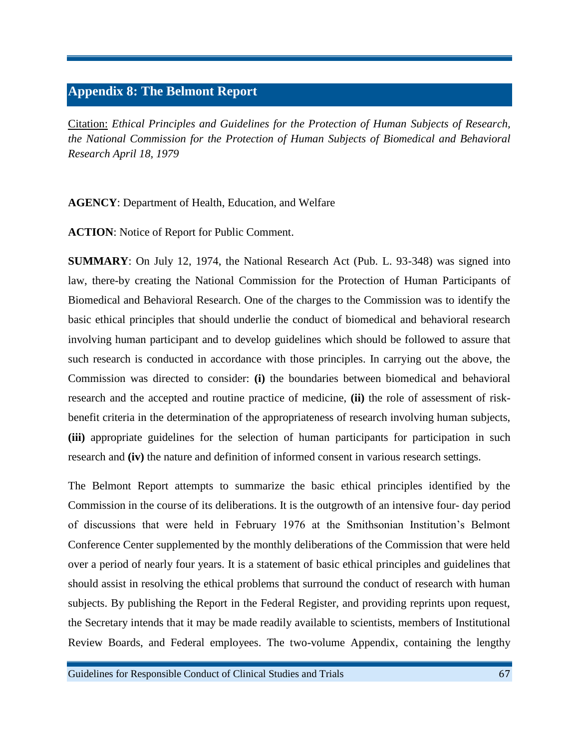# **Appendix 8: The Belmont Report**

Citation: *Ethical Principles and Guidelines for the Protection of Human Subjects of Research, the National Commission for the Protection of Human Subjects of Biomedical and Behavioral Research April 18, 1979*

**AGENCY**: Department of Health, Education, and Welfare

**ACTION**: Notice of Report for Public Comment.

**SUMMARY**: On July 12, 1974, the National Research Act (Pub. L. 93-348) was signed into law, there-by creating the National Commission for the Protection of Human Participants of Biomedical and Behavioral Research. One of the charges to the Commission was to identify the basic ethical principles that should underlie the conduct of biomedical and behavioral research involving human participant and to develop guidelines which should be followed to assure that such research is conducted in accordance with those principles. In carrying out the above, the Commission was directed to consider: **(i)** the boundaries between biomedical and behavioral research and the accepted and routine practice of medicine, **(ii)** the role of assessment of riskbenefit criteria in the determination of the appropriateness of research involving human subjects, **(iii)** appropriate guidelines for the selection of human participants for participation in such research and **(iv)** the nature and definition of informed consent in various research settings.

The Belmont Report attempts to summarize the basic ethical principles identified by the Commission in the course of its deliberations. It is the outgrowth of an intensive four- day period of discussions that were held in February 1976 at the Smithsonian Institution's Belmont Conference Center supplemented by the monthly deliberations of the Commission that were held over a period of nearly four years. It is a statement of basic ethical principles and guidelines that should assist in resolving the ethical problems that surround the conduct of research with human subjects. By publishing the Report in the Federal Register, and providing reprints upon request, the Secretary intends that it may be made readily available to scientists, members of Institutional Review Boards, and Federal employees. The two-volume Appendix, containing the lengthy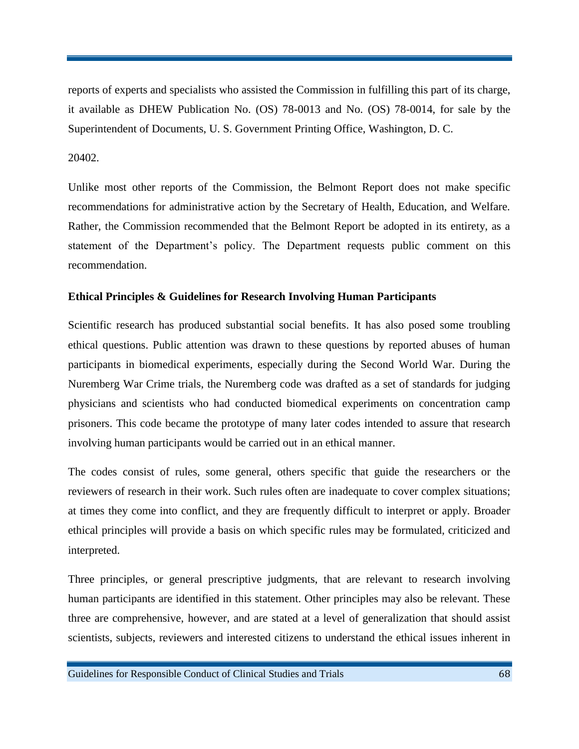reports of experts and specialists who assisted the Commission in fulfilling this part of its charge, it available as DHEW Publication No. (OS) 78-0013 and No. (OS) 78-0014, for sale by the Superintendent of Documents, U. S. Government Printing Office, Washington, D. C.

### 20402.

Unlike most other reports of the Commission, the Belmont Report does not make specific recommendations for administrative action by the Secretary of Health, Education, and Welfare. Rather, the Commission recommended that the Belmont Report be adopted in its entirety, as a statement of the Department's policy. The Department requests public comment on this recommendation.

## **Ethical Principles & Guidelines for Research Involving Human Participants**

Scientific research has produced substantial social benefits. It has also posed some troubling ethical questions. Public attention was drawn to these questions by reported abuses of human participants in biomedical experiments, especially during the Second World War. During the Nuremberg War Crime trials, the Nuremberg code was drafted as a set of standards for judging physicians and scientists who had conducted biomedical experiments on concentration camp prisoners. This code became the prototype of many later codes intended to assure that research involving human participants would be carried out in an ethical manner.

The codes consist of rules, some general, others specific that guide the researchers or the reviewers of research in their work. Such rules often are inadequate to cover complex situations; at times they come into conflict, and they are frequently difficult to interpret or apply. Broader ethical principles will provide a basis on which specific rules may be formulated, criticized and interpreted.

Three principles, or general prescriptive judgments, that are relevant to research involving human participants are identified in this statement. Other principles may also be relevant. These three are comprehensive, however, and are stated at a level of generalization that should assist scientists, subjects, reviewers and interested citizens to understand the ethical issues inherent in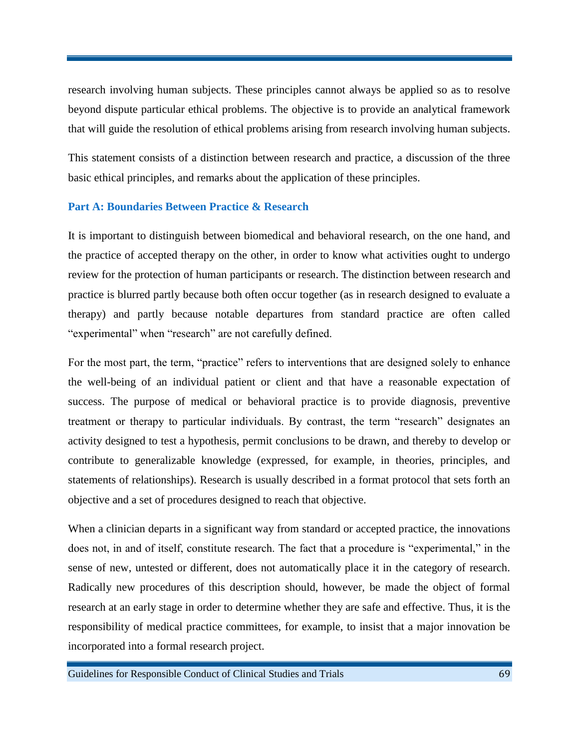research involving human subjects. These principles cannot always be applied so as to resolve beyond dispute particular ethical problems. The objective is to provide an analytical framework that will guide the resolution of ethical problems arising from research involving human subjects.

This statement consists of a distinction between research and practice, a discussion of the three basic ethical principles, and remarks about the application of these principles.

#### **Part A: Boundaries Between Practice & Research**

It is important to distinguish between biomedical and behavioral research, on the one hand, and the practice of accepted therapy on the other, in order to know what activities ought to undergo review for the protection of human participants or research. The distinction between research and practice is blurred partly because both often occur together (as in research designed to evaluate a therapy) and partly because notable departures from standard practice are often called "experimental" when "research" are not carefully defined.

For the most part, the term, "practice" refers to interventions that are designed solely to enhance the well-being of an individual patient or client and that have a reasonable expectation of success. The purpose of medical or behavioral practice is to provide diagnosis, preventive treatment or therapy to particular individuals. By contrast, the term "research" designates an activity designed to test a hypothesis, permit conclusions to be drawn, and thereby to develop or contribute to generalizable knowledge (expressed, for example, in theories, principles, and statements of relationships). Research is usually described in a format protocol that sets forth an objective and a set of procedures designed to reach that objective.

When a clinician departs in a significant way from standard or accepted practice, the innovations does not, in and of itself, constitute research. The fact that a procedure is "experimental," in the sense of new, untested or different, does not automatically place it in the category of research. Radically new procedures of this description should, however, be made the object of formal research at an early stage in order to determine whether they are safe and effective. Thus, it is the responsibility of medical practice committees, for example, to insist that a major innovation be incorporated into a formal research project.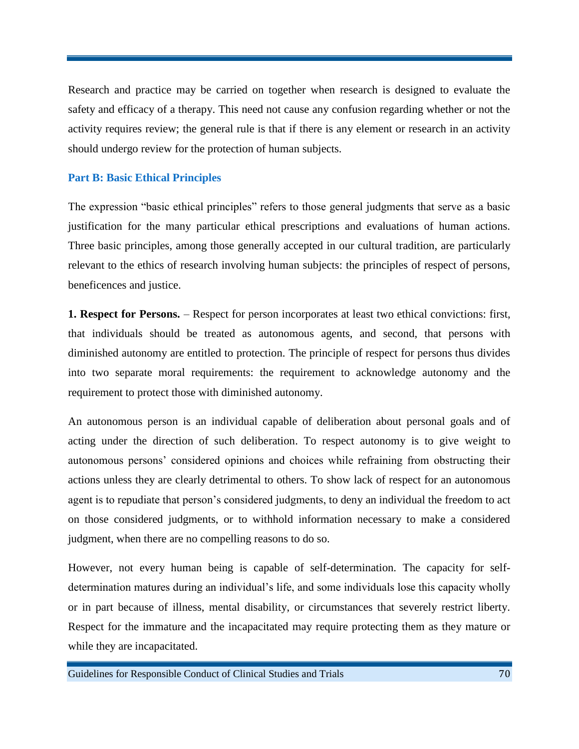Research and practice may be carried on together when research is designed to evaluate the safety and efficacy of a therapy. This need not cause any confusion regarding whether or not the activity requires review; the general rule is that if there is any element or research in an activity should undergo review for the protection of human subjects.

## **Part B: Basic Ethical Principles**

The expression "basic ethical principles" refers to those general judgments that serve as a basic justification for the many particular ethical prescriptions and evaluations of human actions. Three basic principles, among those generally accepted in our cultural tradition, are particularly relevant to the ethics of research involving human subjects: the principles of respect of persons, beneficences and justice.

**1. Respect for Persons.** – Respect for person incorporates at least two ethical convictions: first, that individuals should be treated as autonomous agents, and second, that persons with diminished autonomy are entitled to protection. The principle of respect for persons thus divides into two separate moral requirements: the requirement to acknowledge autonomy and the requirement to protect those with diminished autonomy.

An autonomous person is an individual capable of deliberation about personal goals and of acting under the direction of such deliberation. To respect autonomy is to give weight to autonomous persons' considered opinions and choices while refraining from obstructing their actions unless they are clearly detrimental to others. To show lack of respect for an autonomous agent is to repudiate that person's considered judgments, to deny an individual the freedom to act on those considered judgments, or to withhold information necessary to make a considered judgment, when there are no compelling reasons to do so.

However, not every human being is capable of self-determination. The capacity for selfdetermination matures during an individual's life, and some individuals lose this capacity wholly or in part because of illness, mental disability, or circumstances that severely restrict liberty. Respect for the immature and the incapacitated may require protecting them as they mature or while they are incapacitated.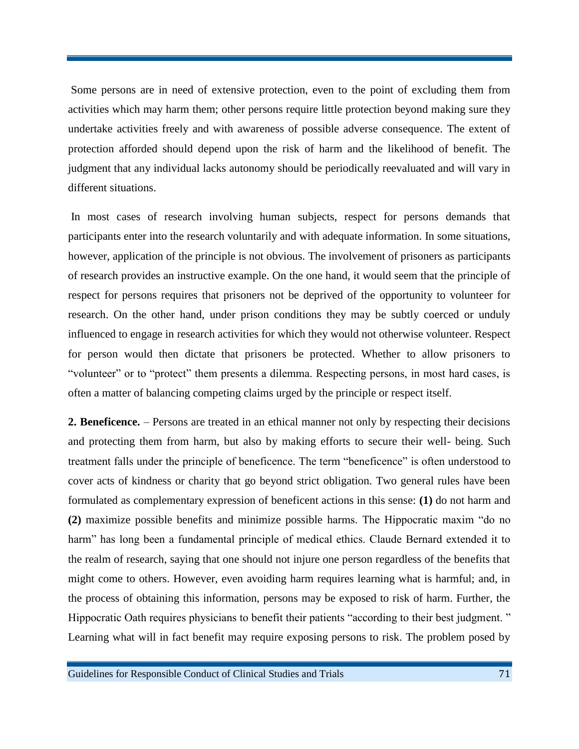Some persons are in need of extensive protection, even to the point of excluding them from activities which may harm them; other persons require little protection beyond making sure they undertake activities freely and with awareness of possible adverse consequence. The extent of protection afforded should depend upon the risk of harm and the likelihood of benefit. The judgment that any individual lacks autonomy should be periodically reevaluated and will vary in different situations.

In most cases of research involving human subjects, respect for persons demands that participants enter into the research voluntarily and with adequate information. In some situations, however, application of the principle is not obvious. The involvement of prisoners as participants of research provides an instructive example. On the one hand, it would seem that the principle of respect for persons requires that prisoners not be deprived of the opportunity to volunteer for research. On the other hand, under prison conditions they may be subtly coerced or unduly influenced to engage in research activities for which they would not otherwise volunteer. Respect for person would then dictate that prisoners be protected. Whether to allow prisoners to "volunteer" or to "protect" them presents a dilemma. Respecting persons, in most hard cases, is often a matter of balancing competing claims urged by the principle or respect itself.

**2. Beneficence.** – Persons are treated in an ethical manner not only by respecting their decisions and protecting them from harm, but also by making efforts to secure their well- being. Such treatment falls under the principle of beneficence. The term "beneficence" is often understood to cover acts of kindness or charity that go beyond strict obligation. Two general rules have been formulated as complementary expression of beneficent actions in this sense: **(1)** do not harm and **(2)** maximize possible benefits and minimize possible harms. The Hippocratic maxim "do no harm" has long been a fundamental principle of medical ethics. Claude Bernard extended it to the realm of research, saying that one should not injure one person regardless of the benefits that might come to others. However, even avoiding harm requires learning what is harmful; and, in the process of obtaining this information, persons may be exposed to risk of harm. Further, the Hippocratic Oath requires physicians to benefit their patients "according to their best judgment." Learning what will in fact benefit may require exposing persons to risk. The problem posed by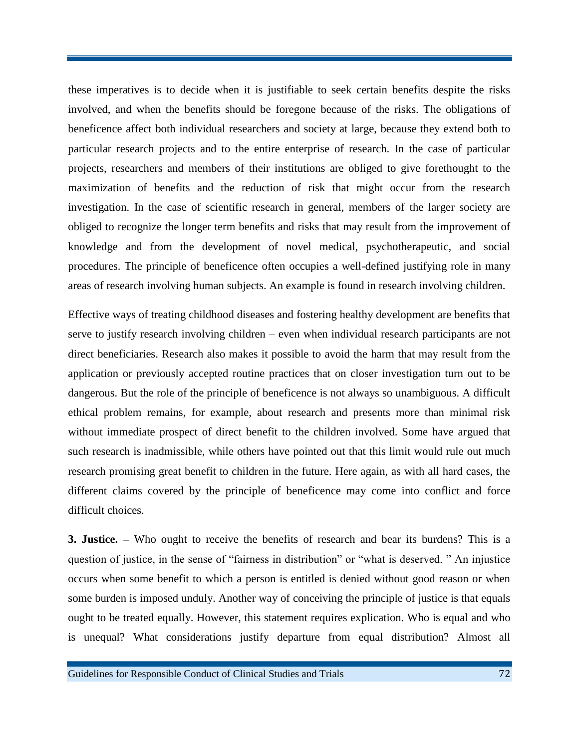these imperatives is to decide when it is justifiable to seek certain benefits despite the risks involved, and when the benefits should be foregone because of the risks. The obligations of beneficence affect both individual researchers and society at large, because they extend both to particular research projects and to the entire enterprise of research. In the case of particular projects, researchers and members of their institutions are obliged to give forethought to the maximization of benefits and the reduction of risk that might occur from the research investigation. In the case of scientific research in general, members of the larger society are obliged to recognize the longer term benefits and risks that may result from the improvement of knowledge and from the development of novel medical, psychotherapeutic, and social procedures. The principle of beneficence often occupies a well-defined justifying role in many areas of research involving human subjects. An example is found in research involving children.

Effective ways of treating childhood diseases and fostering healthy development are benefits that serve to justify research involving children – even when individual research participants are not direct beneficiaries. Research also makes it possible to avoid the harm that may result from the application or previously accepted routine practices that on closer investigation turn out to be dangerous. But the role of the principle of beneficence is not always so unambiguous. A difficult ethical problem remains, for example, about research and presents more than minimal risk without immediate prospect of direct benefit to the children involved. Some have argued that such research is inadmissible, while others have pointed out that this limit would rule out much research promising great benefit to children in the future. Here again, as with all hard cases, the different claims covered by the principle of beneficence may come into conflict and force difficult choices.

**3. Justice.** – Who ought to receive the benefits of research and bear its burdens? This is a question of justice, in the sense of "fairness in distribution" or "what is deserved. " An injustice occurs when some benefit to which a person is entitled is denied without good reason or when some burden is imposed unduly. Another way of conceiving the principle of justice is that equals ought to be treated equally. However, this statement requires explication. Who is equal and who is unequal? What considerations justify departure from equal distribution? Almost all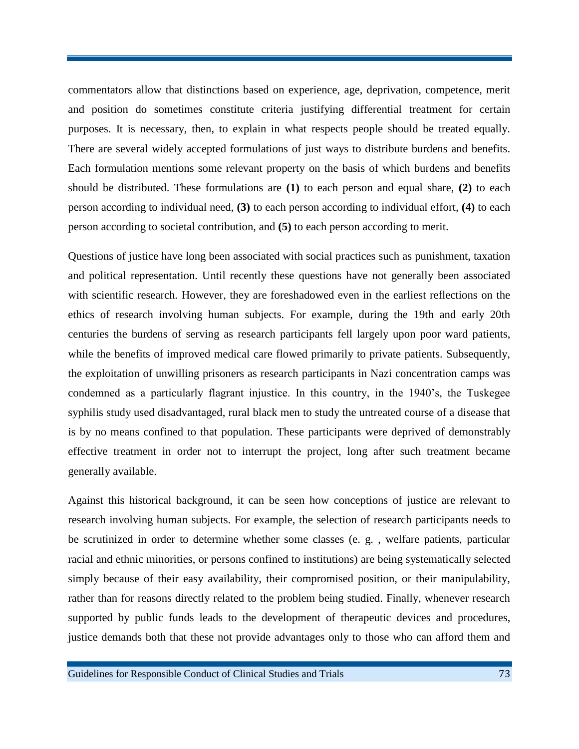commentators allow that distinctions based on experience, age, deprivation, competence, merit and position do sometimes constitute criteria justifying differential treatment for certain purposes. It is necessary, then, to explain in what respects people should be treated equally. There are several widely accepted formulations of just ways to distribute burdens and benefits. Each formulation mentions some relevant property on the basis of which burdens and benefits should be distributed. These formulations are **(1)** to each person and equal share, **(2)** to each person according to individual need, **(3)** to each person according to individual effort, **(4)** to each person according to societal contribution, and **(5)** to each person according to merit.

Questions of justice have long been associated with social practices such as punishment, taxation and political representation. Until recently these questions have not generally been associated with scientific research. However, they are foreshadowed even in the earliest reflections on the ethics of research involving human subjects. For example, during the 19th and early 20th centuries the burdens of serving as research participants fell largely upon poor ward patients, while the benefits of improved medical care flowed primarily to private patients. Subsequently, the exploitation of unwilling prisoners as research participants in Nazi concentration camps was condemned as a particularly flagrant injustice. In this country, in the 1940's, the Tuskegee syphilis study used disadvantaged, rural black men to study the untreated course of a disease that is by no means confined to that population. These participants were deprived of demonstrably effective treatment in order not to interrupt the project, long after such treatment became generally available.

Against this historical background, it can be seen how conceptions of justice are relevant to research involving human subjects. For example, the selection of research participants needs to be scrutinized in order to determine whether some classes (e. g. , welfare patients, particular racial and ethnic minorities, or persons confined to institutions) are being systematically selected simply because of their easy availability, their compromised position, or their manipulability, rather than for reasons directly related to the problem being studied. Finally, whenever research supported by public funds leads to the development of therapeutic devices and procedures, justice demands both that these not provide advantages only to those who can afford them and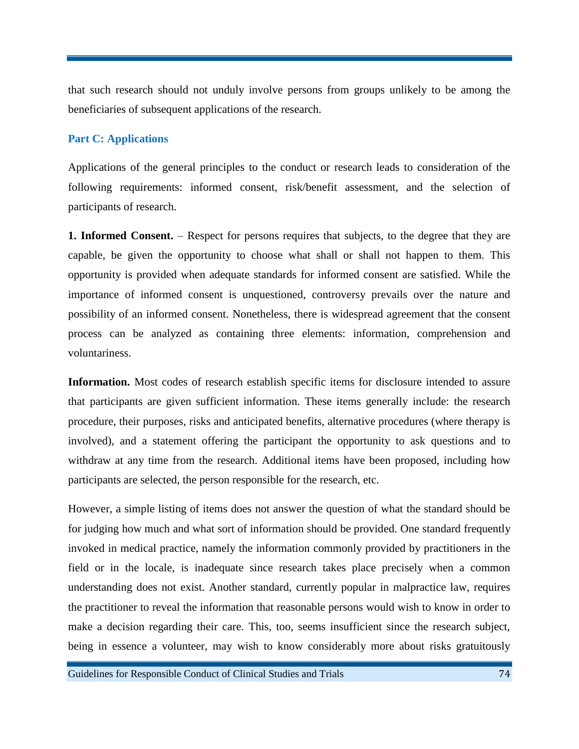that such research should not unduly involve persons from groups unlikely to be among the beneficiaries of subsequent applications of the research.

#### **Part C: Applications**

Applications of the general principles to the conduct or research leads to consideration of the following requirements: informed consent, risk/benefit assessment, and the selection of participants of research.

**1. Informed Consent.** – Respect for persons requires that subjects, to the degree that they are capable, be given the opportunity to choose what shall or shall not happen to them. This opportunity is provided when adequate standards for informed consent are satisfied. While the importance of informed consent is unquestioned, controversy prevails over the nature and possibility of an informed consent. Nonetheless, there is widespread agreement that the consent process can be analyzed as containing three elements: information, comprehension and voluntariness.

**Information.** Most codes of research establish specific items for disclosure intended to assure that participants are given sufficient information. These items generally include: the research procedure, their purposes, risks and anticipated benefits, alternative procedures (where therapy is involved), and a statement offering the participant the opportunity to ask questions and to withdraw at any time from the research. Additional items have been proposed, including how participants are selected, the person responsible for the research, etc.

However, a simple listing of items does not answer the question of what the standard should be for judging how much and what sort of information should be provided. One standard frequently invoked in medical practice, namely the information commonly provided by practitioners in the field or in the locale, is inadequate since research takes place precisely when a common understanding does not exist. Another standard, currently popular in malpractice law, requires the practitioner to reveal the information that reasonable persons would wish to know in order to make a decision regarding their care. This, too, seems insufficient since the research subject, being in essence a volunteer, may wish to know considerably more about risks gratuitously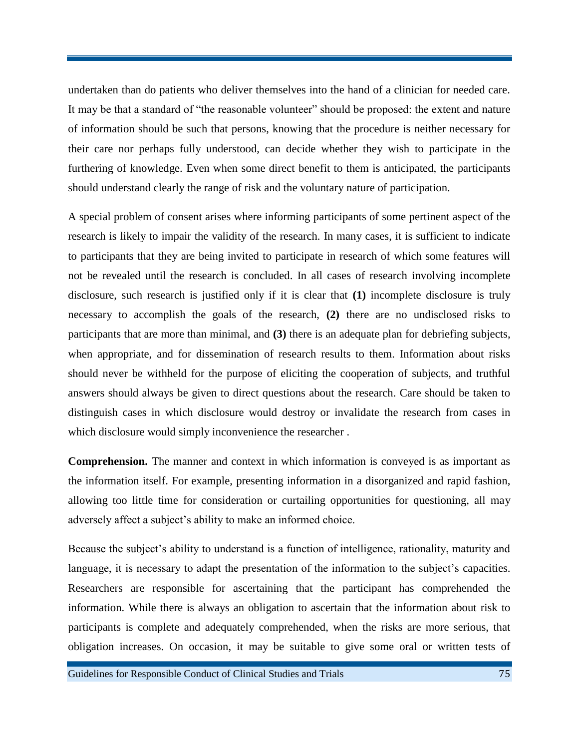undertaken than do patients who deliver themselves into the hand of a clinician for needed care. It may be that a standard of "the reasonable volunteer" should be proposed: the extent and nature of information should be such that persons, knowing that the procedure is neither necessary for their care nor perhaps fully understood, can decide whether they wish to participate in the furthering of knowledge. Even when some direct benefit to them is anticipated, the participants should understand clearly the range of risk and the voluntary nature of participation.

A special problem of consent arises where informing participants of some pertinent aspect of the research is likely to impair the validity of the research. In many cases, it is sufficient to indicate to participants that they are being invited to participate in research of which some features will not be revealed until the research is concluded. In all cases of research involving incomplete disclosure, such research is justified only if it is clear that **(1)** incomplete disclosure is truly necessary to accomplish the goals of the research, **(2)** there are no undisclosed risks to participants that are more than minimal, and **(3)** there is an adequate plan for debriefing subjects, when appropriate, and for dissemination of research results to them. Information about risks should never be withheld for the purpose of eliciting the cooperation of subjects, and truthful answers should always be given to direct questions about the research. Care should be taken to distinguish cases in which disclosure would destroy or invalidate the research from cases in which disclosure would simply inconvenience the researcher .

**Comprehension.** The manner and context in which information is conveyed is as important as the information itself. For example, presenting information in a disorganized and rapid fashion, allowing too little time for consideration or curtailing opportunities for questioning, all may adversely affect a subject's ability to make an informed choice.

Because the subject's ability to understand is a function of intelligence, rationality, maturity and language, it is necessary to adapt the presentation of the information to the subject's capacities. Researchers are responsible for ascertaining that the participant has comprehended the information. While there is always an obligation to ascertain that the information about risk to participants is complete and adequately comprehended, when the risks are more serious, that obligation increases. On occasion, it may be suitable to give some oral or written tests of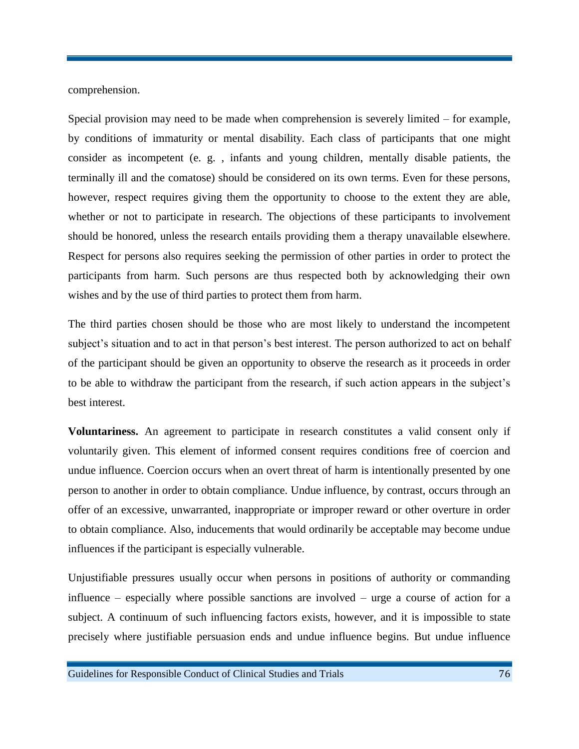comprehension.

Special provision may need to be made when comprehension is severely limited – for example, by conditions of immaturity or mental disability. Each class of participants that one might consider as incompetent (e. g. , infants and young children, mentally disable patients, the terminally ill and the comatose) should be considered on its own terms. Even for these persons, however, respect requires giving them the opportunity to choose to the extent they are able, whether or not to participate in research. The objections of these participants to involvement should be honored, unless the research entails providing them a therapy unavailable elsewhere. Respect for persons also requires seeking the permission of other parties in order to protect the participants from harm. Such persons are thus respected both by acknowledging their own wishes and by the use of third parties to protect them from harm.

The third parties chosen should be those who are most likely to understand the incompetent subject's situation and to act in that person's best interest. The person authorized to act on behalf of the participant should be given an opportunity to observe the research as it proceeds in order to be able to withdraw the participant from the research, if such action appears in the subject's best interest.

**Voluntariness.** An agreement to participate in research constitutes a valid consent only if voluntarily given. This element of informed consent requires conditions free of coercion and undue influence. Coercion occurs when an overt threat of harm is intentionally presented by one person to another in order to obtain compliance. Undue influence, by contrast, occurs through an offer of an excessive, unwarranted, inappropriate or improper reward or other overture in order to obtain compliance. Also, inducements that would ordinarily be acceptable may become undue influences if the participant is especially vulnerable.

Unjustifiable pressures usually occur when persons in positions of authority or commanding influence – especially where possible sanctions are involved – urge a course of action for a subject. A continuum of such influencing factors exists, however, and it is impossible to state precisely where justifiable persuasion ends and undue influence begins. But undue influence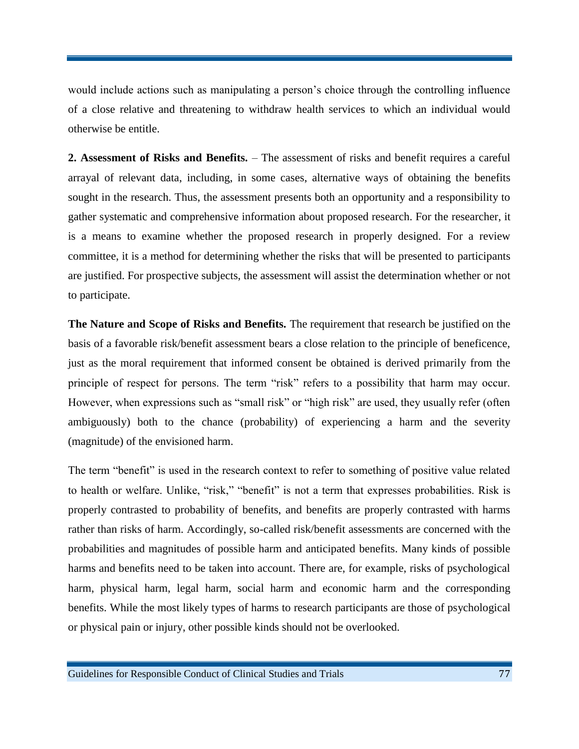would include actions such as manipulating a person's choice through the controlling influence of a close relative and threatening to withdraw health services to which an individual would otherwise be entitle.

**2. Assessment of Risks and Benefits.** – The assessment of risks and benefit requires a careful arrayal of relevant data, including, in some cases, alternative ways of obtaining the benefits sought in the research. Thus, the assessment presents both an opportunity and a responsibility to gather systematic and comprehensive information about proposed research. For the researcher, it is a means to examine whether the proposed research in properly designed. For a review committee, it is a method for determining whether the risks that will be presented to participants are justified. For prospective subjects, the assessment will assist the determination whether or not to participate.

**The Nature and Scope of Risks and Benefits.** The requirement that research be justified on the basis of a favorable risk/benefit assessment bears a close relation to the principle of beneficence, just as the moral requirement that informed consent be obtained is derived primarily from the principle of respect for persons. The term "risk" refers to a possibility that harm may occur. However, when expressions such as "small risk" or "high risk" are used, they usually refer (often ambiguously) both to the chance (probability) of experiencing a harm and the severity (magnitude) of the envisioned harm.

The term "benefit" is used in the research context to refer to something of positive value related to health or welfare. Unlike, "risk," "benefit" is not a term that expresses probabilities. Risk is properly contrasted to probability of benefits, and benefits are properly contrasted with harms rather than risks of harm. Accordingly, so-called risk/benefit assessments are concerned with the probabilities and magnitudes of possible harm and anticipated benefits. Many kinds of possible harms and benefits need to be taken into account. There are, for example, risks of psychological harm, physical harm, legal harm, social harm and economic harm and the corresponding benefits. While the most likely types of harms to research participants are those of psychological or physical pain or injury, other possible kinds should not be overlooked.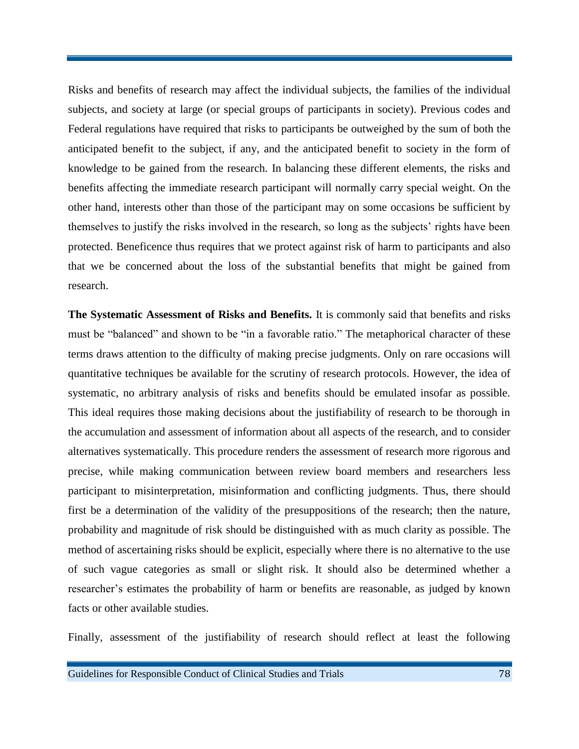Risks and benefits of research may affect the individual subjects, the families of the individual subjects, and society at large (or special groups of participants in society). Previous codes and Federal regulations have required that risks to participants be outweighed by the sum of both the anticipated benefit to the subject, if any, and the anticipated benefit to society in the form of knowledge to be gained from the research. In balancing these different elements, the risks and benefits affecting the immediate research participant will normally carry special weight. On the other hand, interests other than those of the participant may on some occasions be sufficient by themselves to justify the risks involved in the research, so long as the subjects' rights have been protected. Beneficence thus requires that we protect against risk of harm to participants and also that we be concerned about the loss of the substantial benefits that might be gained from research.

**The Systematic Assessment of Risks and Benefits.** It is commonly said that benefits and risks must be "balanced" and shown to be "in a favorable ratio." The metaphorical character of these terms draws attention to the difficulty of making precise judgments. Only on rare occasions will quantitative techniques be available for the scrutiny of research protocols. However, the idea of systematic, no arbitrary analysis of risks and benefits should be emulated insofar as possible. This ideal requires those making decisions about the justifiability of research to be thorough in the accumulation and assessment of information about all aspects of the research, and to consider alternatives systematically. This procedure renders the assessment of research more rigorous and precise, while making communication between review board members and researchers less participant to misinterpretation, misinformation and conflicting judgments. Thus, there should first be a determination of the validity of the presuppositions of the research; then the nature, probability and magnitude of risk should be distinguished with as much clarity as possible. The method of ascertaining risks should be explicit, especially where there is no alternative to the use of such vague categories as small or slight risk. It should also be determined whether a researcher's estimates the probability of harm or benefits are reasonable, as judged by known facts or other available studies.

Finally, assessment of the justifiability of research should reflect at least the following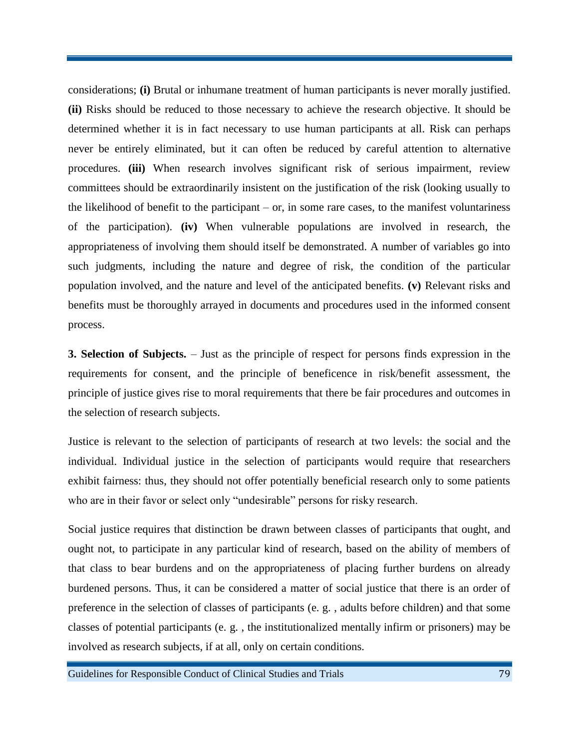considerations; **(i)** Brutal or inhumane treatment of human participants is never morally justified. **(ii)** Risks should be reduced to those necessary to achieve the research objective. It should be determined whether it is in fact necessary to use human participants at all. Risk can perhaps never be entirely eliminated, but it can often be reduced by careful attention to alternative procedures. **(iii)** When research involves significant risk of serious impairment, review committees should be extraordinarily insistent on the justification of the risk (looking usually to the likelihood of benefit to the participant – or, in some rare cases, to the manifest voluntariness of the participation). **(iv)** When vulnerable populations are involved in research, the appropriateness of involving them should itself be demonstrated. A number of variables go into such judgments, including the nature and degree of risk, the condition of the particular population involved, and the nature and level of the anticipated benefits. **(v)** Relevant risks and benefits must be thoroughly arrayed in documents and procedures used in the informed consent process.

**3. Selection of Subjects.** – Just as the principle of respect for persons finds expression in the requirements for consent, and the principle of beneficence in risk/benefit assessment, the principle of justice gives rise to moral requirements that there be fair procedures and outcomes in the selection of research subjects.

Justice is relevant to the selection of participants of research at two levels: the social and the individual. Individual justice in the selection of participants would require that researchers exhibit fairness: thus, they should not offer potentially beneficial research only to some patients who are in their favor or select only "undesirable" persons for risky research.

Social justice requires that distinction be drawn between classes of participants that ought, and ought not, to participate in any particular kind of research, based on the ability of members of that class to bear burdens and on the appropriateness of placing further burdens on already burdened persons. Thus, it can be considered a matter of social justice that there is an order of preference in the selection of classes of participants (e. g. , adults before children) and that some classes of potential participants (e. g. , the institutionalized mentally infirm or prisoners) may be involved as research subjects, if at all, only on certain conditions.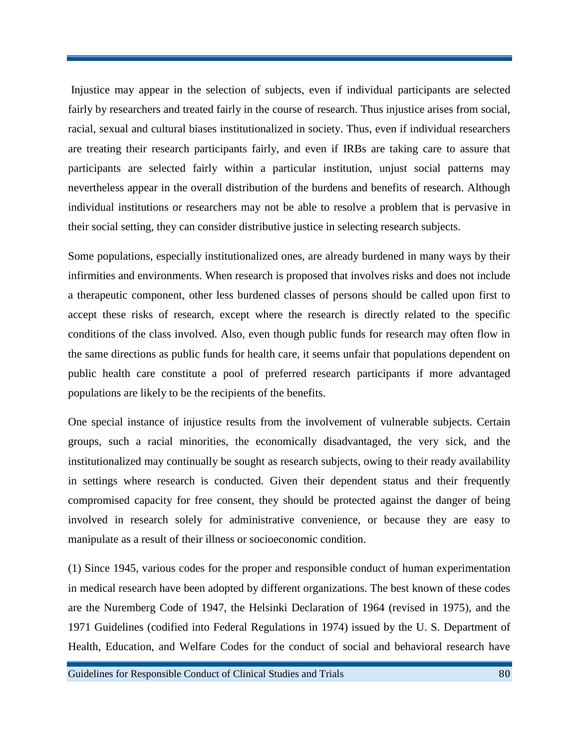Injustice may appear in the selection of subjects, even if individual participants are selected fairly by researchers and treated fairly in the course of research. Thus injustice arises from social, racial, sexual and cultural biases institutionalized in society. Thus, even if individual researchers are treating their research participants fairly, and even if IRBs are taking care to assure that participants are selected fairly within a particular institution, unjust social patterns may nevertheless appear in the overall distribution of the burdens and benefits of research. Although individual institutions or researchers may not be able to resolve a problem that is pervasive in their social setting, they can consider distributive justice in selecting research subjects.

Some populations, especially institutionalized ones, are already burdened in many ways by their infirmities and environments. When research is proposed that involves risks and does not include a therapeutic component, other less burdened classes of persons should be called upon first to accept these risks of research, except where the research is directly related to the specific conditions of the class involved. Also, even though public funds for research may often flow in the same directions as public funds for health care, it seems unfair that populations dependent on public health care constitute a pool of preferred research participants if more advantaged populations are likely to be the recipients of the benefits.

One special instance of injustice results from the involvement of vulnerable subjects. Certain groups, such a racial minorities, the economically disadvantaged, the very sick, and the institutionalized may continually be sought as research subjects, owing to their ready availability in settings where research is conducted. Given their dependent status and their frequently compromised capacity for free consent, they should be protected against the danger of being involved in research solely for administrative convenience, or because they are easy to manipulate as a result of their illness or socioeconomic condition.

(1) Since 1945, various codes for the proper and responsible conduct of human experimentation in medical research have been adopted by different organizations. The best known of these codes are the Nuremberg Code of 1947, the Helsinki Declaration of 1964 (revised in 1975), and the 1971 Guidelines (codified into Federal Regulations in 1974) issued by the U. S. Department of Health, Education, and Welfare Codes for the conduct of social and behavioral research have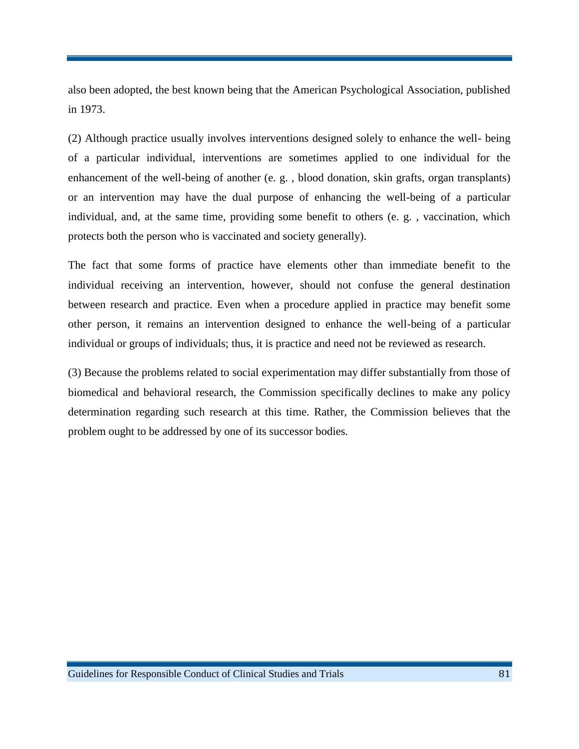also been adopted, the best known being that the American Psychological Association, published in 1973.

(2) Although practice usually involves interventions designed solely to enhance the well- being of a particular individual, interventions are sometimes applied to one individual for the enhancement of the well-being of another (e. g. , blood donation, skin grafts, organ transplants) or an intervention may have the dual purpose of enhancing the well-being of a particular individual, and, at the same time, providing some benefit to others (e. g. , vaccination, which protects both the person who is vaccinated and society generally).

The fact that some forms of practice have elements other than immediate benefit to the individual receiving an intervention, however, should not confuse the general destination between research and practice. Even when a procedure applied in practice may benefit some other person, it remains an intervention designed to enhance the well-being of a particular individual or groups of individuals; thus, it is practice and need not be reviewed as research.

(3) Because the problems related to social experimentation may differ substantially from those of biomedical and behavioral research, the Commission specifically declines to make any policy determination regarding such research at this time. Rather, the Commission believes that the problem ought to be addressed by one of its successor bodies.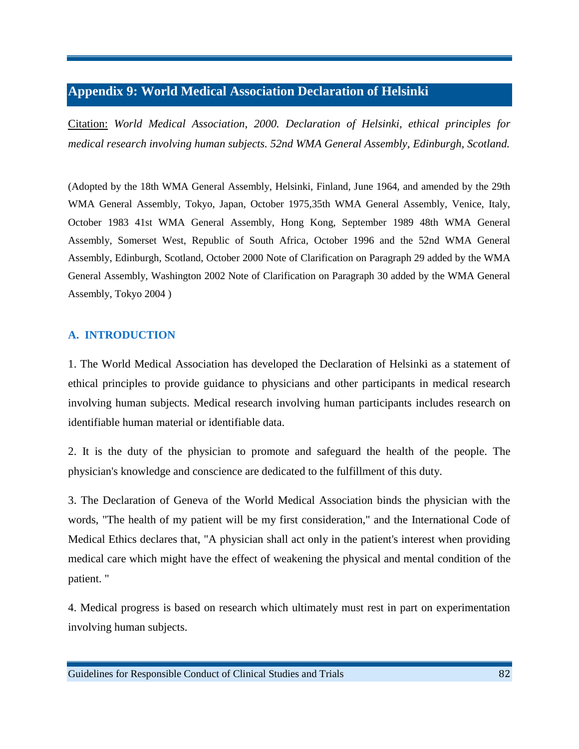## **Appendix 9: World Medical Association Declaration of Helsinki**

Citation: *World Medical Association, 2000. Declaration of Helsinki, ethical principles for medical research involving human subjects. 52nd WMA General Assembly, Edinburgh, Scotland.*

(Adopted by the 18th WMA General Assembly, Helsinki, Finland, June 1964, and amended by the 29th WMA General Assembly, Tokyo, Japan, October 1975,35th WMA General Assembly, Venice, Italy, October 1983 41st WMA General Assembly, Hong Kong, September 1989 48th WMA General Assembly, Somerset West, Republic of South Africa, October 1996 and the 52nd WMA General Assembly, Edinburgh, Scotland, October 2000 Note of Clarification on Paragraph 29 added by the WMA General Assembly, Washington 2002 Note of Clarification on Paragraph 30 added by the WMA General Assembly, Tokyo 2004 )

## **A. INTRODUCTION**

1. The World Medical Association has developed the Declaration of Helsinki as a statement of ethical principles to provide guidance to physicians and other participants in medical research involving human subjects. Medical research involving human participants includes research on identifiable human material or identifiable data.

2. It is the duty of the physician to promote and safeguard the health of the people. The physician's knowledge and conscience are dedicated to the fulfillment of this duty.

3. The Declaration of Geneva of the World Medical Association binds the physician with the words, "The health of my patient will be my first consideration," and the International Code of Medical Ethics declares that, "A physician shall act only in the patient's interest when providing medical care which might have the effect of weakening the physical and mental condition of the patient. "

4. Medical progress is based on research which ultimately must rest in part on experimentation involving human subjects.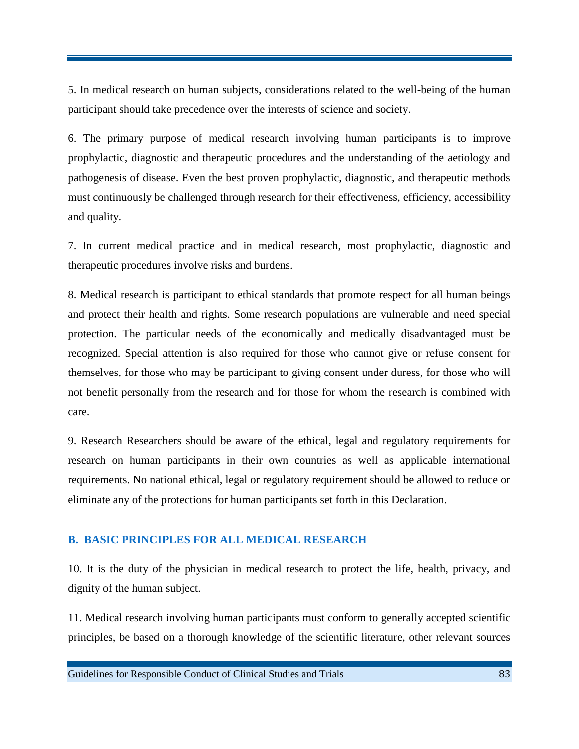5. In medical research on human subjects, considerations related to the well-being of the human participant should take precedence over the interests of science and society.

6. The primary purpose of medical research involving human participants is to improve prophylactic, diagnostic and therapeutic procedures and the understanding of the aetiology and pathogenesis of disease. Even the best proven prophylactic, diagnostic, and therapeutic methods must continuously be challenged through research for their effectiveness, efficiency, accessibility and quality.

7. In current medical practice and in medical research, most prophylactic, diagnostic and therapeutic procedures involve risks and burdens.

8. Medical research is participant to ethical standards that promote respect for all human beings and protect their health and rights. Some research populations are vulnerable and need special protection. The particular needs of the economically and medically disadvantaged must be recognized. Special attention is also required for those who cannot give or refuse consent for themselves, for those who may be participant to giving consent under duress, for those who will not benefit personally from the research and for those for whom the research is combined with care.

9. Research Researchers should be aware of the ethical, legal and regulatory requirements for research on human participants in their own countries as well as applicable international requirements. No national ethical, legal or regulatory requirement should be allowed to reduce or eliminate any of the protections for human participants set forth in this Declaration.

## **B. BASIC PRINCIPLES FOR ALL MEDICAL RESEARCH**

10. It is the duty of the physician in medical research to protect the life, health, privacy, and dignity of the human subject.

11. Medical research involving human participants must conform to generally accepted scientific principles, be based on a thorough knowledge of the scientific literature, other relevant sources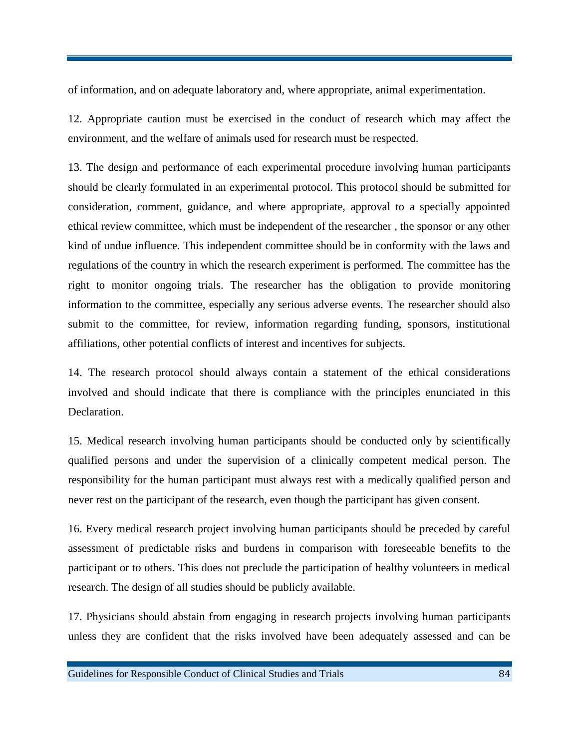of information, and on adequate laboratory and, where appropriate, animal experimentation.

12. Appropriate caution must be exercised in the conduct of research which may affect the environment, and the welfare of animals used for research must be respected.

13. The design and performance of each experimental procedure involving human participants should be clearly formulated in an experimental protocol. This protocol should be submitted for consideration, comment, guidance, and where appropriate, approval to a specially appointed ethical review committee, which must be independent of the researcher , the sponsor or any other kind of undue influence. This independent committee should be in conformity with the laws and regulations of the country in which the research experiment is performed. The committee has the right to monitor ongoing trials. The researcher has the obligation to provide monitoring information to the committee, especially any serious adverse events. The researcher should also submit to the committee, for review, information regarding funding, sponsors, institutional affiliations, other potential conflicts of interest and incentives for subjects.

14. The research protocol should always contain a statement of the ethical considerations involved and should indicate that there is compliance with the principles enunciated in this Declaration.

15. Medical research involving human participants should be conducted only by scientifically qualified persons and under the supervision of a clinically competent medical person. The responsibility for the human participant must always rest with a medically qualified person and never rest on the participant of the research, even though the participant has given consent.

16. Every medical research project involving human participants should be preceded by careful assessment of predictable risks and burdens in comparison with foreseeable benefits to the participant or to others. This does not preclude the participation of healthy volunteers in medical research. The design of all studies should be publicly available.

17. Physicians should abstain from engaging in research projects involving human participants unless they are confident that the risks involved have been adequately assessed and can be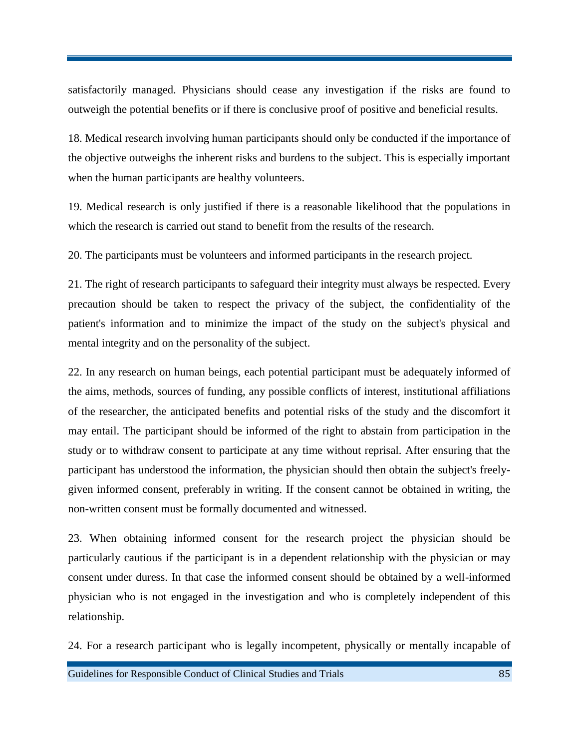satisfactorily managed. Physicians should cease any investigation if the risks are found to outweigh the potential benefits or if there is conclusive proof of positive and beneficial results.

18. Medical research involving human participants should only be conducted if the importance of the objective outweighs the inherent risks and burdens to the subject. This is especially important when the human participants are healthy volunteers.

19. Medical research is only justified if there is a reasonable likelihood that the populations in which the research is carried out stand to benefit from the results of the research.

20. The participants must be volunteers and informed participants in the research project.

21. The right of research participants to safeguard their integrity must always be respected. Every precaution should be taken to respect the privacy of the subject, the confidentiality of the patient's information and to minimize the impact of the study on the subject's physical and mental integrity and on the personality of the subject.

22. In any research on human beings, each potential participant must be adequately informed of the aims, methods, sources of funding, any possible conflicts of interest, institutional affiliations of the researcher, the anticipated benefits and potential risks of the study and the discomfort it may entail. The participant should be informed of the right to abstain from participation in the study or to withdraw consent to participate at any time without reprisal. After ensuring that the participant has understood the information, the physician should then obtain the subject's freelygiven informed consent, preferably in writing. If the consent cannot be obtained in writing, the non-written consent must be formally documented and witnessed.

23. When obtaining informed consent for the research project the physician should be particularly cautious if the participant is in a dependent relationship with the physician or may consent under duress. In that case the informed consent should be obtained by a well-informed physician who is not engaged in the investigation and who is completely independent of this relationship.

24. For a research participant who is legally incompetent, physically or mentally incapable of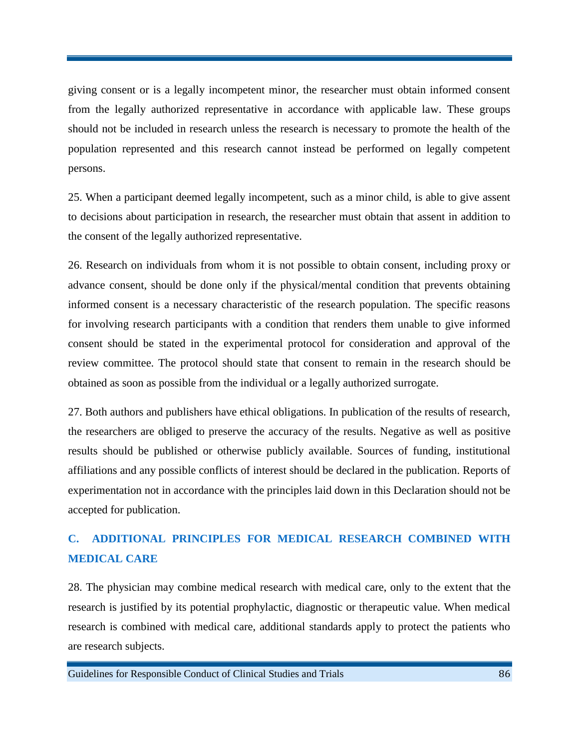giving consent or is a legally incompetent minor, the researcher must obtain informed consent from the legally authorized representative in accordance with applicable law. These groups should not be included in research unless the research is necessary to promote the health of the population represented and this research cannot instead be performed on legally competent persons.

25. When a participant deemed legally incompetent, such as a minor child, is able to give assent to decisions about participation in research, the researcher must obtain that assent in addition to the consent of the legally authorized representative.

26. Research on individuals from whom it is not possible to obtain consent, including proxy or advance consent, should be done only if the physical/mental condition that prevents obtaining informed consent is a necessary characteristic of the research population. The specific reasons for involving research participants with a condition that renders them unable to give informed consent should be stated in the experimental protocol for consideration and approval of the review committee. The protocol should state that consent to remain in the research should be obtained as soon as possible from the individual or a legally authorized surrogate.

27. Both authors and publishers have ethical obligations. In publication of the results of research, the researchers are obliged to preserve the accuracy of the results. Negative as well as positive results should be published or otherwise publicly available. Sources of funding, institutional affiliations and any possible conflicts of interest should be declared in the publication. Reports of experimentation not in accordance with the principles laid down in this Declaration should not be accepted for publication.

# **C. ADDITIONAL PRINCIPLES FOR MEDICAL RESEARCH COMBINED WITH MEDICAL CARE**

28. The physician may combine medical research with medical care, only to the extent that the research is justified by its potential prophylactic, diagnostic or therapeutic value. When medical research is combined with medical care, additional standards apply to protect the patients who are research subjects.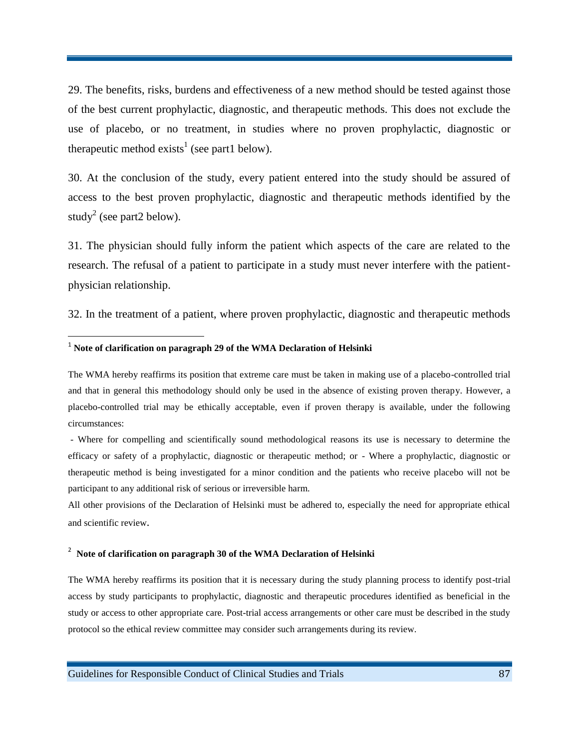29. The benefits, risks, burdens and effectiveness of a new method should be tested against those of the best current prophylactic, diagnostic, and therapeutic methods. This does not exclude the use of placebo, or no treatment, in studies where no proven prophylactic, diagnostic or therapeutic method exists<sup>1</sup> (see part1 below).

30. At the conclusion of the study, every patient entered into the study should be assured of access to the best proven prophylactic, diagnostic and therapeutic methods identified by the study<sup>2</sup> (see part2 below).

31. The physician should fully inform the patient which aspects of the care are related to the research. The refusal of a patient to participate in a study must never interfere with the patientphysician relationship.

32. In the treatment of a patient, where proven prophylactic, diagnostic and therapeutic methods

#### <sup>1</sup> **Note of clarification on paragraph 29 of the WMA Declaration of Helsinki**

 $\overline{a}$ 

The WMA hereby reaffirms its position that extreme care must be taken in making use of a placebo-controlled trial and that in general this methodology should only be used in the absence of existing proven therapy. However, a placebo-controlled trial may be ethically acceptable, even if proven therapy is available, under the following circumstances:

- Where for compelling and scientifically sound methodological reasons its use is necessary to determine the efficacy or safety of a prophylactic, diagnostic or therapeutic method; or - Where a prophylactic, diagnostic or therapeutic method is being investigated for a minor condition and the patients who receive placebo will not be participant to any additional risk of serious or irreversible harm.

All other provisions of the Declaration of Helsinki must be adhered to, especially the need for appropriate ethical and scientific review.

#### <sup>2</sup> **Note of clarification on paragraph 30 of the WMA Declaration of Helsinki**

The WMA hereby reaffirms its position that it is necessary during the study planning process to identify post-trial access by study participants to prophylactic, diagnostic and therapeutic procedures identified as beneficial in the study or access to other appropriate care. Post-trial access arrangements or other care must be described in the study protocol so the ethical review committee may consider such arrangements during its review.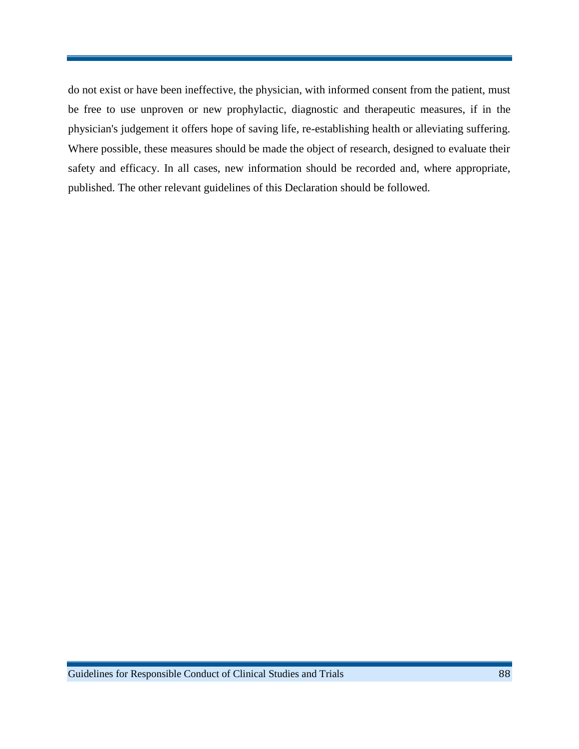do not exist or have been ineffective, the physician, with informed consent from the patient, must be free to use unproven or new prophylactic, diagnostic and therapeutic measures, if in the physician's judgement it offers hope of saving life, re-establishing health or alleviating suffering. Where possible, these measures should be made the object of research, designed to evaluate their safety and efficacy. In all cases, new information should be recorded and, where appropriate, published. The other relevant guidelines of this Declaration should be followed.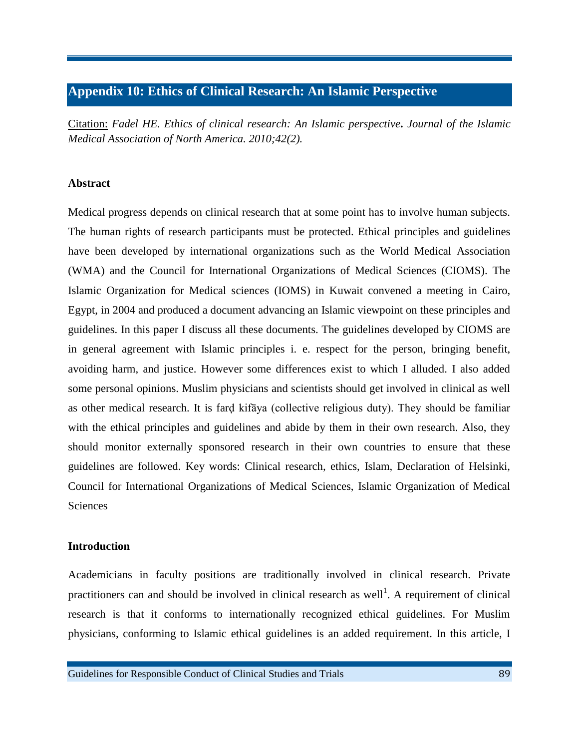## **Appendix 10: Ethics of Clinical Research: An Islamic Perspective**

Citation: *Fadel HE. Ethics of clinical research: An Islamic perspective***.** *Journal of the Islamic Medical Association of North America. 2010;42(2).*

#### **Abstract**

Medical progress depends on clinical research that at some point has to involve human subjects. The human rights of research participants must be protected. Ethical principles and guidelines have been developed by international organizations such as the World Medical Association (WMA) and the Council for International Organizations of Medical Sciences (CIOMS). The Islamic Organization for Medical sciences (IOMS) in Kuwait convened a meeting in Cairo, Egypt, in 2004 and produced a document advancing an Islamic viewpoint on these principles and guidelines. In this paper I discuss all these documents. The guidelines developed by CIOMS are in general agreement with Islamic principles i. e. respect for the person, bringing benefit, avoiding harm, and justice. However some differences exist to which I alluded. I also added some personal opinions. Muslim physicians and scientists should get involved in clinical as well as other medical research. It is farḍ kifāya (collective religious duty). They should be familiar with the ethical principles and guidelines and abide by them in their own research. Also, they should monitor externally sponsored research in their own countries to ensure that these guidelines are followed. Key words: Clinical research, ethics, Islam, Declaration of Helsinki, Council for International Organizations of Medical Sciences, Islamic Organization of Medical Sciences

#### **Introduction**

Academicians in faculty positions are traditionally involved in clinical research. Private practitioners can and should be involved in clinical research as well<sup>1</sup>. A requirement of clinical research is that it conforms to internationally recognized ethical guidelines. For Muslim physicians, conforming to Islamic ethical guidelines is an added requirement. In this article, I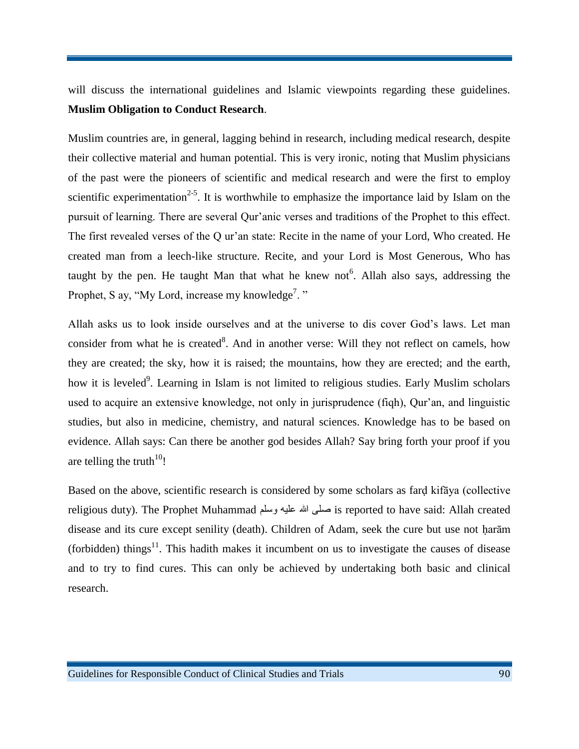will discuss the international guidelines and Islamic viewpoints regarding these guidelines. **Muslim Obligation to Conduct Research**.

Muslim countries are, in general, lagging behind in research, including medical research, despite their collective material and human potential. This is very ironic, noting that Muslim physicians of the past were the pioneers of scientific and medical research and were the first to employ scientific experimentation<sup>2-5</sup>. It is worthwhile to emphasize the importance laid by Islam on the pursuit of learning. There are several Qur'anic verses and traditions of the Prophet to this effect. The first revealed verses of the Q ur'an state: Recite in the name of your Lord, Who created. He created man from a leech-like structure. Recite, and your Lord is Most Generous, Who has taught by the pen. He taught Man that what he knew not <sup>6</sup>. Allah also says, addressing the Prophet, S ay, "My Lord, increase my knowledge<sup>7</sup>."

Allah asks us to look inside ourselves and at the universe to dis cover God's laws. Let man consider from what he is created<sup>8</sup>. And in another verse: Will they not reflect on camels, how they are created; the sky, how it is raised; the mountains, how they are erected; and the earth, how it is leveled<sup>9</sup>. Learning in Islam is not limited to religious studies. Early Muslim scholars used to acquire an extensive knowledge, not only in jurisprudence (fiqh), Qur'an, and linguistic studies, but also in medicine, chemistry, and natural sciences. Knowledge has to be based on evidence. Allah says: Can there be another god besides Allah? Say bring forth your proof if you are telling the truth<sup>10</sup>!

Based on the above, scientific research is considered by some scholars as farḍ kifāya (collective religious duty). The Prophet Muhammad وسلم عليه هللا صلى is reported to have said: Allah created disease and its cure except senility (death). Children of Adam, seek the cure but use not ḥarām (forbidden) things<sup>11</sup>. This hadith makes it incumbent on us to investigate the causes of disease and to try to find cures. This can only be achieved by undertaking both basic and clinical research.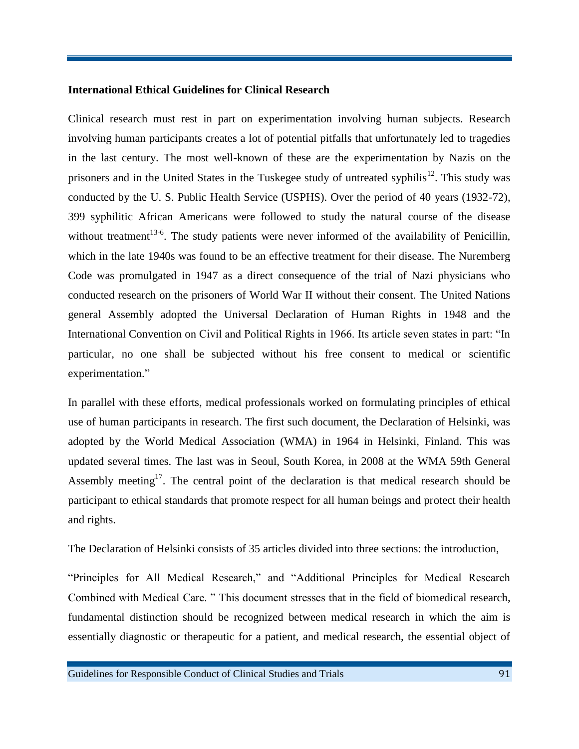#### **International Ethical Guidelines for Clinical Research**

Clinical research must rest in part on experimentation involving human subjects. Research involving human participants creates a lot of potential pitfalls that unfortunately led to tragedies in the last century. The most well-known of these are the experimentation by Nazis on the prisoners and in the United States in the Tuskegee study of untreated syphilis<sup>12</sup>. This study was conducted by the U. S. Public Health Service (USPHS). Over the period of 40 years (1932-72), 399 syphilitic African Americans were followed to study the natural course of the disease without treatment<sup>13-6</sup>. The study patients were never informed of the availability of Penicillin, which in the late 1940s was found to be an effective treatment for their disease. The Nuremberg Code was promulgated in 1947 as a direct consequence of the trial of Nazi physicians who conducted research on the prisoners of World War II without their consent. The United Nations general Assembly adopted the Universal Declaration of Human Rights in 1948 and the International Convention on Civil and Political Rights in 1966. Its article seven states in part: "In particular, no one shall be subjected without his free consent to medical or scientific experimentation."

In parallel with these efforts, medical professionals worked on formulating principles of ethical use of human participants in research. The first such document, the Declaration of Helsinki, was adopted by the World Medical Association (WMA) in 1964 in Helsinki, Finland. This was updated several times. The last was in Seoul, South Korea, in 2008 at the WMA 59th General Assembly meeting<sup>17</sup>. The central point of the declaration is that medical research should be participant to ethical standards that promote respect for all human beings and protect their health and rights.

The Declaration of Helsinki consists of 35 articles divided into three sections: the introduction,

"Principles for All Medical Research," and "Additional Principles for Medical Research Combined with Medical Care. " This document stresses that in the field of biomedical research, fundamental distinction should be recognized between medical research in which the aim is essentially diagnostic or therapeutic for a patient, and medical research, the essential object of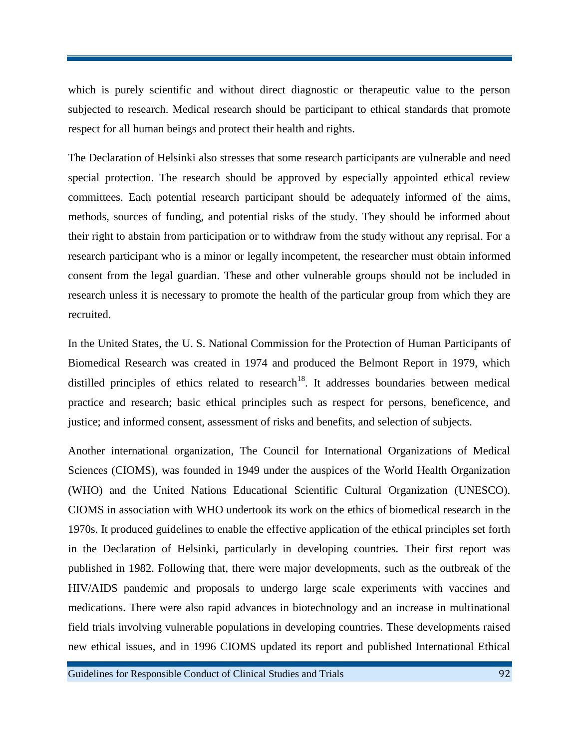which is purely scientific and without direct diagnostic or therapeutic value to the person subjected to research. Medical research should be participant to ethical standards that promote respect for all human beings and protect their health and rights.

The Declaration of Helsinki also stresses that some research participants are vulnerable and need special protection. The research should be approved by especially appointed ethical review committees. Each potential research participant should be adequately informed of the aims, methods, sources of funding, and potential risks of the study. They should be informed about their right to abstain from participation or to withdraw from the study without any reprisal. For a research participant who is a minor or legally incompetent, the researcher must obtain informed consent from the legal guardian. These and other vulnerable groups should not be included in research unless it is necessary to promote the health of the particular group from which they are recruited.

In the United States, the U. S. National Commission for the Protection of Human Participants of Biomedical Research was created in 1974 and produced the Belmont Report in 1979, which distilled principles of ethics related to research<sup>18</sup>. It addresses boundaries between medical practice and research; basic ethical principles such as respect for persons, beneficence, and justice; and informed consent, assessment of risks and benefits, and selection of subjects.

Another international organization, The Council for International Organizations of Medical Sciences (CIOMS), was founded in 1949 under the auspices of the World Health Organization (WHO) and the United Nations Educational Scientific Cultural Organization (UNESCO). CIOMS in association with WHO undertook its work on the ethics of biomedical research in the 1970s. It produced guidelines to enable the effective application of the ethical principles set forth in the Declaration of Helsinki, particularly in developing countries. Their first report was published in 1982. Following that, there were major developments, such as the outbreak of the HIV/AIDS pandemic and proposals to undergo large scale experiments with vaccines and medications. There were also rapid advances in biotechnology and an increase in multinational field trials involving vulnerable populations in developing countries. These developments raised new ethical issues, and in 1996 CIOMS updated its report and published International Ethical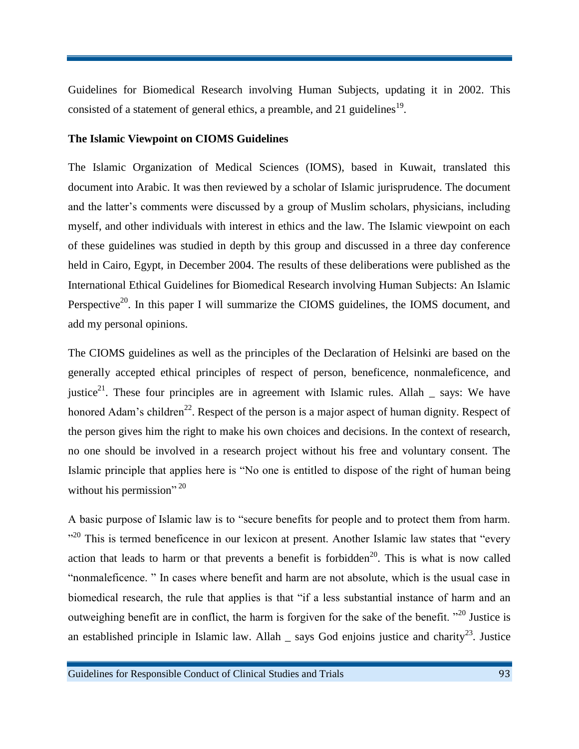Guidelines for Biomedical Research involving Human Subjects, updating it in 2002. This consisted of a statement of general ethics, a preamble, and 21 guidelines<sup>19</sup>.

#### **The Islamic Viewpoint on CIOMS Guidelines**

The Islamic Organization of Medical Sciences (IOMS), based in Kuwait, translated this document into Arabic. It was then reviewed by a scholar of Islamic jurisprudence. The document and the latter's comments were discussed by a group of Muslim scholars, physicians, including myself, and other individuals with interest in ethics and the law. The Islamic viewpoint on each of these guidelines was studied in depth by this group and discussed in a three day conference held in Cairo, Egypt, in December 2004. The results of these deliberations were published as the International Ethical Guidelines for Biomedical Research involving Human Subjects: An Islamic Perspective<sup>20</sup>. In this paper I will summarize the CIOMS guidelines, the IOMS document, and add my personal opinions.

The CIOMS guidelines as well as the principles of the Declaration of Helsinki are based on the generally accepted ethical principles of respect of person, beneficence, nonmaleficence, and justice<sup>21</sup>. These four principles are in agreement with Islamic rules. Allah says: We have honored Adam's children<sup>22</sup>. Respect of the person is a major aspect of human dignity. Respect of the person gives him the right to make his own choices and decisions. In the context of research, no one should be involved in a research project without his free and voluntary consent. The Islamic principle that applies here is "No one is entitled to dispose of the right of human being without his permission". $20$ 

A basic purpose of Islamic law is to "secure benefits for people and to protect them from harm.  $^{20}$  This is termed beneficence in our lexicon at present. Another Islamic law states that "every" action that leads to harm or that prevents a benefit is forbidden<sup>20</sup>. This is what is now called "nonmaleficence. " In cases where benefit and harm are not absolute, which is the usual case in biomedical research, the rule that applies is that "if a less substantial instance of harm and an outweighing benefit are in conflict, the harm is forgiven for the sake of the benefit. "<sup>20</sup> Justice is an established principle in Islamic law. Allah says God enjoins justice and charity<sup>23</sup>. Justice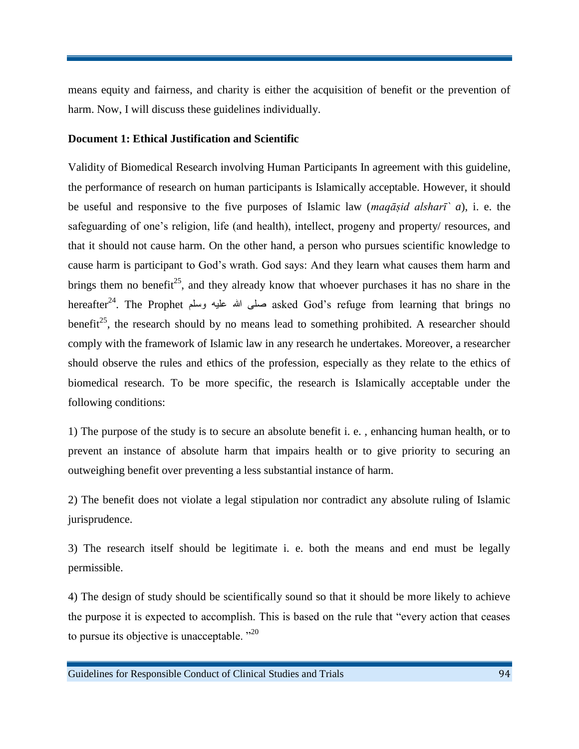means equity and fairness, and charity is either the acquisition of benefit or the prevention of harm. Now, I will discuss these guidelines individually.

#### **Document 1: Ethical Justification and Scientific**

Validity of Biomedical Research involving Human Participants In agreement with this guideline, the performance of research on human participants is Islamically acceptable. However, it should be useful and responsive to the five purposes of Islamic law (*maqāṣid alsharī` a*), i. e. the safeguarding of one's religion, life (and health), intellect, progeny and property/ resources, and that it should not cause harm. On the other hand, a person who pursues scientific knowledge to cause harm is participant to God's wrath. God says: And they learn what causes them harm and brings them no benefit<sup>25</sup>, and they already know that whoever purchases it has no share in the hereafter<sup>24</sup>. The Prophet وسلم عليه هللا صلى asked God's refuge from learning that brings no benefit<sup>25</sup>, the research should by no means lead to something prohibited. A researcher should comply with the framework of Islamic law in any research he undertakes. Moreover, a researcher should observe the rules and ethics of the profession, especially as they relate to the ethics of biomedical research. To be more specific, the research is Islamically acceptable under the following conditions:

1) The purpose of the study is to secure an absolute benefit i. e. , enhancing human health, or to prevent an instance of absolute harm that impairs health or to give priority to securing an outweighing benefit over preventing a less substantial instance of harm.

2) The benefit does not violate a legal stipulation nor contradict any absolute ruling of Islamic jurisprudence.

3) The research itself should be legitimate i. e. both the means and end must be legally permissible.

4) The design of study should be scientifically sound so that it should be more likely to achieve the purpose it is expected to accomplish. This is based on the rule that "every action that ceases to pursue its objective is unacceptable.<sup>"20</sup>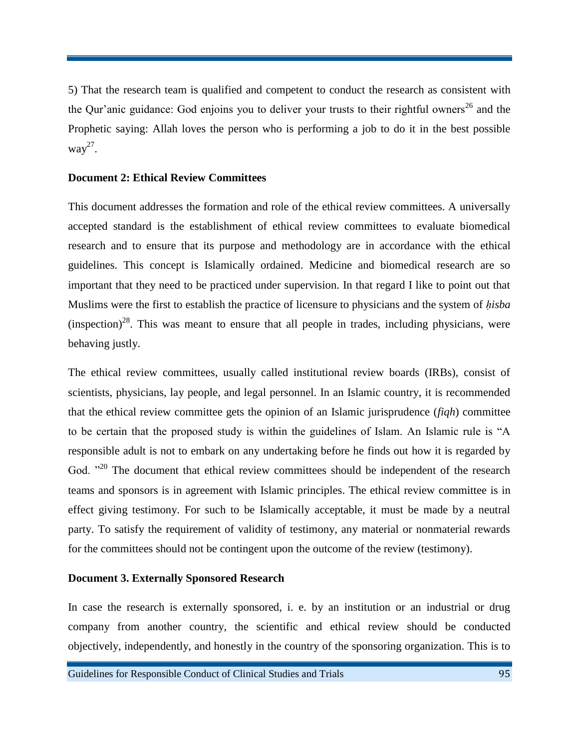5) That the research team is qualified and competent to conduct the research as consistent with the Qur'anic guidance: God enjoins you to deliver your trusts to their rightful owners<sup>26</sup> and the Prophetic saying: Allah loves the person who is performing a job to do it in the best possible  $way^{27}$ .

#### **Document 2: Ethical Review Committees**

This document addresses the formation and role of the ethical review committees. A universally accepted standard is the establishment of ethical review committees to evaluate biomedical research and to ensure that its purpose and methodology are in accordance with the ethical guidelines. This concept is Islamically ordained. Medicine and biomedical research are so important that they need to be practiced under supervision. In that regard I like to point out that Muslims were the first to establish the practice of licensure to physicians and the system of *ḥisba*   $(i$ nspection)<sup>28</sup>. This was meant to ensure that all people in trades, including physicians, were behaving justly.

The ethical review committees, usually called institutional review boards (IRBs), consist of scientists, physicians, lay people, and legal personnel. In an Islamic country, it is recommended that the ethical review committee gets the opinion of an Islamic jurisprudence (*fiqh*) committee to be certain that the proposed study is within the guidelines of Islam. An Islamic rule is "A responsible adult is not to embark on any undertaking before he finds out how it is regarded by God. "<sup>20</sup> The document that ethical review committees should be independent of the research teams and sponsors is in agreement with Islamic principles. The ethical review committee is in effect giving testimony. For such to be Islamically acceptable, it must be made by a neutral party. To satisfy the requirement of validity of testimony, any material or nonmaterial rewards for the committees should not be contingent upon the outcome of the review (testimony).

#### **Document 3. Externally Sponsored Research**

In case the research is externally sponsored, i. e. by an institution or an industrial or drug company from another country, the scientific and ethical review should be conducted objectively, independently, and honestly in the country of the sponsoring organization. This is to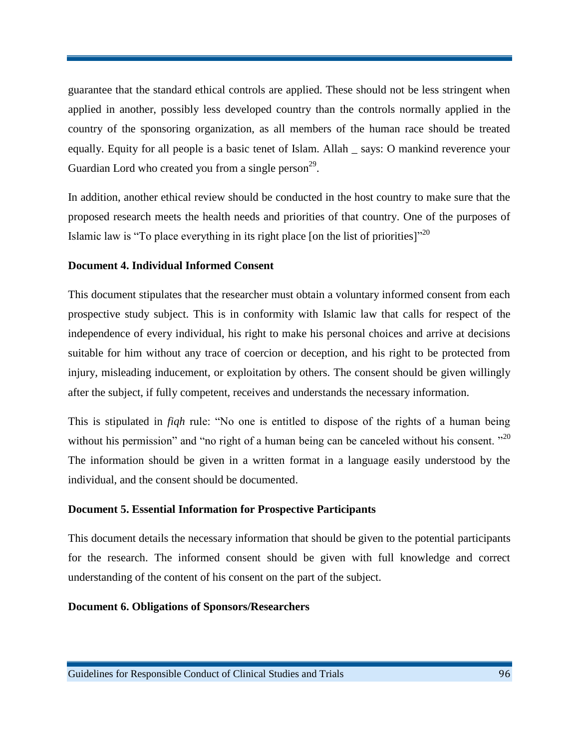guarantee that the standard ethical controls are applied. These should not be less stringent when applied in another, possibly less developed country than the controls normally applied in the country of the sponsoring organization, as all members of the human race should be treated equally. Equity for all people is a basic tenet of Islam. Allah \_ says: O mankind reverence your Guardian Lord who created you from a single person<sup>29</sup>.

In addition, another ethical review should be conducted in the host country to make sure that the proposed research meets the health needs and priorities of that country. One of the purposes of Islamic law is "To place everything in its right place [on the list of priorities]"<sup>20</sup>

#### **Document 4. Individual Informed Consent**

This document stipulates that the researcher must obtain a voluntary informed consent from each prospective study subject. This is in conformity with Islamic law that calls for respect of the independence of every individual, his right to make his personal choices and arrive at decisions suitable for him without any trace of coercion or deception, and his right to be protected from injury, misleading inducement, or exploitation by others. The consent should be given willingly after the subject, if fully competent, receives and understands the necessary information.

This is stipulated in *fiqh* rule: "No one is entitled to dispose of the rights of a human being without his permission" and "no right of a human being can be canceled without his consent. "<sup>20</sup> The information should be given in a written format in a language easily understood by the individual, and the consent should be documented.

#### **Document 5. Essential Information for Prospective Participants**

This document details the necessary information that should be given to the potential participants for the research. The informed consent should be given with full knowledge and correct understanding of the content of his consent on the part of the subject.

#### **Document 6. Obligations of Sponsors/Researchers**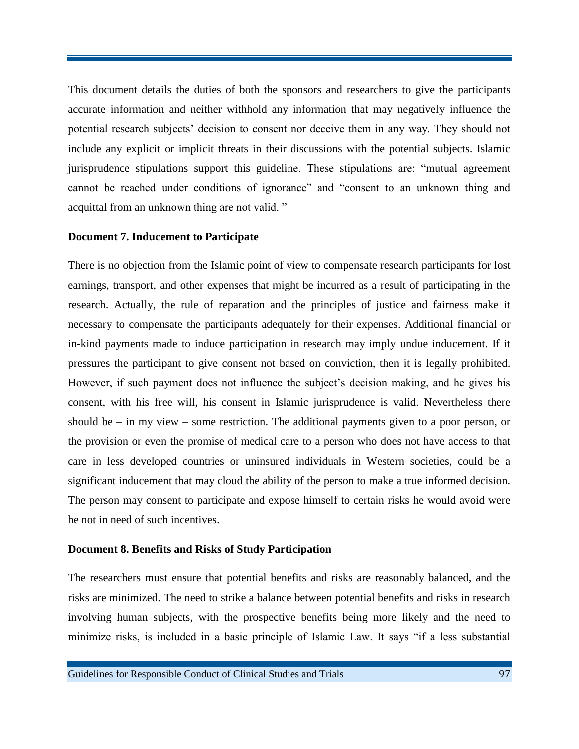This document details the duties of both the sponsors and researchers to give the participants accurate information and neither withhold any information that may negatively influence the potential research subjects' decision to consent nor deceive them in any way. They should not include any explicit or implicit threats in their discussions with the potential subjects. Islamic jurisprudence stipulations support this guideline. These stipulations are: "mutual agreement cannot be reached under conditions of ignorance" and "consent to an unknown thing and acquittal from an unknown thing are not valid. "

#### **Document 7. Inducement to Participate**

There is no objection from the Islamic point of view to compensate research participants for lost earnings, transport, and other expenses that might be incurred as a result of participating in the research. Actually, the rule of reparation and the principles of justice and fairness make it necessary to compensate the participants adequately for their expenses. Additional financial or in-kind payments made to induce participation in research may imply undue inducement. If it pressures the participant to give consent not based on conviction, then it is legally prohibited. However, if such payment does not influence the subject's decision making, and he gives his consent, with his free will, his consent in Islamic jurisprudence is valid. Nevertheless there should be – in my view – some restriction. The additional payments given to a poor person, or the provision or even the promise of medical care to a person who does not have access to that care in less developed countries or uninsured individuals in Western societies, could be a significant inducement that may cloud the ability of the person to make a true informed decision. The person may consent to participate and expose himself to certain risks he would avoid were he not in need of such incentives.

#### **Document 8. Benefits and Risks of Study Participation**

The researchers must ensure that potential benefits and risks are reasonably balanced, and the risks are minimized. The need to strike a balance between potential benefits and risks in research involving human subjects, with the prospective benefits being more likely and the need to minimize risks, is included in a basic principle of Islamic Law. It says "if a less substantial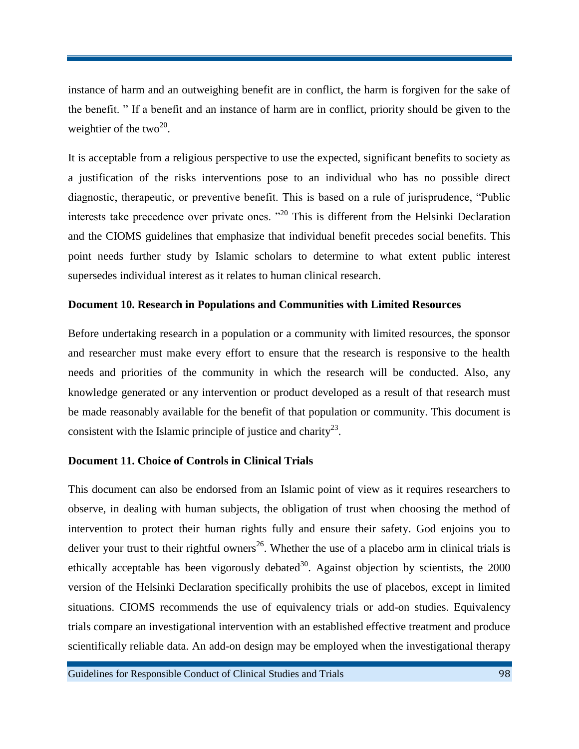instance of harm and an outweighing benefit are in conflict, the harm is forgiven for the sake of the benefit. " If a benefit and an instance of harm are in conflict, priority should be given to the weightier of the two<sup>20</sup>.

It is acceptable from a religious perspective to use the expected, significant benefits to society as a justification of the risks interventions pose to an individual who has no possible direct diagnostic, therapeutic, or preventive benefit. This is based on a rule of jurisprudence, "Public interests take precedence over private ones. "<sup>20</sup> This is different from the Helsinki Declaration and the CIOMS guidelines that emphasize that individual benefit precedes social benefits. This point needs further study by Islamic scholars to determine to what extent public interest supersedes individual interest as it relates to human clinical research.

#### **Document 10. Research in Populations and Communities with Limited Resources**

Before undertaking research in a population or a community with limited resources, the sponsor and researcher must make every effort to ensure that the research is responsive to the health needs and priorities of the community in which the research will be conducted. Also, any knowledge generated or any intervention or product developed as a result of that research must be made reasonably available for the benefit of that population or community. This document is consistent with the Islamic principle of justice and charity<sup>23</sup>.

#### **Document 11. Choice of Controls in Clinical Trials**

This document can also be endorsed from an Islamic point of view as it requires researchers to observe, in dealing with human subjects, the obligation of trust when choosing the method of intervention to protect their human rights fully and ensure their safety. God enjoins you to deliver your trust to their rightful owners<sup>26</sup>. Whether the use of a placebo arm in clinical trials is ethically acceptable has been vigorously debated<sup>30</sup>. Against objection by scientists, the  $2000$ version of the Helsinki Declaration specifically prohibits the use of placebos, except in limited situations. CIOMS recommends the use of equivalency trials or add-on studies. Equivalency trials compare an investigational intervention with an established effective treatment and produce scientifically reliable data. An add-on design may be employed when the investigational therapy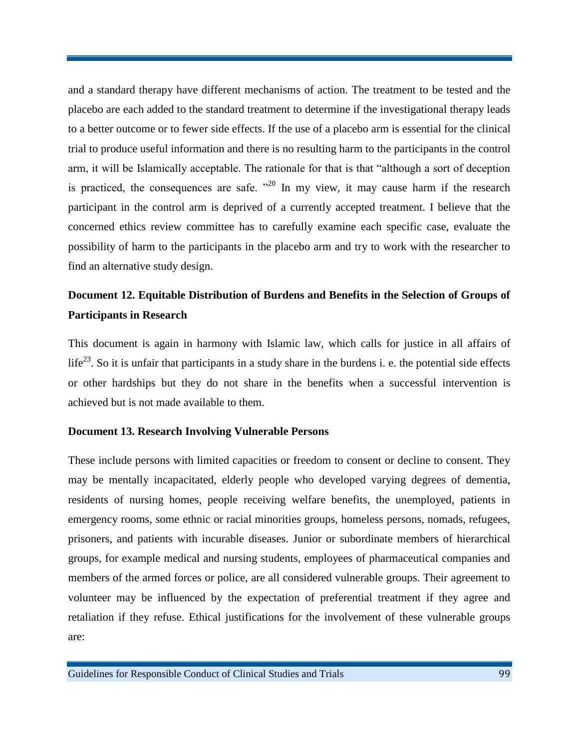and a standard therapy have different mechanisms of action. The treatment to be tested and the placebo are each added to the standard treatment to determine if the investigational therapy leads to a better outcome or to fewer side effects. If the use of a placebo arm is essential for the clinical trial to produce useful information and there is no resulting harm to the participants in the control arm, it will be Islamically acceptable. The rationale for that is that "although a sort of deception is practiced, the consequences are safe.  $^{20}$  In my view, it may cause harm if the research participant in the control arm is deprived of a currently accepted treatment. I believe that the concerned ethics review committee has to carefully examine each specific case, evaluate the possibility of harm to the participants in the placebo arm and try to work with the researcher to find an alternative study design.

## **Document 12. Equitable Distribution of Burdens and Benefits in the Selection of Groups of Participants in Research**

This document is again in harmony with Islamic law, which calls for justice in all affairs of  $life^{23}$ . So it is unfair that participants in a study share in the burdens i. e. the potential side effects or other hardships but they do not share in the benefits when a successful intervention is achieved but is not made available to them.

#### **Document 13. Research Involving Vulnerable Persons**

These include persons with limited capacities or freedom to consent or decline to consent. They may be mentally incapacitated, elderly people who developed varying degrees of dementia, residents of nursing homes, people receiving welfare benefits, the unemployed, patients in emergency rooms, some ethnic or racial minorities groups, homeless persons, nomads, refugees, prisoners, and patients with incurable diseases. Junior or subordinate members of hierarchical groups, for example medical and nursing students, employees of pharmaceutical companies and members of the armed forces or police, are all considered vulnerable groups. Their agreement to volunteer may be influenced by the expectation of preferential treatment if they agree and retaliation if they refuse. Ethical justifications for the involvement of these vulnerable groups are: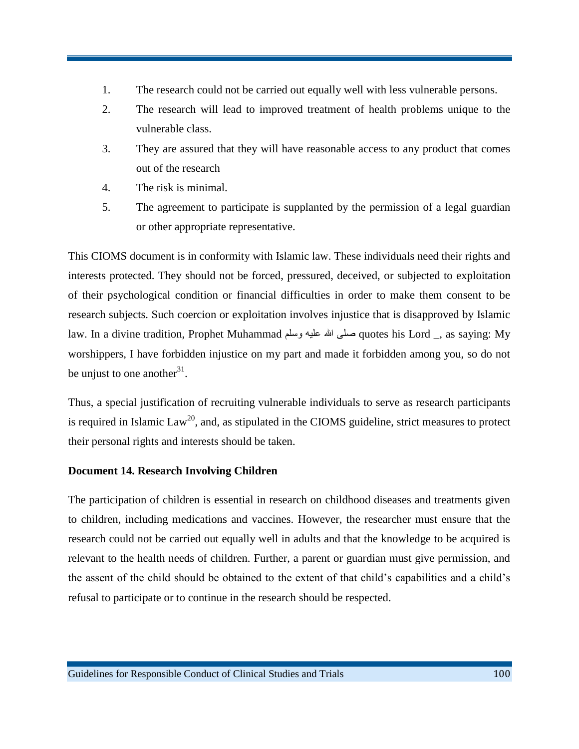- 1. The research could not be carried out equally well with less vulnerable persons.
- 2. The research will lead to improved treatment of health problems unique to the vulnerable class.
- 3. They are assured that they will have reasonable access to any product that comes out of the research
- 4. The risk is minimal.
- 5. The agreement to participate is supplanted by the permission of a legal guardian or other appropriate representative.

This CIOMS document is in conformity with Islamic law. These individuals need their rights and interests protected. They should not be forced, pressured, deceived, or subjected to exploitation of their psychological condition or financial difficulties in order to make them consent to be research subjects. Such coercion or exploitation involves injustice that is disapproved by Islamic law. In a divine tradition, Prophet Muhammad وسلم عليه هللا صلى quotes his Lord \_, as saying: My worshippers, I have forbidden injustice on my part and made it forbidden among you, so do not be unjust to one another  $31$ .

Thus, a special justification of recruiting vulnerable individuals to serve as research participants is required in Islamic Law<sup>20</sup>, and, as stipulated in the CIOMS guideline, strict measures to protect their personal rights and interests should be taken.

## **Document 14. Research Involving Children**

The participation of children is essential in research on childhood diseases and treatments given to children, including medications and vaccines. However, the researcher must ensure that the research could not be carried out equally well in adults and that the knowledge to be acquired is relevant to the health needs of children. Further, a parent or guardian must give permission, and the assent of the child should be obtained to the extent of that child's capabilities and a child's refusal to participate or to continue in the research should be respected.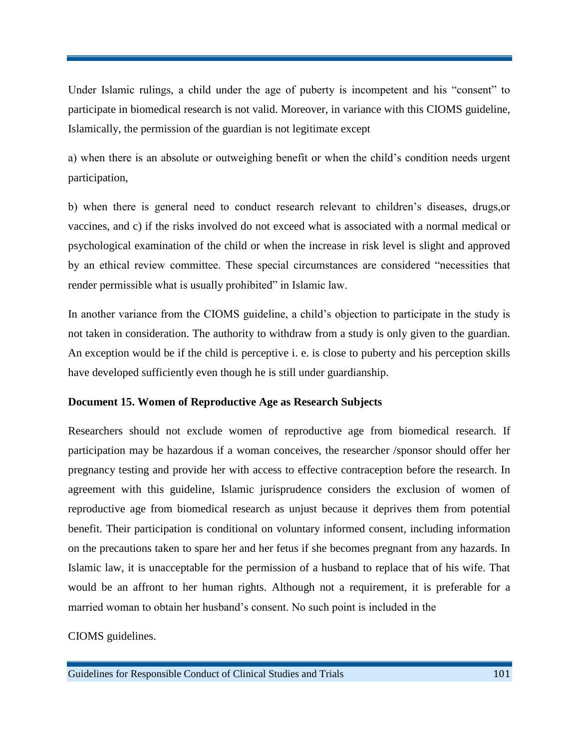Under Islamic rulings, a child under the age of puberty is incompetent and his "consent" to participate in biomedical research is not valid. Moreover, in variance with this CIOMS guideline, Islamically, the permission of the guardian is not legitimate except

a) when there is an absolute or outweighing benefit or when the child's condition needs urgent participation,

b) when there is general need to conduct research relevant to children's diseases, drugs,or vaccines, and c) if the risks involved do not exceed what is associated with a normal medical or psychological examination of the child or when the increase in risk level is slight and approved by an ethical review committee. These special circumstances are considered "necessities that render permissible what is usually prohibited" in Islamic law.

In another variance from the CIOMS guideline, a child's objection to participate in the study is not taken in consideration. The authority to withdraw from a study is only given to the guardian. An exception would be if the child is perceptive i. e. is close to puberty and his perception skills have developed sufficiently even though he is still under guardianship.

#### **Document 15. Women of Reproductive Age as Research Subjects**

Researchers should not exclude women of reproductive age from biomedical research. If participation may be hazardous if a woman conceives, the researcher /sponsor should offer her pregnancy testing and provide her with access to effective contraception before the research. In agreement with this guideline, Islamic jurisprudence considers the exclusion of women of reproductive age from biomedical research as unjust because it deprives them from potential benefit. Their participation is conditional on voluntary informed consent, including information on the precautions taken to spare her and her fetus if she becomes pregnant from any hazards. In Islamic law, it is unacceptable for the permission of a husband to replace that of his wife. That would be an affront to her human rights. Although not a requirement, it is preferable for a married woman to obtain her husband's consent. No such point is included in the

CIOMS guidelines.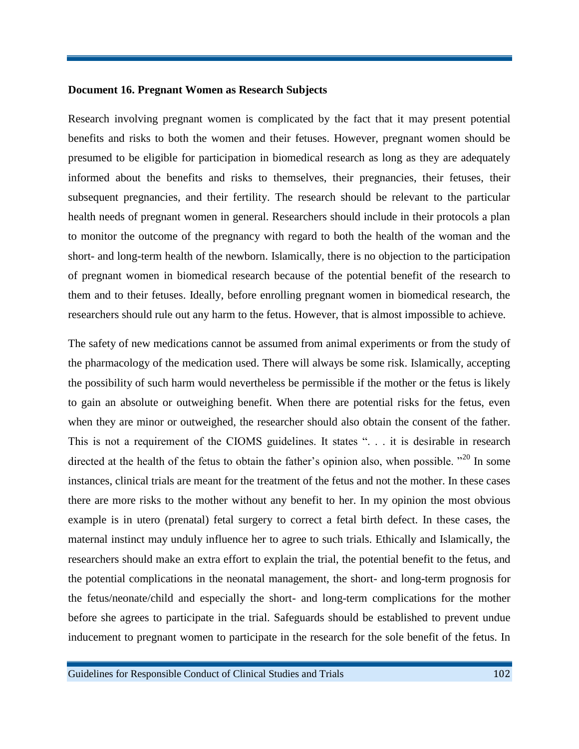#### **Document 16. Pregnant Women as Research Subjects**

Research involving pregnant women is complicated by the fact that it may present potential benefits and risks to both the women and their fetuses. However, pregnant women should be presumed to be eligible for participation in biomedical research as long as they are adequately informed about the benefits and risks to themselves, their pregnancies, their fetuses, their subsequent pregnancies, and their fertility. The research should be relevant to the particular health needs of pregnant women in general. Researchers should include in their protocols a plan to monitor the outcome of the pregnancy with regard to both the health of the woman and the short- and long-term health of the newborn. Islamically, there is no objection to the participation of pregnant women in biomedical research because of the potential benefit of the research to them and to their fetuses. Ideally, before enrolling pregnant women in biomedical research, the researchers should rule out any harm to the fetus. However, that is almost impossible to achieve.

The safety of new medications cannot be assumed from animal experiments or from the study of the pharmacology of the medication used. There will always be some risk. Islamically, accepting the possibility of such harm would nevertheless be permissible if the mother or the fetus is likely to gain an absolute or outweighing benefit. When there are potential risks for the fetus, even when they are minor or outweighed, the researcher should also obtain the consent of the father. This is not a requirement of the CIOMS guidelines. It states ". . . it is desirable in research directed at the health of the fetus to obtain the father's opinion also, when possible.  $120$  In some instances, clinical trials are meant for the treatment of the fetus and not the mother. In these cases there are more risks to the mother without any benefit to her. In my opinion the most obvious example is in utero (prenatal) fetal surgery to correct a fetal birth defect. In these cases, the maternal instinct may unduly influence her to agree to such trials. Ethically and Islamically, the researchers should make an extra effort to explain the trial, the potential benefit to the fetus, and the potential complications in the neonatal management, the short- and long-term prognosis for the fetus/neonate/child and especially the short- and long-term complications for the mother before she agrees to participate in the trial. Safeguards should be established to prevent undue inducement to pregnant women to participate in the research for the sole benefit of the fetus. In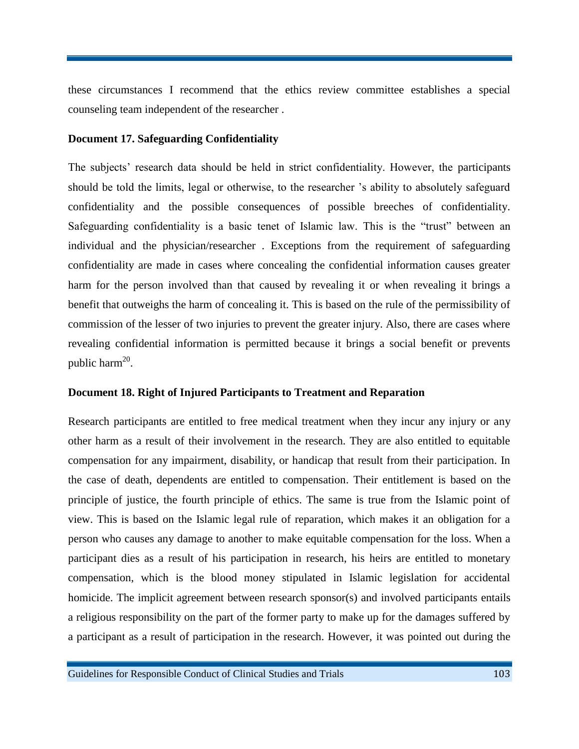these circumstances I recommend that the ethics review committee establishes a special counseling team independent of the researcher .

# **Document 17. Safeguarding Confidentiality**

The subjects' research data should be held in strict confidentiality. However, the participants should be told the limits, legal or otherwise, to the researcher 's ability to absolutely safeguard confidentiality and the possible consequences of possible breeches of confidentiality. Safeguarding confidentiality is a basic tenet of Islamic law. This is the "trust" between an individual and the physician/researcher . Exceptions from the requirement of safeguarding confidentiality are made in cases where concealing the confidential information causes greater harm for the person involved than that caused by revealing it or when revealing it brings a benefit that outweighs the harm of concealing it. This is based on the rule of the permissibility of commission of the lesser of two injuries to prevent the greater injury. Also, there are cases where revealing confidential information is permitted because it brings a social benefit or prevents public harm<sup>20</sup>.

# **Document 18. Right of Injured Participants to Treatment and Reparation**

Research participants are entitled to free medical treatment when they incur any injury or any other harm as a result of their involvement in the research. They are also entitled to equitable compensation for any impairment, disability, or handicap that result from their participation. In the case of death, dependents are entitled to compensation. Their entitlement is based on the principle of justice, the fourth principle of ethics. The same is true from the Islamic point of view. This is based on the Islamic legal rule of reparation, which makes it an obligation for a person who causes any damage to another to make equitable compensation for the loss. When a participant dies as a result of his participation in research, his heirs are entitled to monetary compensation, which is the blood money stipulated in Islamic legislation for accidental homicide. The implicit agreement between research sponsor(s) and involved participants entails a religious responsibility on the part of the former party to make up for the damages suffered by a participant as a result of participation in the research. However, it was pointed out during the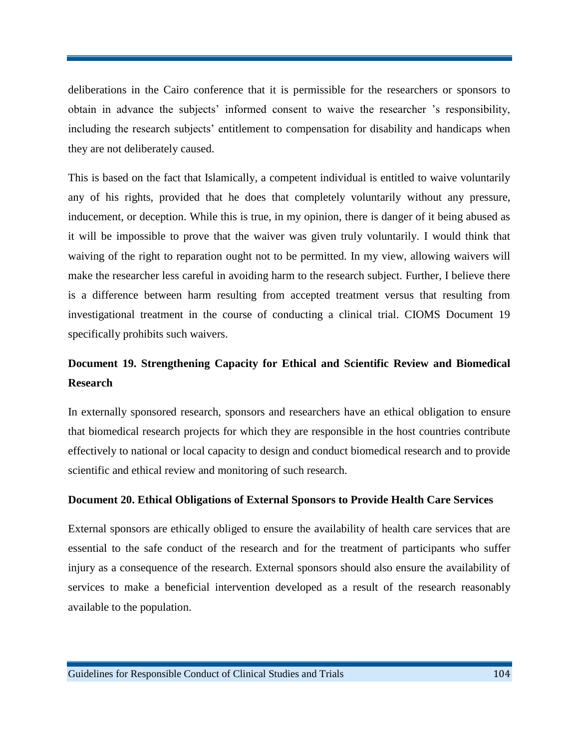deliberations in the Cairo conference that it is permissible for the researchers or sponsors to obtain in advance the subjects' informed consent to waive the researcher 's responsibility, including the research subjects' entitlement to compensation for disability and handicaps when they are not deliberately caused.

This is based on the fact that Islamically, a competent individual is entitled to waive voluntarily any of his rights, provided that he does that completely voluntarily without any pressure, inducement, or deception. While this is true, in my opinion, there is danger of it being abused as it will be impossible to prove that the waiver was given truly voluntarily. I would think that waiving of the right to reparation ought not to be permitted. In my view, allowing waivers will make the researcher less careful in avoiding harm to the research subject. Further, I believe there is a difference between harm resulting from accepted treatment versus that resulting from investigational treatment in the course of conducting a clinical trial. CIOMS Document 19 specifically prohibits such waivers.

# **Document 19. Strengthening Capacity for Ethical and Scientific Review and Biomedical Research**

In externally sponsored research, sponsors and researchers have an ethical obligation to ensure that biomedical research projects for which they are responsible in the host countries contribute effectively to national or local capacity to design and conduct biomedical research and to provide scientific and ethical review and monitoring of such research.

# **Document 20. Ethical Obligations of External Sponsors to Provide Health Care Services**

External sponsors are ethically obliged to ensure the availability of health care services that are essential to the safe conduct of the research and for the treatment of participants who suffer injury as a consequence of the research. External sponsors should also ensure the availability of services to make a beneficial intervention developed as a result of the research reasonably available to the population.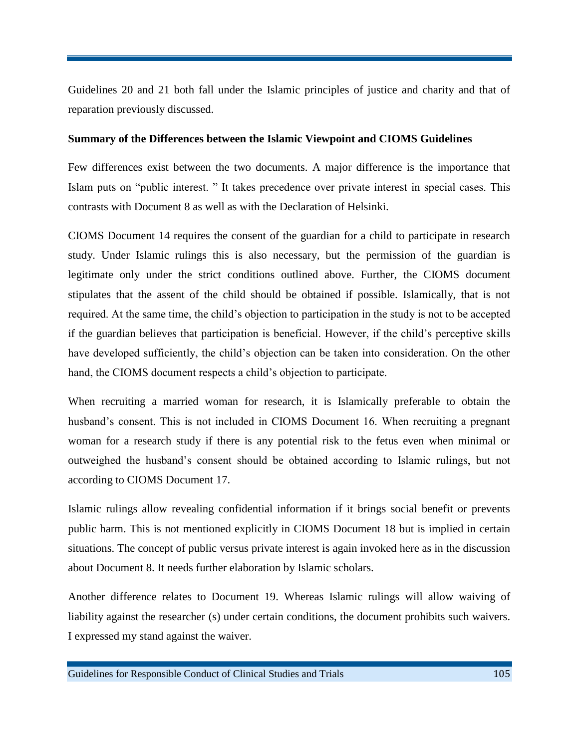Guidelines 20 and 21 both fall under the Islamic principles of justice and charity and that of reparation previously discussed.

# **Summary of the Differences between the Islamic Viewpoint and CIOMS Guidelines**

Few differences exist between the two documents. A major difference is the importance that Islam puts on "public interest. " It takes precedence over private interest in special cases. This contrasts with Document 8 as well as with the Declaration of Helsinki.

CIOMS Document 14 requires the consent of the guardian for a child to participate in research study. Under Islamic rulings this is also necessary, but the permission of the guardian is legitimate only under the strict conditions outlined above. Further, the CIOMS document stipulates that the assent of the child should be obtained if possible. Islamically, that is not required. At the same time, the child's objection to participation in the study is not to be accepted if the guardian believes that participation is beneficial. However, if the child's perceptive skills have developed sufficiently, the child's objection can be taken into consideration. On the other hand, the CIOMS document respects a child's objection to participate.

When recruiting a married woman for research, it is Islamically preferable to obtain the husband's consent. This is not included in CIOMS Document 16. When recruiting a pregnant woman for a research study if there is any potential risk to the fetus even when minimal or outweighed the husband's consent should be obtained according to Islamic rulings, but not according to CIOMS Document 17.

Islamic rulings allow revealing confidential information if it brings social benefit or prevents public harm. This is not mentioned explicitly in CIOMS Document 18 but is implied in certain situations. The concept of public versus private interest is again invoked here as in the discussion about Document 8. It needs further elaboration by Islamic scholars.

Another difference relates to Document 19. Whereas Islamic rulings will allow waiving of liability against the researcher (s) under certain conditions, the document prohibits such waivers. I expressed my stand against the waiver.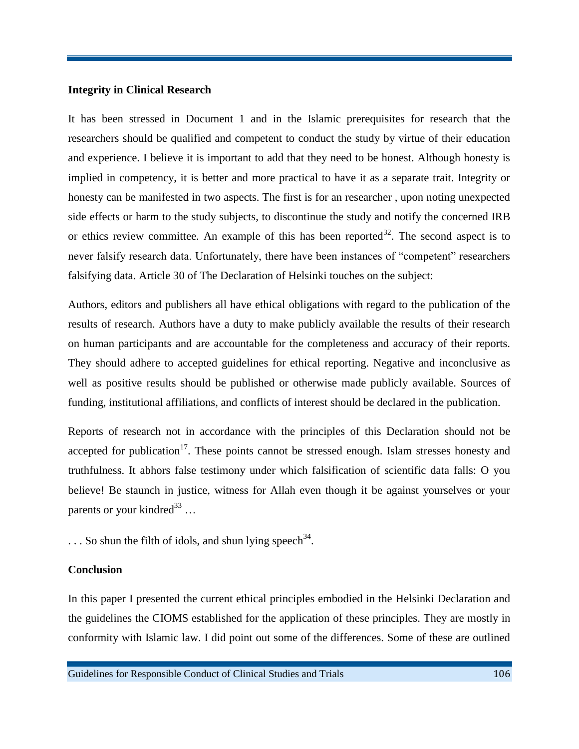# **Integrity in Clinical Research**

It has been stressed in Document 1 and in the Islamic prerequisites for research that the researchers should be qualified and competent to conduct the study by virtue of their education and experience. I believe it is important to add that they need to be honest. Although honesty is implied in competency, it is better and more practical to have it as a separate trait. Integrity or honesty can be manifested in two aspects. The first is for an researcher , upon noting unexpected side effects or harm to the study subjects, to discontinue the study and notify the concerned IRB or ethics review committee. An example of this has been reported<sup>32</sup>. The second aspect is to never falsify research data. Unfortunately, there have been instances of "competent" researchers falsifying data. Article 30 of The Declaration of Helsinki touches on the subject:

Authors, editors and publishers all have ethical obligations with regard to the publication of the results of research. Authors have a duty to make publicly available the results of their research on human participants and are accountable for the completeness and accuracy of their reports. They should adhere to accepted guidelines for ethical reporting. Negative and inconclusive as well as positive results should be published or otherwise made publicly available. Sources of funding, institutional affiliations, and conflicts of interest should be declared in the publication.

Reports of research not in accordance with the principles of this Declaration should not be accepted for publication<sup>17</sup>. These points cannot be stressed enough. Islam stresses honesty and truthfulness. It abhors false testimony under which falsification of scientific data falls: O you believe! Be staunch in justice, witness for Allah even though it be against yourselves or your parents or your kindred<sup>33</sup> ...

 $\ldots$  So shun the filth of idols, and shun lying speech<sup>34</sup>.

# **Conclusion**

In this paper I presented the current ethical principles embodied in the Helsinki Declaration and the guidelines the CIOMS established for the application of these principles. They are mostly in conformity with Islamic law. I did point out some of the differences. Some of these are outlined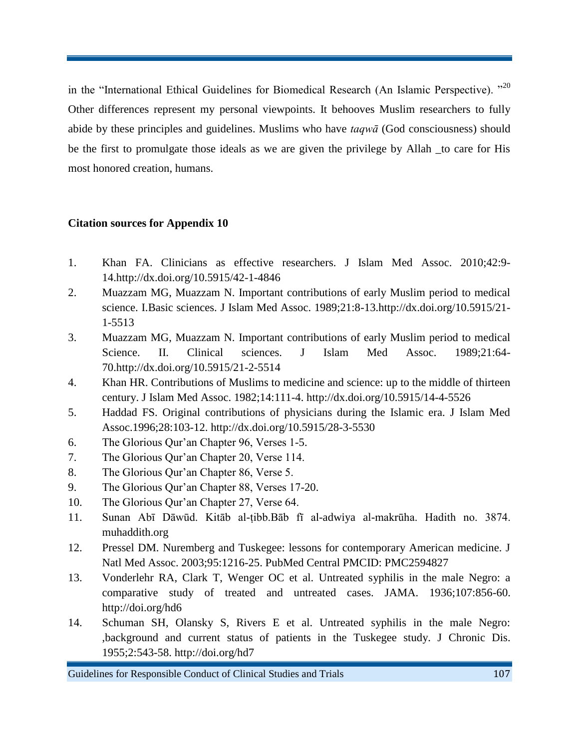in the "International Ethical Guidelines for Biomedical Research (An Islamic Perspective). "<sup>20</sup> Other differences represent my personal viewpoints. It behooves Muslim researchers to fully abide by these principles and guidelines. Muslims who have *taqwā* (God consciousness) should be the first to promulgate those ideals as we are given the privilege by Allah \_to care for His most honored creation, humans.

# **Citation sources for Appendix 10**

- 1. Khan FA. Clinicians as effective researchers. J Islam Med Assoc. 2010;42:9- 14.http://dx.doi.org/10.5915/42-1-4846
- 2. Muazzam MG, Muazzam N. Important contributions of early Muslim period to medical science. I.Basic sciences. J Islam Med Assoc. 1989;21:8-13.http://dx.doi.org/10.5915/21- 1-5513
- 3. Muazzam MG, Muazzam N. Important contributions of early Muslim period to medical Science. II. Clinical sciences. J Islam Med Assoc. 1989;21:64-70.http://dx.doi.org/10.5915/21-2-5514
- 4. Khan HR. Contributions of Muslims to medicine and science: up to the middle of thirteen century. J Islam Med Assoc. 1982;14:111-4. http://dx.doi.org/10.5915/14-4-5526
- 5. Haddad FS. Original contributions of physicians during the Islamic era. J Islam Med Assoc.1996;28:103-12. http://dx.doi.org/10.5915/28-3-5530
- 6. The Glorious Qur'an Chapter 96, Verses 1-5.
- 7. The Glorious Qur'an Chapter 20, Verse 114.
- 8. The Glorious Qur'an Chapter 86, Verse 5.
- 9. The Glorious Qur'an Chapter 88, Verses 17-20.
- 10. The Glorious Qur'an Chapter 27, Verse 64.
- 11. Sunan Abī Dāwūd. Kitāb al-ṭibb.Bāb fī al-adwiya al-makrūha. Hadith no. 3874. muhaddith.org
- 12. Pressel DM. Nuremberg and Tuskegee: lessons for contemporary American medicine. J Natl Med Assoc. 2003;95:1216-25. PubMed Central PMCID: PMC2594827
- 13. Vonderlehr RA, Clark T, Wenger OC et al. Untreated syphilis in the male Negro: a comparative study of treated and untreated cases. JAMA. 1936;107:856-60. http://doi.org/hd6
- 14. Schuman SH, Olansky S, Rivers E et al. Untreated syphilis in the male Negro: ,background and current status of patients in the Tuskegee study. J Chronic Dis. 1955;2:543-58. http://doi.org/hd7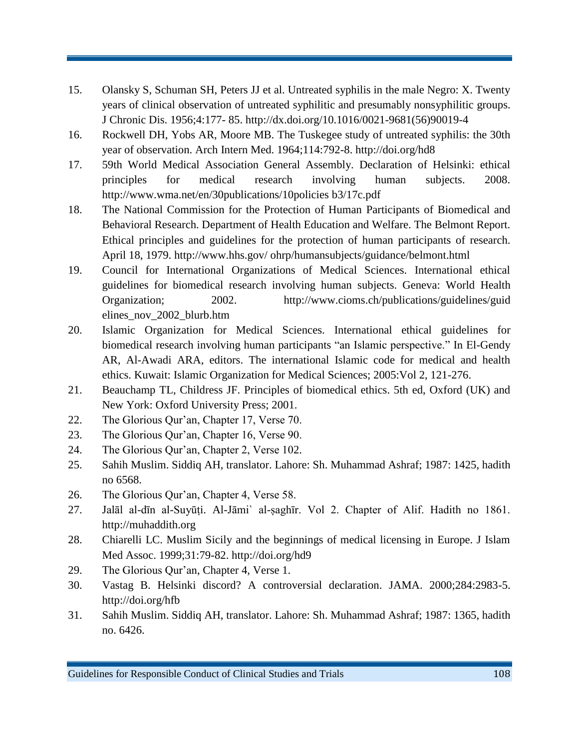- 15. Olansky S, Schuman SH, Peters JJ et al. Untreated syphilis in the male Negro: X. Twenty years of clinical observation of untreated syphilitic and presumably nonsyphilitic groups. J Chronic Dis. 1956;4:177- 85. http://dx.doi.org/10.1016/0021-9681(56)90019-4
- 16. Rockwell DH, Yobs AR, Moore MB. The Tuskegee study of untreated syphilis: the 30th year of observation. Arch Intern Med. 1964;114:792-8. http://doi.org/hd8
- 17. 59th World Medical Association General Assembly. Declaration of Helsinki: ethical principles for medical research involving human subjects. 2008. <http://www.wma.net/en/30publications/10policies> b3/17c.pdf
- 18. The National Commission for the Protection of Human Participants of Biomedical and Behavioral Research. Department of Health Education and Welfare. The Belmont Report. Ethical principles and guidelines for the protection of human participants of research. April 18, 1979.<http://www.hhs.gov/> ohrp/humansubjects/guidance/belmont.html
- 19. Council for International Organizations of Medical Sciences. International ethical guidelines for biomedical research involving human subjects. Geneva: World Health Organization; 2002. <http://www.cioms.ch/publications/guidelines/guid> elines\_nov\_2002\_blurb.htm
- 20. Islamic Organization for Medical Sciences. International ethical guidelines for biomedical research involving human participants "an Islamic perspective." In El-Gendy AR, Al-Awadi ARA, editors. The international Islamic code for medical and health ethics. Kuwait: Islamic Organization for Medical Sciences; 2005:Vol 2, 121-276.
- 21. Beauchamp TL, Childress JF. Principles of biomedical ethics. 5th ed, Oxford (UK) and New York: Oxford University Press; 2001.
- 22. The Glorious Qur'an, Chapter 17, Verse 70.
- 23. The Glorious Qur'an, Chapter 16, Verse 90.
- 24. The Glorious Qur'an, Chapter 2, Verse 102.
- 25. Sahih Muslim. Siddiq AH, translator. Lahore: Sh. Muhammad Ashraf; 1987: 1425, hadith no 6568.
- 26. The Glorious Qur'an, Chapter 4, Verse 58.
- 27. Jalāl al-dīn al-Suyūṭi. Al-Jāmi` al-ṣaghīr. Vol 2. Chapter of Alif. Hadith no 1861. http://muhaddith.org
- 28. Chiarelli LC. Muslim Sicily and the beginnings of medical licensing in Europe. J Islam Med Assoc. 1999;31:79-82. http://doi.org/hd9
- 29. The Glorious Qur'an, Chapter 4, Verse 1.
- 30. Vastag B. Helsinki discord? A controversial declaration. JAMA. 2000;284:2983-5. http://doi.org/hfb
- 31. Sahih Muslim. Siddiq AH, translator. Lahore: Sh. Muhammad Ashraf; 1987: 1365, hadith no. 6426.

Guidelines for Responsible Conduct of Clinical Studies and Trials 108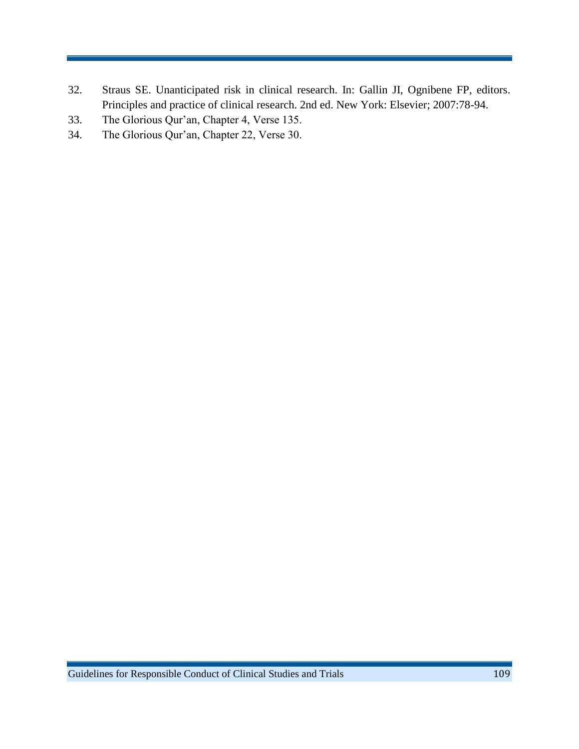- 32. Straus SE. Unanticipated risk in clinical research. In: Gallin JI, Ognibene FP, editors. Principles and practice of clinical research. 2nd ed. New York: Elsevier; 2007:78-94.
- 33. The Glorious Qur'an, Chapter 4, Verse 135.
- 34. The Glorious Qur'an, Chapter 22, Verse 30.